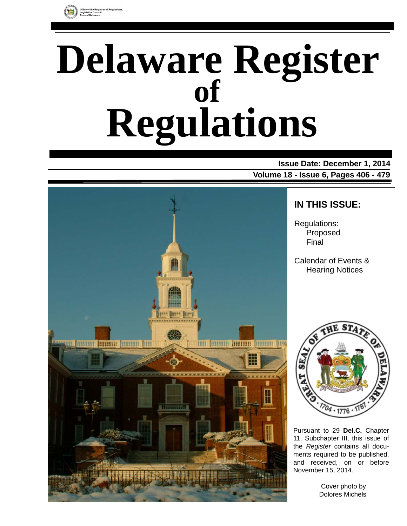

# **Delaware Register Regulations of**

**Issue Date: December 1, 2014 Volume 18 - Issue 6, Pages 406 - 479**



### **IN THIS ISSUE:**

Regulations: Proposed Final

Calendar of Events & Hearing Notices



Pursuant to 29 **Del.C.** Chapter 11, Subchapter III, this issue of the *Register* contains all documents required to be published, and received, on or before November 15, 2014.

> Cover photo by Dolores Michels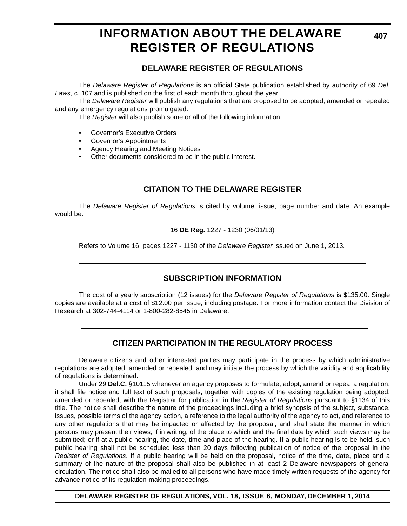### **INFORMATION ABOUT THE DELAWARE REGISTER OF REGULATIONS**

### **DELAWARE REGISTER OF REGULATIONS**

The *Delaware Register of Regulations* is an official State publication established by authority of 69 *Del. Laws*, c. 107 and is published on the first of each month throughout the year.

The *Delaware Register* will publish any regulations that are proposed to be adopted, amended or repealed and any emergency regulations promulgated.

The *Register* will also publish some or all of the following information:

- Governor's Executive Orders
- Governor's Appointments
- Agency Hearing and Meeting Notices
- Other documents considered to be in the public interest.

### **CITATION TO THE DELAWARE REGISTER**

The *Delaware Register of Regulations* is cited by volume, issue, page number and date. An example would be:

16 **DE Reg.** 1227 - 1230 (06/01/13)

Refers to Volume 16, pages 1227 - 1130 of the *Delaware Register* issued on June 1, 2013.

### **SUBSCRIPTION INFORMATION**

The cost of a yearly subscription (12 issues) for the *Delaware Register of Regulations* is \$135.00. Single copies are available at a cost of \$12.00 per issue, including postage. For more information contact the Division of Research at 302-744-4114 or 1-800-282-8545 in Delaware.

### **CITIZEN PARTICIPATION IN THE REGULATORY PROCESS**

Delaware citizens and other interested parties may participate in the process by which administrative regulations are adopted, amended or repealed, and may initiate the process by which the validity and applicability of regulations is determined.

Under 29 **Del.C.** §10115 whenever an agency proposes to formulate, adopt, amend or repeal a regulation, it shall file notice and full text of such proposals, together with copies of the existing regulation being adopted, amended or repealed, with the Registrar for publication in the *Register of Regulations* pursuant to §1134 of this title. The notice shall describe the nature of the proceedings including a brief synopsis of the subject, substance, issues, possible terms of the agency action, a reference to the legal authority of the agency to act, and reference to any other regulations that may be impacted or affected by the proposal, and shall state the manner in which persons may present their views; if in writing, of the place to which and the final date by which such views may be submitted; or if at a public hearing, the date, time and place of the hearing. If a public hearing is to be held, such public hearing shall not be scheduled less than 20 days following publication of notice of the proposal in the *Register of Regulations*. If a public hearing will be held on the proposal, notice of the time, date, place and a summary of the nature of the proposal shall also be published in at least 2 Delaware newspapers of general circulation. The notice shall also be mailed to all persons who have made timely written requests of the agency for advance notice of its regulation-making proceedings.

**DELAWARE REGISTER OF REGULATIONS, VOL. 18, ISSUE 6, MONDAY, DECEMBER 1, 2014**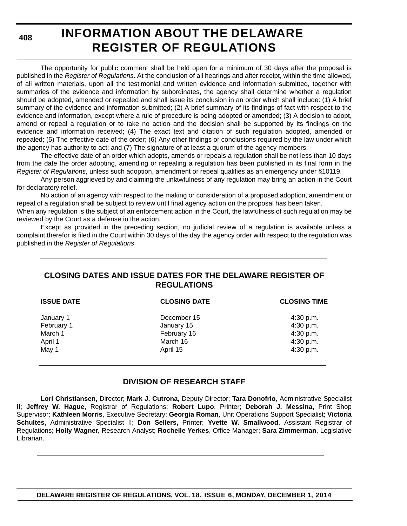**408**

# **INFORMATION ABOUT THE DELAWARE REGISTER OF REGULATIONS**

The opportunity for public comment shall be held open for a minimum of 30 days after the proposal is published in the *Register of Regulations*. At the conclusion of all hearings and after receipt, within the time allowed, of all written materials, upon all the testimonial and written evidence and information submitted, together with summaries of the evidence and information by subordinates, the agency shall determine whether a regulation should be adopted, amended or repealed and shall issue its conclusion in an order which shall include: (1) A brief summary of the evidence and information submitted; (2) A brief summary of its findings of fact with respect to the evidence and information, except where a rule of procedure is being adopted or amended; (3) A decision to adopt, amend or repeal a regulation or to take no action and the decision shall be supported by its findings on the evidence and information received; (4) The exact text and citation of such regulation adopted, amended or repealed; (5) The effective date of the order; (6) Any other findings or conclusions required by the law under which the agency has authority to act; and (7) The signature of at least a quorum of the agency members.

The effective date of an order which adopts, amends or repeals a regulation shall be not less than 10 days from the date the order adopting, amending or repealing a regulation has been published in its final form in the *Register of Regulations*, unless such adoption, amendment or repeal qualifies as an emergency under §10119.

Any person aggrieved by and claiming the unlawfulness of any regulation may bring an action in the Court for declaratory relief.

No action of an agency with respect to the making or consideration of a proposed adoption, amendment or repeal of a regulation shall be subject to review until final agency action on the proposal has been taken.

When any regulation is the subject of an enforcement action in the Court, the lawfulness of such regulation may be reviewed by the Court as a defense in the action.

Except as provided in the preceding section, no judicial review of a regulation is available unless a complaint therefor is filed in the Court within 30 days of the day the agency order with respect to the regulation was published in the *Register of Regulations*.

### **CLOSING DATES AND ISSUE DATES FOR THE DELAWARE REGISTER OF REGULATIONS**

| <b>ISSUE DATE</b> | <b>CLOSING DATE</b> | <b>CLOSING TIME</b> |  |  |
|-------------------|---------------------|---------------------|--|--|
| January 1         | December 15         | 4:30 p.m.           |  |  |
| February 1        | January 15          | 4:30 p.m.           |  |  |
| March 1           | February 16         | 4:30 p.m.           |  |  |
| April 1           | March 16            | 4:30 p.m.           |  |  |
| May 1             | April 15            | 4:30 p.m.           |  |  |

### **DIVISION OF RESEARCH STAFF**

**Lori Christiansen,** Director; **Mark J. Cutrona,** Deputy Director; **Tara Donofrio**, Administrative Specialist II; **Jeffrey W. Hague**, Registrar of Regulations; **Robert Lupo**, Printer; **Deborah J. Messina,** Print Shop Supervisor; **Kathleen Morris**, Executive Secretary; **Georgia Roman**, Unit Operations Support Specialist; **Victoria Schultes,** Administrative Specialist II; **Don Sellers,** Printer; **Yvette W. Smallwood**, Assistant Registrar of Regulations; **Holly Wagner**, Research Analyst; **Rochelle Yerkes**, Office Manager; **Sara Zimmerman**, Legislative Librarian.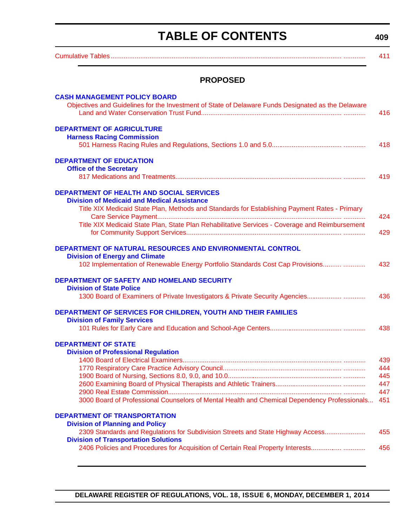# **TABLE OF CONTENTS**

<span id="page-3-0"></span>

| <b>PROPOSED</b>                                                                                                           |                                                                                 |
|---------------------------------------------------------------------------------------------------------------------------|---------------------------------------------------------------------------------|
| <b>CASH MANAGEMENT POLICY BOARD</b>                                                                                       |                                                                                 |
| Objectives and Guidelines for the Investment of State of Delaware Funds Designated as the Delaware                        |                                                                                 |
|                                                                                                                           |                                                                                 |
| <b>DEPARTMENT OF AGRICULTURE</b>                                                                                          |                                                                                 |
| <b>Harness Racing Commission</b>                                                                                          |                                                                                 |
|                                                                                                                           |                                                                                 |
| <b>DEPARTMENT OF EDUCATION</b>                                                                                            |                                                                                 |
| <b>Office of the Secretary</b>                                                                                            |                                                                                 |
|                                                                                                                           |                                                                                 |
| <b>DEPARTMENT OF HEALTH AND SOCIAL SERVICES</b>                                                                           |                                                                                 |
| <b>Division of Medicaid and Medical Assistance</b>                                                                        |                                                                                 |
| Title XIX Medicaid State Plan, Methods and Standards for Establishing Payment Rates - Primary                             |                                                                                 |
| Title XIX Medicaid State Plan, State Plan Rehabilitative Services - Coverage and Reimbursement                            |                                                                                 |
|                                                                                                                           |                                                                                 |
|                                                                                                                           |                                                                                 |
| DEPARTMENT OF NATURAL RESOURCES AND ENVIRONMENTAL CONTROL                                                                 |                                                                                 |
| <b>Division of Energy and Climate</b><br>102 Implementation of Renewable Energy Portfolio Standards Cost Cap Provisions   |                                                                                 |
|                                                                                                                           |                                                                                 |
| DEPARTMENT OF SAFETY AND HOMELAND SECURITY                                                                                |                                                                                 |
| <b>Division of State Police</b>                                                                                           |                                                                                 |
| 1300 Board of Examiners of Private Investigators & Private Security Agencies                                              |                                                                                 |
| DEPARTMENT OF SERVICES FOR CHILDREN, YOUTH AND THEIR FAMILIES                                                             |                                                                                 |
| <b>Division of Family Services</b>                                                                                        |                                                                                 |
|                                                                                                                           |                                                                                 |
| <b>DEPARTMENT OF STATE</b>                                                                                                |                                                                                 |
| <b>Division of Professional Regulation</b>                                                                                |                                                                                 |
|                                                                                                                           |                                                                                 |
|                                                                                                                           |                                                                                 |
|                                                                                                                           |                                                                                 |
|                                                                                                                           |                                                                                 |
| 3000 Board of Professional Counselors of Mental Health and Chemical Dependency Professionals                              |                                                                                 |
|                                                                                                                           |                                                                                 |
| <b>DEPARTMENT OF TRANSPORTATION</b>                                                                                       |                                                                                 |
| <b>Division of Planning and Policy</b><br>2309 Standards and Regulations for Subdivision Streets and State Highway Access |                                                                                 |
| <b>Division of Transportation Solutions</b>                                                                               |                                                                                 |
|                                                                                                                           | 2406 Policies and Procedures for Acquisition of Certain Real Property Interests |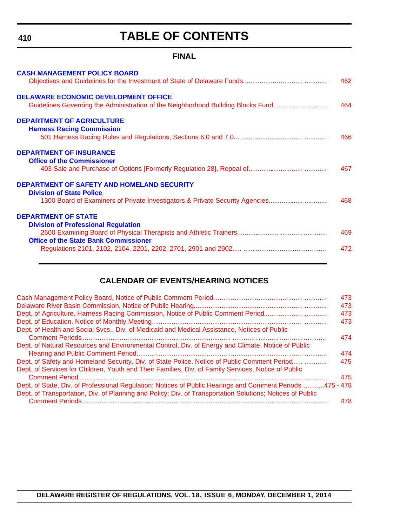**410**

# **TABLE OF CONTENTS**

### **FINAL**

| <b>DELAWARE ECONOMIC DEVELOPMENT OFFICE</b><br>Guidelines Governing the Administration of the Neighborhood Building Blocks Fund<br>464                                      | 462 |
|-----------------------------------------------------------------------------------------------------------------------------------------------------------------------------|-----|
|                                                                                                                                                                             |     |
| <b>DEPARTMENT OF AGRICULTURE</b><br><b>Harness Racing Commission</b><br>466                                                                                                 |     |
| <b>DEPARTMENT OF INSURANCE</b><br><b>Office of the Commissioner</b><br>467                                                                                                  |     |
| <b>DEPARTMENT OF SAFETY AND HOMELAND SECURITY</b><br><b>Division of State Police</b><br>1300 Board of Examiners of Private Investigators & Private Security Agencies<br>468 |     |
| <b>DEPARTMENT OF STATE</b><br><b>Division of Professional Regulation</b><br>469<br><b>Office of the State Bank Commissioner</b><br>472                                      |     |

### **CALENDAR OF EVENTS/HEARING NOTICES**

|                                                                                                           | 473 |
|-----------------------------------------------------------------------------------------------------------|-----|
|                                                                                                           | 473 |
| Dept. of Agriculture, Harness Racing Commission, Notice of Public Comment Period                          | 473 |
|                                                                                                           | 473 |
| Dept. of Health and Social Svcs., Div. of Medicaid and Medical Assistance, Notices of Public              |     |
|                                                                                                           | 474 |
| Dept. of Natural Resources and Environmental Control, Div. of Energy and Climate, Notice of Public        | 474 |
| Dept. of Safety and Homeland Security, Div. of State Police, Notice of Public Comment Period              | 475 |
| Dept. of Services for Children, Youth and Their Families, Div. of Family Services, Notice of Public       | 475 |
| Dept. of State, Div. of Professional Regulation; Notices of Public Hearings and Comment Periods 475 - 478 |     |
| Dept. of Transportation, Div. of Planning and Policy; Div. of Transportation Solutions; Notices of Public |     |
|                                                                                                           | 478 |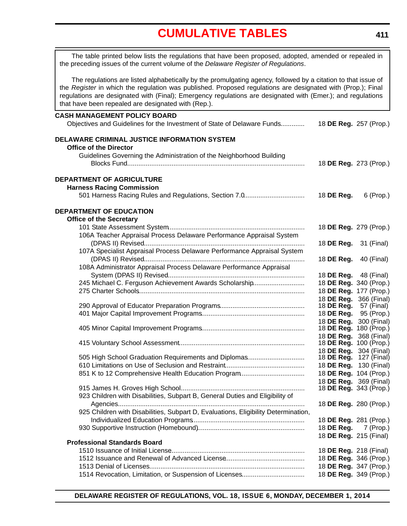<span id="page-5-0"></span>

| The table printed below lists the regulations that have been proposed, adopted, amended or repealed in<br>the preceding issues of the current volume of the Delaware Register of Regulations.                                                                                                                                                                                                      |                                                         |                          |
|----------------------------------------------------------------------------------------------------------------------------------------------------------------------------------------------------------------------------------------------------------------------------------------------------------------------------------------------------------------------------------------------------|---------------------------------------------------------|--------------------------|
| The regulations are listed alphabetically by the promulgating agency, followed by a citation to that issue of<br>the Register in which the regulation was published. Proposed regulations are designated with (Prop.); Final<br>regulations are designated with (Final); Emergency regulations are designated with (Emer.); and regulations<br>that have been repealed are designated with (Rep.). |                                                         |                          |
| <b>CASH MANAGEMENT POLICY BOARD</b>                                                                                                                                                                                                                                                                                                                                                                |                                                         |                          |
| Objectives and Guidelines for the Investment of State of Delaware Funds                                                                                                                                                                                                                                                                                                                            | 18 DE Reg. 257 (Prop.)                                  |                          |
| DELAWARE CRIMINAL JUSTICE INFORMATION SYSTEM                                                                                                                                                                                                                                                                                                                                                       |                                                         |                          |
| <b>Office of the Director</b>                                                                                                                                                                                                                                                                                                                                                                      |                                                         |                          |
| Guidelines Governing the Administration of the Neighborhood Building                                                                                                                                                                                                                                                                                                                               | 18 DE Reg. 273 (Prop.)                                  |                          |
| DEPARTMENT OF AGRICULTURE                                                                                                                                                                                                                                                                                                                                                                          |                                                         |                          |
| <b>Harness Racing Commission</b>                                                                                                                                                                                                                                                                                                                                                                   |                                                         |                          |
| 501 Harness Racing Rules and Regulations, Section 7.0                                                                                                                                                                                                                                                                                                                                              | 18 DE Reg.                                              | 6 (Prop.)                |
| <b>DEPARTMENT OF EDUCATION</b>                                                                                                                                                                                                                                                                                                                                                                     |                                                         |                          |
| <b>Office of the Secretary</b>                                                                                                                                                                                                                                                                                                                                                                     |                                                         |                          |
|                                                                                                                                                                                                                                                                                                                                                                                                    | 18 DE Reg. 279 (Prop.)                                  |                          |
| 106A Teacher Appraisal Process Delaware Performance Appraisal System                                                                                                                                                                                                                                                                                                                               | 18 DE Reg.                                              | 31 (Final)               |
| 107A Specialist Appraisal Process Delaware Performance Appraisal System                                                                                                                                                                                                                                                                                                                            |                                                         |                          |
|                                                                                                                                                                                                                                                                                                                                                                                                    | 18 DE Reg.                                              | 40 (Final)               |
| 108A Administrator Appraisal Process Delaware Performance Appraisal                                                                                                                                                                                                                                                                                                                                |                                                         |                          |
|                                                                                                                                                                                                                                                                                                                                                                                                    | 18 DE Reg.                                              | 48 (Final)               |
| 245 Michael C. Ferguson Achievement Awards Scholarship                                                                                                                                                                                                                                                                                                                                             | 18 DE Reg. 340 (Prop.)                                  |                          |
|                                                                                                                                                                                                                                                                                                                                                                                                    | 18 DE Reg. 177 (Prop.)                                  |                          |
|                                                                                                                                                                                                                                                                                                                                                                                                    | 18 DE Reg.                                              | 366 (Final)              |
|                                                                                                                                                                                                                                                                                                                                                                                                    | 18 DE Reg.<br>18 DE Reg.                                | 57 (Final)<br>95 (Prop.) |
|                                                                                                                                                                                                                                                                                                                                                                                                    | 18 DE Reg.                                              | 300 (Final)              |
|                                                                                                                                                                                                                                                                                                                                                                                                    | 18 DE Reg. 180 (Prop.)                                  |                          |
|                                                                                                                                                                                                                                                                                                                                                                                                    | 18 DE Reg.                                              | 368 (Final)              |
|                                                                                                                                                                                                                                                                                                                                                                                                    | 18 DE Reg. 100 (Prop.)                                  |                          |
| 505 High School Graduation Requirements and Diplomas                                                                                                                                                                                                                                                                                                                                               | 18 DE Reg. 304 (Final)                                  |                          |
|                                                                                                                                                                                                                                                                                                                                                                                                    | 18 <b>DE Reg.</b> 127 (Final)<br>18 DE Reg. 130 (Final) |                          |
|                                                                                                                                                                                                                                                                                                                                                                                                    | 18 DE Reg. 104 (Prop.)                                  |                          |
|                                                                                                                                                                                                                                                                                                                                                                                                    | 18 DE Reg. 369 (Final)                                  |                          |
|                                                                                                                                                                                                                                                                                                                                                                                                    | 18 DE Reg. 343 (Prop.)                                  |                          |
| 923 Children with Disabilities, Subpart B, General Duties and Eligibility of                                                                                                                                                                                                                                                                                                                       |                                                         |                          |
|                                                                                                                                                                                                                                                                                                                                                                                                    | 18 DE Reg. 280 (Prop.)                                  |                          |
| 925 Children with Disabilities, Subpart D, Evaluations, Eligibility Determination,                                                                                                                                                                                                                                                                                                                 |                                                         |                          |
|                                                                                                                                                                                                                                                                                                                                                                                                    | 18 DE Reg. 281 (Prop.)                                  |                          |
|                                                                                                                                                                                                                                                                                                                                                                                                    | 18 DE Reg.<br>18 DE Reg. 215 (Final)                    | 7 (Prop.)                |
| <b>Professional Standards Board</b>                                                                                                                                                                                                                                                                                                                                                                |                                                         |                          |
|                                                                                                                                                                                                                                                                                                                                                                                                    | 18 <b>DE Reg.</b> 218 (Final)                           |                          |
|                                                                                                                                                                                                                                                                                                                                                                                                    | 18 DE Reg. 346 (Prop.)                                  |                          |
|                                                                                                                                                                                                                                                                                                                                                                                                    | 18 DE Reg. 347 (Prop.)                                  |                          |
|                                                                                                                                                                                                                                                                                                                                                                                                    | 18 DE Reg. 349 (Prop.)                                  |                          |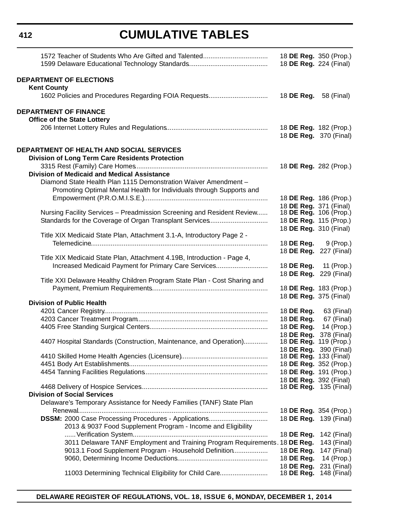|                                                                             | 18 DE Reg. 224 (Final)       | 18 DE Reg. 350 (Prop.)                           |
|-----------------------------------------------------------------------------|------------------------------|--------------------------------------------------|
| <b>DEPARTMENT OF ELECTIONS</b>                                              |                              |                                                  |
| <b>Kent County</b>                                                          |                              |                                                  |
|                                                                             | 18 <b>DE Reg.</b> 58 (Final) |                                                  |
| <b>DEPARTMENT OF FINANCE</b>                                                |                              |                                                  |
| <b>Office of the State Lottery</b>                                          |                              |                                                  |
|                                                                             |                              | 18 DE Reg. 182 (Prop.)<br>18 DE Reg. 370 (Final) |
| DEPARTMENT OF HEALTH AND SOCIAL SERVICES                                    |                              |                                                  |
| <b>Division of Long Term Care Residents Protection</b>                      |                              |                                                  |
|                                                                             |                              | 18 DE Reg. 282 (Prop.)                           |
| <b>Division of Medicaid and Medical Assistance</b>                          |                              |                                                  |
| Diamond State Health Plan 1115 Demonstration Waiver Amendment -             |                              |                                                  |
| Promoting Optimal Mental Health for Individuals through Supports and        |                              |                                                  |
|                                                                             |                              | 18 DE Reg. 186 (Prop.)                           |
|                                                                             | 18 DE Reg. 371 (Final)       |                                                  |
| Nursing Facility Services - Preadmission Screening and Resident Review      |                              | 18 DE Reg. 106 (Prop.)                           |
| Standards for the Coverage of Organ Transplant Services                     | 18 DE Reg. 310 (Final)       | 18 DE Reg. 115 (Prop.)                           |
| Title XIX Medicaid State Plan, Attachment 3.1-A, Introductory Page 2 -      |                              |                                                  |
|                                                                             |                              | 18 <b>DE Reg.</b> 9 (Prop.)                      |
|                                                                             |                              | 18 DE Reg. 227 (Final)                           |
| Title XIX Medicaid State Plan, Attachment 4.19B, Introduction - Page 4,     |                              |                                                  |
| Increased Medicaid Payment for Primary Care Services                        |                              | 18 DE Reg. 11 (Prop.)                            |
|                                                                             |                              | 18 DE Reg. 229 (Final)                           |
| Title XXI Delaware Healthy Children Program State Plan - Cost Sharing and   |                              |                                                  |
|                                                                             | 18 DE Reg. 375 (Final)       | 18 DE Reg. 183 (Prop.)                           |
| <b>Division of Public Health</b>                                            |                              |                                                  |
|                                                                             | 18 DE Reg.                   | 63 (Final)                                       |
|                                                                             | 18 DE Reg.                   | 67 (Final)                                       |
|                                                                             | 18 DE Reg.                   | 14 (Prop.)                                       |
|                                                                             | 18 DE Reg.                   | 378 (Final)                                      |
| 4407 Hospital Standards (Construction, Maintenance, and Operation)          |                              | 18 <b>DE Reg.</b> 119 (Prop.)                    |
|                                                                             |                              | 18 DE Reg. 390 (Final)                           |
|                                                                             | 18 DE Reg. 133 (Final)       | 18 DE Reg. 352 (Prop.)                           |
|                                                                             |                              | 18 DE Reg. 191 (Prop.)                           |
|                                                                             | 18 DE Reg. 392 (Final)       |                                                  |
|                                                                             |                              | 18 <b>DE Reg.</b> 135 (Final)                    |
| <b>Division of Social Services</b>                                          |                              |                                                  |
| Delaware's Temporary Assistance for Needy Families (TANF) State Plan        |                              |                                                  |
|                                                                             |                              | 18 DE Reg. 354 (Prop.)                           |
|                                                                             |                              | 18 <b>DE Reg.</b> 139 (Final)                    |
| 2013 & 9037 Food Supplement Program - Income and Eligibility                |                              |                                                  |
|                                                                             | 18 DE Reg.                   | 142 (Final)                                      |
| 3011 Delaware TANF Employment and Training Program Requirements. 18 DE Reg. |                              | 143 (Final)                                      |
| 9013.1 Food Supplement Program - Household Definition                       | 18 DE Reg.                   | 147 (Final)                                      |
|                                                                             | 18 DE Reg.                   | 14 (Prop.)                                       |
|                                                                             | 18 DE Reg.                   | 231 (Final)                                      |
| 11003 Determining Technical Eligibility for Child Care                      | 18 DE Reg.                   | 148 (Final)                                      |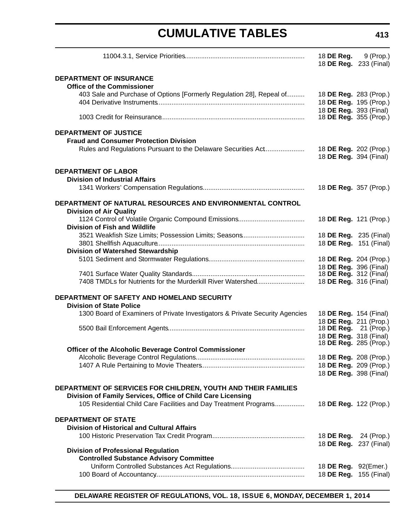|                                                                                                                              | 18 <b>DE Reg.</b> 9 (Prop.)<br>18 DE Reg. 233 (Final)   |             |
|------------------------------------------------------------------------------------------------------------------------------|---------------------------------------------------------|-------------|
| <b>DEPARTMENT OF INSURANCE</b><br><b>Office of the Commissioner</b>                                                          |                                                         |             |
| 403 Sale and Purchase of Options [Formerly Regulation 28], Repeal of                                                         | 18 DE Reg. 283 (Prop.)<br>18 DE Reg. 195 (Prop.)        |             |
|                                                                                                                              | 18 DE Reg. 393 (Final)<br>18 <b>DE Reg.</b> 355 (Prop.) |             |
| <b>DEPARTMENT OF JUSTICE</b>                                                                                                 |                                                         |             |
| <b>Fraud and Consumer Protection Division</b><br>Rules and Regulations Pursuant to the Delaware Securities Act               | 18 DE Reg. 202 (Prop.)<br>18 DE Reg. 394 (Final)        |             |
| <b>DEPARTMENT OF LABOR</b>                                                                                                   |                                                         |             |
| <b>Division of Industrial Affairs</b>                                                                                        | 18 DE Reg. 357 (Prop.)                                  |             |
| DEPARTMENT OF NATURAL RESOURCES AND ENVIRONMENTAL CONTROL<br><b>Division of Air Quality</b>                                  |                                                         |             |
| <b>Division of Fish and Wildlife</b>                                                                                         | 18 DE Reg. 121 (Prop.)                                  |             |
| 3521 Weakfish Size Limits; Possession Limits; Seasons                                                                        | 18 DE Reg. 235 (Final)                                  |             |
| <b>Division of Watershed Stewardship</b>                                                                                     | 18 DE Reg. 151 (Final)                                  |             |
|                                                                                                                              | 18 DE Reg. 204 (Prop.)<br>18 DE Reg. 396 (Final)        |             |
| 7408 TMDLs for Nutrients for the Murderkill River Watershed                                                                  | 18 DE Reg. 312 (Final)<br>18 DE Reg. 316 (Final)        |             |
| DEPARTMENT OF SAFETY AND HOMELAND SECURITY                                                                                   |                                                         |             |
| <b>Division of State Police</b>                                                                                              |                                                         |             |
| 1300 Board of Examiners of Private Investigators & Private Security Agencies                                                 | 18 <b>DE Reg.</b> 154 (Final)<br>18 DE Reg. 211 (Prop.) |             |
|                                                                                                                              | 18 <b>DE Reg.</b> 21 (Prop.)                            |             |
|                                                                                                                              | 18 DE Reg. 318 (Final)<br>18 <b>DE Reg.</b> 285 (Prop.) |             |
| Officer of the Alcoholic Beverage Control Commissioner                                                                       |                                                         |             |
|                                                                                                                              | 18 DE Reg. 208 (Prop.)<br>18 DE Reg. 209 (Prop.)        |             |
|                                                                                                                              | 18 DE Reg. 398 (Final)                                  |             |
| DEPARTMENT OF SERVICES FOR CHILDREN, YOUTH AND THEIR FAMILIES<br>Division of Family Services, Office of Child Care Licensing |                                                         |             |
| 105 Residential Child Care Facilities and Day Treatment Programs                                                             | 18 DE Reg. 122 (Prop.)                                  |             |
| <b>DEPARTMENT OF STATE</b><br><b>Division of Historical and Cultural Affairs</b>                                             |                                                         |             |
|                                                                                                                              | 18 DE Reg.                                              | 24 (Prop.)  |
|                                                                                                                              | 18 DE Reg. 237 (Final)                                  |             |
| <b>Division of Professional Regulation</b><br><b>Controlled Substance Advisory Committee</b>                                 |                                                         |             |
|                                                                                                                              | 18 DE Reg. 92(Emer.)                                    |             |
|                                                                                                                              | 18 DE Reg.                                              | 155 (Final) |

**DELAWARE REGISTER OF REGULATIONS, VOL. 18, ISSUE 6, MONDAY, DECEMBER 1, 2014**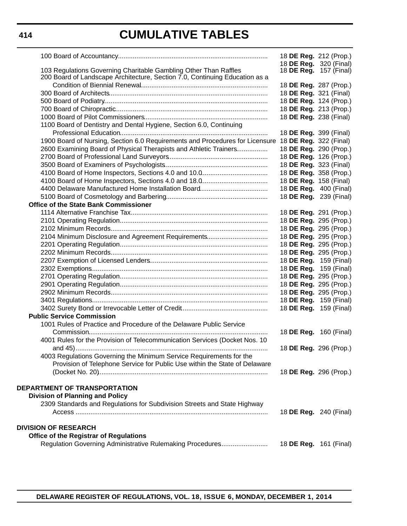|                                                                                                     | 18 DE Reg. 212 (Prop.)        |                               |
|-----------------------------------------------------------------------------------------------------|-------------------------------|-------------------------------|
|                                                                                                     | 18 DE Reg. 320 (Final)        |                               |
| 103 Regulations Governing Charitable Gambling Other Than Raffles                                    | 18 <b>DE Reg.</b> 157 (Final) |                               |
| 200 Board of Landscape Architecture, Section 7.0, Continuing Education as a                         |                               |                               |
|                                                                                                     | 18 DE Reg. 287 (Prop.)        |                               |
|                                                                                                     | 18 DE Reg. 321 (Final)        |                               |
|                                                                                                     | 18 DE Reg. 124 (Prop.)        |                               |
|                                                                                                     | 18 DE Reg. 213 (Prop.)        |                               |
|                                                                                                     | 18 DE Reg. 238 (Final)        |                               |
| 1100 Board of Dentistry and Dental Hygiene, Section 6.0, Continuing                                 |                               |                               |
|                                                                                                     | 18 DE Reg. 399 (Final)        |                               |
| 1900 Board of Nursing, Section 6.0 Requirements and Procedures for Licensure 18 DE Reg. 322 (Final) |                               |                               |
| 2600 Examining Board of Physical Therapists and Athletic Trainers                                   | 18 DE Reg. 290 (Prop.)        |                               |
|                                                                                                     | 18 DE Reg. 126 (Prop.)        |                               |
|                                                                                                     | 18 DE Reg. 323 (Final)        |                               |
|                                                                                                     | 18 DE Reg. 358 (Prop.)        |                               |
|                                                                                                     | 18 DE Reg. 158 (Final)        |                               |
|                                                                                                     | 18 DE Reg. 400 (Final)        |                               |
|                                                                                                     | 18 <b>DE Reg.</b> 239 (Final) |                               |
| <b>Office of the State Bank Commissioner</b>                                                        |                               |                               |
|                                                                                                     | 18 DE Reg. 291 (Prop.)        |                               |
|                                                                                                     | 18 DE Reg. 295 (Prop.)        |                               |
|                                                                                                     | 18 DE Reg. 295 (Prop.)        |                               |
| 2104 Minimum Disclosure and Agreement Requirements                                                  | 18 DE Reg. 295 (Prop.)        |                               |
|                                                                                                     | 18 DE Reg. 295 (Prop.)        |                               |
|                                                                                                     | 18 DE Reg. 295 (Prop.)        |                               |
|                                                                                                     | 18 <b>DE Reg.</b> 159 (Final) |                               |
|                                                                                                     | 18 DE Reg. 159 (Final)        |                               |
|                                                                                                     | 18 DE Reg. 295 (Prop.)        |                               |
|                                                                                                     | 18 DE Reg. 295 (Prop.)        |                               |
|                                                                                                     | 18 DE Reg. 295 (Prop.)        |                               |
|                                                                                                     | 18 DE Reg. 159 (Final)        |                               |
|                                                                                                     | 18 <b>DE Reg.</b> 159 (Final) |                               |
| <b>Public Service Commission</b>                                                                    |                               |                               |
| 1001 Rules of Practice and Procedure of the Delaware Public Service                                 |                               |                               |
|                                                                                                     | 18 DE Reg. 160 (Final)        |                               |
| 4001 Rules for the Provision of Telecommunication Services (Docket Nos. 10                          |                               |                               |
|                                                                                                     | 18 DE Reg. 296 (Prop.)        |                               |
| 4003 Regulations Governing the Minimum Service Requirements for the                                 |                               |                               |
| Provision of Telephone Service for Public Use within the State of Delaware                          |                               |                               |
|                                                                                                     | 18 DE Reg. 296 (Prop.)        |                               |
|                                                                                                     |                               |                               |
| DEPARTMENT OF TRANSPORTATION                                                                        |                               |                               |
| <b>Division of Planning and Policy</b>                                                              |                               |                               |
| 2309 Standards and Regulations for Subdivision Streets and State Highway                            |                               |                               |
|                                                                                                     |                               | 18 <b>DE Reg.</b> 240 (Final) |
|                                                                                                     |                               |                               |
| <b>DIVISION OF RESEARCH</b>                                                                         |                               |                               |
| <b>Office of the Registrar of Regulations</b>                                                       |                               |                               |
|                                                                                                     |                               |                               |
| Regulation Governing Administrative Rulemaking Procedures                                           | 18 <b>DE Reg.</b> 161 (Final) |                               |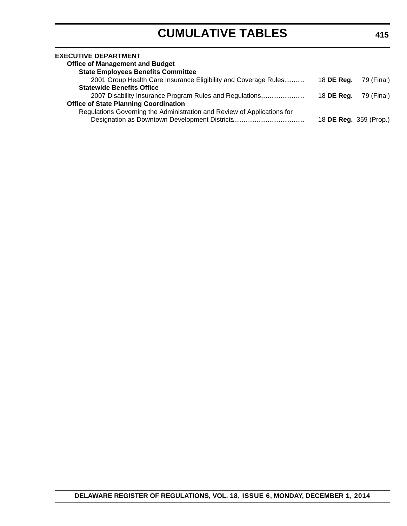| <b>EXECUTIVE DEPARTMENT</b><br><b>Office of Management and Budget</b>   |                        |            |
|-------------------------------------------------------------------------|------------------------|------------|
| <b>State Employees Benefits Committee</b>                               |                        |            |
| 2001 Group Health Care Insurance Eligibility and Coverage Rules         | 18 DE Reg.             | 79 (Final) |
| <b>Statewide Benefits Office</b>                                        |                        |            |
| 2007 Disability Insurance Program Rules and Regulations                 | 18 DE Reg.             | 79 (Final) |
| <b>Office of State Planning Coordination</b>                            |                        |            |
| Regulations Governing the Administration and Review of Applications for |                        |            |
|                                                                         | 18 DE Reg. 359 (Prop.) |            |
|                                                                         |                        |            |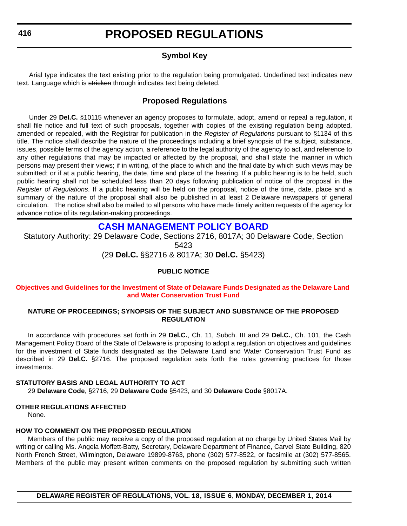### **Symbol Key**

<span id="page-10-0"></span>Arial type indicates the text existing prior to the regulation being promulgated. Underlined text indicates new text. Language which is stricken through indicates text being deleted.

#### **Proposed Regulations**

Under 29 **Del.C.** §10115 whenever an agency proposes to formulate, adopt, amend or repeal a regulation, it shall file notice and full text of such proposals, together with copies of the existing regulation being adopted, amended or repealed, with the Registrar for publication in the *Register of Regulations* pursuant to §1134 of this title. The notice shall describe the nature of the proceedings including a brief synopsis of the subject, substance, issues, possible terms of the agency action, a reference to the legal authority of the agency to act, and reference to any other regulations that may be impacted or affected by the proposal, and shall state the manner in which persons may present their views; if in writing, of the place to which and the final date by which such views may be submitted; or if at a public hearing, the date, time and place of the hearing. If a public hearing is to be held, such public hearing shall not be scheduled less than 20 days following publication of notice of the proposal in the *Register of Regulations*. If a public hearing will be held on the proposal, notice of the time, date, place and a summary of the nature of the proposal shall also be published in at least 2 Delaware newspapers of general circulation. The notice shall also be mailed to all persons who have made timely written requests of the agency for advance notice of its regulation-making proceedings.

### **[CASH MANAGEMENT POLICY BOARD](http://finance.delaware.gov/)**

Statutory Authority: 29 Delaware Code, Sections 2716, 8017A; 30 Delaware Code, Section 5423

(29 **Del.C.** §§2716 & 8017A; 30 **Del.C.** §5423)

#### **PUBLIC NOTICE**

#### **[Objectives and Guidelines for the Investment of State of Delaware Funds Designated as the Delaware Land](#page-3-0)  and Water Conservation Trust Fund**

#### **NATURE OF PROCEEDINGS; SYNOPSIS OF THE SUBJECT AND SUBSTANCE OF THE PROPOSED REGULATION**

In accordance with procedures set forth in 29 **Del.C.**, Ch. 11, Subch. III and 29 **Del.C.**, Ch. 101, the Cash Management Policy Board of the State of Delaware is proposing to adopt a regulation on objectives and guidelines for the investment of State funds designated as the Delaware Land and Water Conservation Trust Fund as described in 29 **Del.C.** §2716. The proposed regulation sets forth the rules governing practices for those investments.

#### **STATUTORY BASIS AND LEGAL AUTHORITY TO ACT**

29 **Delaware Code**, §2716, 29 **Delaware Code** §5423, and 30 **Delaware Code** §8017A.

#### **OTHER REGULATIONS AFFECTED**

None.

#### **HOW TO COMMENT ON THE PROPOSED REGULATION**

Members of the public may receive a copy of the proposed regulation at no charge by United States Mail by writing or calling Ms. Angela Moffett-Batty, Secretary, Delaware Department of Finance, Carvel State Building, 820 North French Street, Wilmington, Delaware 19899-8763, phone (302) 577-8522, or facsimile at (302) 577-8565. Members of the public may present written comments on the proposed regulation by submitting such written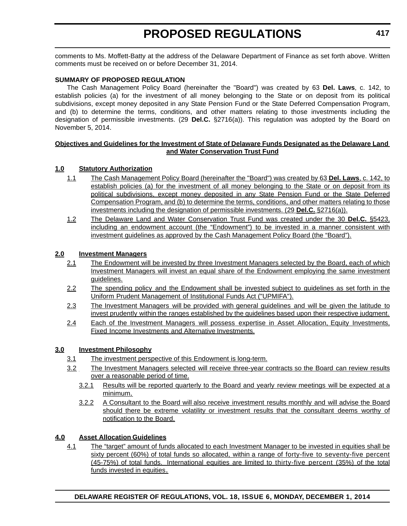comments to Ms. Moffett-Batty at the address of the Delaware Department of Finance as set forth above. Written comments must be received on or before December 31, 2014.

#### **SUMMARY OF PROPOSED REGULATION**

The Cash Management Policy Board (hereinafter the "Board") was created by 63 **Del. Laws**, c. 142, to establish policies (a) for the investment of all money belonging to the State or on deposit from its political subdivisions, except money deposited in any State Pension Fund or the State Deferred Compensation Program, and (b) to determine the terms, conditions, and other matters relating to those investments including the designation of permissible investments. (29 **Del.C.** §2716(a)). This regulation was adopted by the Board on November 5, 2014.

#### **Objectives and Guidelines for the Investment of State of Delaware Funds Designated as the Delaware Land and Water Conservation Trust Fund**

#### **1.0 Statutory Authorization**

- 1.1 The Cash Management Policy Board (hereinafter the "Board") was created by 63 **Del. Laws**, c. 142, to establish policies (a) for the investment of all money belonging to the State or on deposit from its political subdivisions, except money deposited in any State Pension Fund or the State Deferred Compensation Program, and (b) to determine the terms, conditions, and other matters relating to those investments including the designation of permissible investments. (29 **Del.C.** §2716(a)).
- 1.2 The Delaware Land and Water Conservation Trust Fund was created under the 30 **Del.C.** §5423, including an endowment account (the "Endowment") to be invested in a manner consistent with investment guidelines as approved by the Cash Management Policy Board (the "Board").

#### **2.0 Investment Managers**

- 2.1 The Endowment will be invested by three Investment Managers selected by the Board, each of which Investment Managers will invest an equal share of the Endowment employing the same investment guidelines.
- 2.2 The spending policy and the Endowment shall be invested subject to guidelines as set forth in the Uniform Prudent Management of Institutional Funds Act ("UPMIFA").
- 2.3 The Investment Managers will be provided with general guidelines and will be given the latitude to invest prudently within the ranges established by the guidelines based upon their respective judgment.
- 2.4 Each of the Investment Managers will possess expertise in Asset Allocation, Equity Investments, Fixed Income Investments and Alternative Investments.

#### **3.0 Investment Philosophy**

- 3.1 The investment perspective of this Endowment is long-term.
- 3.2 The Investment Managers selected will receive three-year contracts so the Board can review results over a reasonable period of time.
	- 3.2.1 Results will be reported quarterly to the Board and yearly review meetings will be expected at a minimum.
	- 3.2.2 A Consultant to the Board will also receive investment results monthly and will advise the Board should there be extreme volatility or investment results that the consultant deems worthy of notification to the Board.

#### **4.0 Asset Allocation Guidelines**

4.1 The "target" amount of funds allocated to each Investment Manager to be invested in equities shall be sixty percent (60%) of total funds so allocated, within a range of forty-five to seventy-five percent (45-75%) of total funds. International equities are limited to thirty-five percent (35%) of the total funds invested in equities.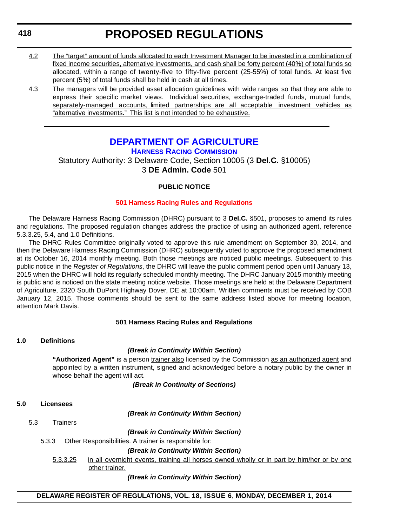<span id="page-12-0"></span>**418**

# **PROPOSED REGULATIONS**

- 4.2 The "target" amount of funds allocated to each Investment Manager to be invested in a combination of fixed income securities, alternative investments, and cash shall be forty percent (40%) of total funds so allocated, within a range of twenty-five to fifty-five percent (25-55%) of total funds. At least five percent (5%) of total funds shall be held in cash at all times.
- 4.3 The managers will be provided asset allocation guidelines with wide ranges so that they are able to express their specific market views. Individual securities, exchange-traded funds, mutual funds, separately-managed accounts, limited partnerships are all acceptable investment vehicles as "alternative investments." This list is not intended to be exhaustive.

### **[DEPARTMENT OF AGRICULTURE](http://dda.delaware.gov/harness/) HARNESS RACING COMMISSION**

Statutory Authority: 3 Delaware Code, Section 10005 (3 **Del.C.** §10005) 3 **DE Admin. Code** 501

### **PUBLIC NOTICE**

#### **[501 Harness Racing Rules and Regulations](#page-3-0)**

The Delaware Harness Racing Commission (DHRC) pursuant to 3 **Del.C.** §501, proposes to amend its rules and regulations*.* The proposed regulation changes address the practice of using an authorized agent, reference 5.3.3.25, 5.4, and 1.0 Definitions.

The DHRC Rules Committee originally voted to approve this rule amendment on September 30, 2014, and then the Delaware Harness Racing Commission (DHRC) subsequently voted to approve the proposed amendment at its October 16, 2014 monthly meeting. Both those meetings are noticed public meetings. Subsequent to this public notice in the *Register of Regulations*, the DHRC will leave the public comment period open until January 13, 2015 when the DHRC will hold its regularly scheduled monthly meeting. The DHRC January 2015 monthly meeting is public and is noticed on the state meeting notice website. Those meetings are held at the Delaware Department of Agriculture, 2320 South DuPont Highway Dover, DE at 10:00am. Written comments must be received by COB January 12, 2015. Those comments should be sent to the same address listed above for meeting location, attention Mark Davis.

#### **501 Harness Racing Rules and Regulations**

#### **1.0 Definitions**

#### *(Break in Continuity Within Section)*

**"Authorized Agent"** is a person trainer also licensed by the Commission as an authorized agent and appointed by a written instrument, signed and acknowledged before a notary public by the owner in whose behalf the agent will act.

*(Break in Continuity of Sections)*

#### **5.0 Licensees**

*(Break in Continuity Within Section)*

5.3 Trainers

*(Break in Continuity Within Section)*

5.3.3 Other Responsibilities. A trainer is responsible for:

*(Break in Continuity Within Section)*

5.3.3.25 in all overnight events, training all horses owned wholly or in part by him/her or by one other trainer.

#### *(Break in Continuity Within Section)*

#### **DELAWARE REGISTER OF REGULATIONS, VOL. 18, ISSUE 6, MONDAY, DECEMBER 1, 2014**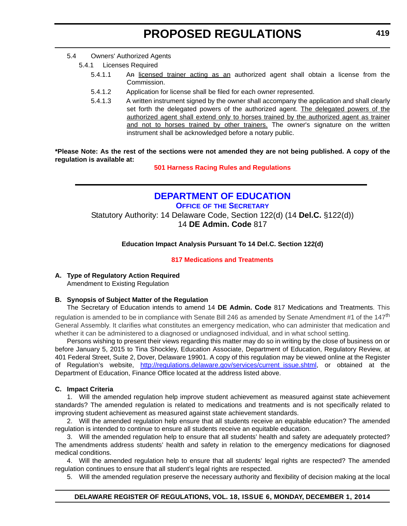- <span id="page-13-0"></span>5.4 Owners' Authorized Agents
	- 5.4.1 Licenses Required
		- 5.4.1.1 An licensed trainer acting as an authorized agent shall obtain a license from the Commission.
		- 5.4.1.2 Application for license shall be filed for each owner represented.
		- 5.4.1.3 A written instrument signed by the owner shall accompany the application and shall clearly set forth the delegated powers of the authorized agent. The delegated powers of the authorized agent shall extend only to horses trained by the authorized agent as trainer and not to horses trained by other trainers. The owner's signature on the written instrument shall be acknowledged before a notary public.

**\*Please Note: As the rest of the sections were not amended they are not being published. A copy of the regulation is available at:**

**[501 Harness Racing Rules and Regulations](http://regulations.delaware.gov/register/december2014/proposed/18 DE Reg 418 12-01-14.htm)**

### **[DEPARTMENT OF EDUCATION](http://www.doe.k12.de.us/site/default.aspx?PageID=1)**

**OFFICE OF THE SECRETARY** Statutory Authority: 14 Delaware Code, Section 122(d) (14 **Del.C.** §122(d)) 14 **DE Admin. Code** 817

**Education Impact Analysis Pursuant To 14 Del.C. Section 122(d)**

#### **[817 Medications and Treatments](#page-3-0)**

#### **A. Type of Regulatory Action Required**

Amendment to Existing Regulation

#### **B. Synopsis of Subject Matter of the Regulation**

The Secretary of Education intends to amend 14 **DE Admin. Code** 817 Medications and Treatments. This regulation is amended to be in compliance with Senate Bill 246 as amended by Senate Amendment #1 of the 147<sup>th</sup> General Assembly. It clarifies what constitutes an emergency medication, who can administer that medication and whether it can be administered to a diagnosed or undiagnosed individual, and in what school setting.

Persons wishing to present their views regarding this matter may do so in writing by the close of business on or before January 5, 2015 to Tina Shockley, Education Associate, Department of Education, Regulatory Review, at 401 Federal Street, Suite 2, Dover, Delaware 19901. A copy of this regulation may be viewed online at the Register of Regulation's website, [http://regulations.delaware.gov/services/current\\_issue.shtml](http://regulations.delaware.gov/services/current_issue.shtml), or obtained at the Department of Education, Finance Office located at the address listed above.

#### **C. Impact Criteria**

1. Will the amended regulation help improve student achievement as measured against state achievement standards? The amended regulation is related to medications and treatments and is not specifically related to improving student achievement as measured against state achievement standards.

2. Will the amended regulation help ensure that all students receive an equitable education? The amended regulation is intended to continue to ensure all students receive an equitable education.

3. Will the amended regulation help to ensure that all students' health and safety are adequately protected? The amendments address students' health and safety in relation to the emergency medications for diagnosed medical conditions.

4. Will the amended regulation help to ensure that all students' legal rights are respected? The amended regulation continues to ensure that all student's legal rights are respected.

5. Will the amended regulation preserve the necessary authority and flexibility of decision making at the local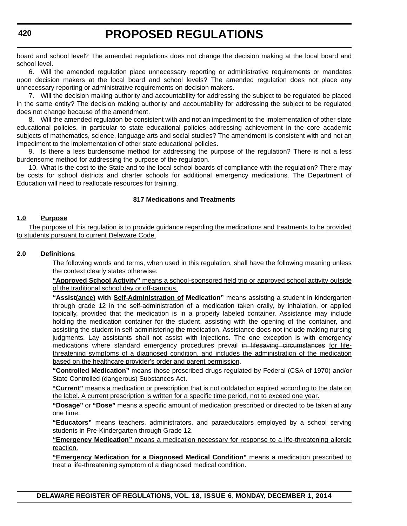board and school level? The amended regulations does not change the decision making at the local board and school level.

6. Will the amended regulation place unnecessary reporting or administrative requirements or mandates upon decision makers at the local board and school levels? The amended regulation does not place any unnecessary reporting or administrative requirements on decision makers.

7. Will the decision making authority and accountability for addressing the subject to be regulated be placed in the same entity? The decision making authority and accountability for addressing the subject to be regulated does not change because of the amendment.

8. Will the amended regulation be consistent with and not an impediment to the implementation of other state educational policies, in particular to state educational policies addressing achievement in the core academic subjects of mathematics, science, language arts and social studies? The amendment is consistent with and not an impediment to the implementation of other state educational policies.

9. Is there a less burdensome method for addressing the purpose of the regulation? There is not a less burdensome method for addressing the purpose of the regulation.

10. What is the cost to the State and to the local school boards of compliance with the regulation? There may be costs for school districts and charter schools for additional emergency medications. The Department of Education will need to reallocate resources for training.

#### **817 Medications and Treatments**

#### **1.0 Purpose**

The purpose of this regulation is to provide guidance regarding the medications and treatments to be provided to students pursuant to current Delaware Code.

#### **2.0 Definitions**

The following words and terms, when used in this regulation, shall have the following meaning unless the context clearly states otherwise:

**"Approved School Activity"** means a school-sponsored field trip or approved school activity outside of the traditional school day or off-campus.

**"Assist(ance) with Self-Administration of Medication"** means assisting a student in kindergarten through grade 12 in the self-administration of a medication taken orally, by inhalation, or applied topically, provided that the medication is in a properly labeled container. Assistance may include holding the medication container for the student, assisting with the opening of the container, and assisting the student in self-administering the medication. Assistance does not include making nursing judgments. Lay assistants shall not assist with injections. The one exception is with emergency medications where standard emergency procedures prevail in lifesaving circumstances for lifethreatening symptoms of a diagnosed condition, and includes the administration of the medication based on the healthcare provider's order and parent permission.

**"Controlled Medication"** means those prescribed drugs regulated by Federal (CSA of 1970) and/or State Controlled (dangerous) Substances Act.

**"Current"** means a medication or prescription that is not outdated or expired according to the date on the label. A current prescription is written for a specific time period, not to exceed one year.

**"Dosage"** or **"Dose"** means a specific amount of medication prescribed or directed to be taken at any one time.

**"Educators"** means teachers, administrators, and paraeducators employed by a school-serving students in Pre-Kindergarten through Grade 12.

**"Emergency Medication"** means a medication necessary for response to a life-threatening allergic reaction.

**"Emergency Medication for a Diagnosed Medical Condition"** means a medication prescribed to treat a life-threatening symptom of a diagnosed medical condition.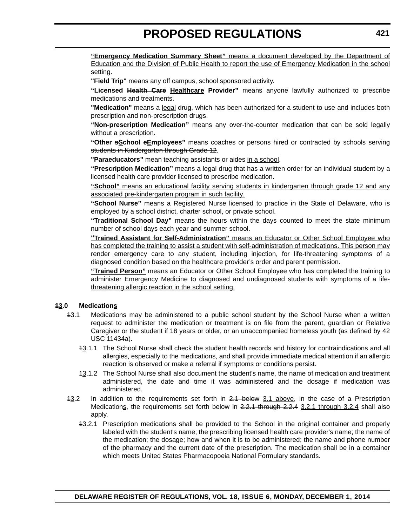**"Emergency Medication Summary Sheet"** means a document developed by the Department of Education and the Division of Public Health to report the use of Emergency Medication in the school setting.

**"Field Trip"** means any off campus, school sponsored activity.

**"Licensed Health Care Healthcare Provider"** means anyone lawfully authorized to prescribe medications and treatments.

**"Medication"** means a legal drug, which has been authorized for a student to use and includes both prescription and non-prescription drugs.

**"Non-prescription Medication"** means any over-the-counter medication that can be sold legally without a prescription.

**"Other sSchool eEmployees"** means coaches or persons hired or contracted by schools serving students in Kindergarten through Grade 12.

**"Paraeducators"** mean teaching assistants or aides in a school.

**"Prescription Medication"** means a legal drug that has a written order for an individual student by a licensed health care provider licensed to prescribe medication.

**"School"** means an educational facility serving students in kindergarten through grade 12 and any associated pre-kindergarten program in such facility.

**"School Nurse"** means a Registered Nurse licensed to practice in the State of Delaware, who is employed by a school district, charter school, or private school.

**"Traditional School Day"** means the hours within the days counted to meet the state minimum number of school days each year and summer school.

**"Trained Assistant for Self-Administration"** means an Educator or Other School Employee who has completed the training to assist a student with self-administration of medications. This person may render emergency care to any student, including injection, for life-threatening symptoms of a diagnosed condition based on the healthcare provider's order and parent permission.

**"Trained Person"** means an Educator or Other School Employee who has completed the training to administer Emergency Medicine to diagnosed and undiagnosed students with symptoms of a lifethreatening allergic reaction in the school setting.

#### **13.0 Medications**

- 13.1 Medications may be administered to a public school student by the School Nurse when a written request to administer the medication or treatment is on file from the parent, guardian or Relative Caregiver or the student if 18 years or older, or an unaccompanied homeless youth (as defined by 42 USC 11434a).
	- 13.1.1 The School Nurse shall check the student health records and history for contraindications and all allergies, especially to the medications, and shall provide immediate medical attention if an allergic reaction is observed or make a referral if symptoms or conditions persist.
	- 13.1.2 The School Nurse shall also document the student's name, the name of medication and treatment administered, the date and time it was administered and the dosage if medication was administered.
- 43.2 In addition to the requirements set forth in 2.1 below 3.1 above, in the case of a Prescription Medications, the requirements set forth below in 2.2.1 through 2.2.4 3.2.1 through 3.2.4 shall also apply.
	- 13.2.1 Prescription medications shall be provided to the School in the original container and properly labeled with the student's name; the prescribing licensed health care provider's name; the name of the medication; the dosage; how and when it is to be administered; the name and phone number of the pharmacy and the current date of the prescription. The medication shall be in a container which meets United States Pharmacopoeia National Formulary standards.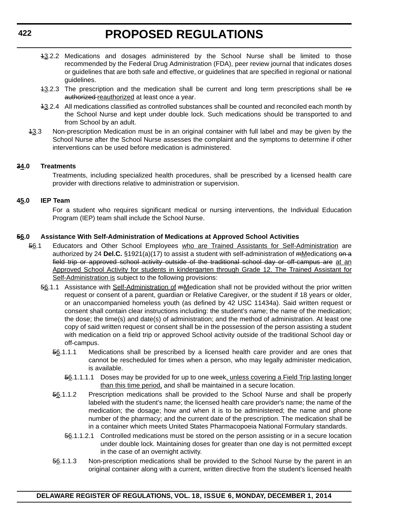- 13.2.2 Medications and dosages administered by the School Nurse shall be limited to those recommended by the Federal Drug Administration (FDA), peer review journal that indicates doses or guidelines that are both safe and effective, or guidelines that are specified in regional or national guidelines.
- 13.2.3 The prescription and the medication shall be current and long term prescriptions shall be re authorized reauthorized at least once a year.
- 13.2.4 All medications classified as controlled substances shall be counted and reconciled each month by the School Nurse and kept under double lock. Such medications should be transported to and from School by an adult.
- 43.3 Non-prescription Medication must be in an original container with full label and may be given by the School Nurse after the School Nurse assesses the complaint and the symptoms to determine if other interventions can be used before medication is administered.

#### **34.0 Treatments**

Treatments, including specialized health procedures, shall be prescribed by a licensed health care provider with directions relative to administration or supervision.

#### **45.0 IEP Team**

For a student who requires significant medical or nursing interventions, the Individual Education Program (IEP) team shall include the School Nurse.

#### **56.0 Assistance With Self-Administration of Medications at Approved School Activities**

- 56.1 Educators and Other School Employees who are Trained Assistants for Self-Administration are authorized by 24 **Del.C.** §1921(a)(17) to assist a student with self-administration of mMedications on a field trip or approved school activity outside of the traditional school day or off-campus are at an Approved School Activity for students in kindergarten through Grade 12. The Trained Assistant for Self-Administration is subject to the following provisions:
	- 56.1.1 Assistance with Self-Administration of mMedication shall not be provided without the prior written request or consent of a parent, guardian or Relative Caregiver, or the student if 18 years or older, or an unaccompanied homeless youth (as defined by 42 USC 11434a). Said written request or consent shall contain clear instructions including: the student's name; the name of the medication; the dose; the time(s) and date(s) of administration; and the method of administration. At least one copy of said written request or consent shall be in the possession of the person assisting a student with medication on a field trip or approved School activity outside of the traditional School day or off-campus.
		- 56.1.1.1 Medications shall be prescribed by a licensed health care provider and are ones that cannot be rescheduled for times when a person, who may legally administer medication, is available.
			- 56.1.1.1.1 Doses may be provided for up to one week, unless covering a Field Trip lasting longer than this time period, and shall be maintained in a secure location.
		- 56.1.1.2 Prescription medications shall be provided to the School Nurse and shall be properly labeled with the student's name; the licensed health care provider's name; the name of the medication; the dosage; how and when it is to be administered; the name and phone number of the pharmacy; and the current date of the prescription. The medication shall be in a container which meets United States Pharmacopoeia National Formulary standards.
			- 56.1.1.2.1 Controlled medications must be stored on the person assisting or in a secure location under double lock. Maintaining doses for greater than one day is not permitted except in the case of an overnight activity.
		- 56.1.1.3 Non-prescription medications shall be provided to the School Nurse by the parent in an original container along with a current, written directive from the student's licensed health

**DELAWARE REGISTER OF REGULATIONS, VOL. 18, ISSUE 6, MONDAY, DECEMBER 1, 2014**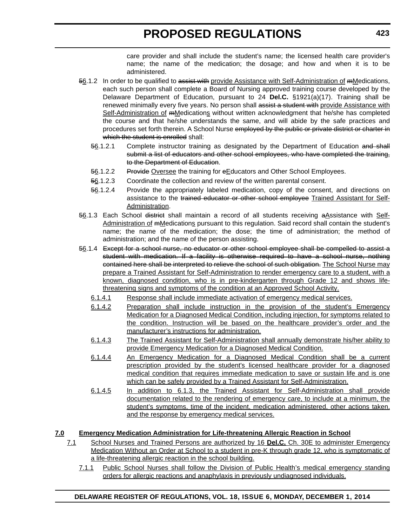care provider and shall include the student's name; the licensed health care provider's name; the name of the medication; the dosage; and how and when it is to be administered.

- 56.1.2 In order to be qualified to assist with provide Assistance with Self-Administration of mMedications, each such person shall complete a Board of Nursing approved training course developed by the Delaware Department of Education, pursuant to 24 **Del.C.** §1921(a)(17). Training shall be renewed minimally every five years. No person shall assist a student with provide Assistance with Self-Administration of mMedications without written acknowledgment that he/she has completed the course and that he/she understands the same, and will abide by the safe practices and procedures set forth therein. A School Nurse employed by the public or private district or charter in which the student is enrolled shall:
	- 56.1.2.1 Complete instructor training as designated by the Department of Education and shall submit a list of educators and other school employees, who have completed the training, to the Department of Education.
	- 56.1.2.2 Provide Oversee the training for eEducators and Other School Employees.
	- 56.1.2.3 Coordinate the collection and review of the written parental consent.
	- 56.1.2.4 Provide the appropriately labeled medication, copy of the consent, and directions on assistance to the trained educator or other school employee Trained Assistant for Self-Administration.
- 56.1.3 Each School district shall maintain a record of all students receiving aAssistance with Self-Administration of mMedications pursuant to this regulation. Said record shall contain the student's name; the name of the medication; the dose; the time of administration; the method of administration; and the name of the person assisting.
- 56.1.4 Except for a school nurse, no educator or other school employee shall be compelled to assist a student with medication. If a facility is otherwise required to have a school nurse, nothing contained here shall be interpreted to relieve the school of such obligation. The School Nurse may prepare a Trained Assistant for Self-Administration to render emergency care to a student, with a known, diagnosed condition, who is in pre-kindergarten through Grade 12 and shows lifethreatening signs and symptoms of the condition at an Approved School Activity.
	- 6.1.4.1 Response shall include immediate activation of emergency medical services.
	- 6.1.4.2 Preparation shall include instruction in the provision of the student's Emergency Medication for a Diagnosed Medical Condition, including injection, for symptoms related to the condition. Instruction will be based on the healthcare provider's order and the manufacturer's instructions for administration.
	- 6.1.4.3 The Trained Assistant for Self-Administration shall annually demonstrate his/her ability to provide Emergency Medication for a Diagnosed Medical Condition.
	- 6.1.4.4 An Emergency Medication for a Diagnosed Medical Condition shall be a current prescription provided by the student's licensed healthcare provider for a diagnosed medical condition that requires immediate medication to save or sustain life and is one which can be safely provided by a Trained Assistant for Self-Administration.
	- 6.1.4.5 In addition to 6.1.3, the Trained Assistant for Self-Administration shall provide documentation related to the rendering of emergency care, to include at a minimum, the student's symptoms, time of the incident, medication administered, other actions taken, and the response by emergency medical services.

#### **7.0 Emergency Medication Administration for Life-threatening Allergic Reaction in School**

- 7.1 School Nurses and Trained Persons are authorized by 16 **Del.C.** Ch. 30E to administer Emergency Medication Without an Order at School to a student in pre-K through grade 12, who is symptomatic of a life-threatening allergic reaction in the school building.
	- 7.1.1 Public School Nurses shall follow the Division of Public Health's medical emergency standing orders for allergic reactions and anaphylaxis in previously undiagnosed individuals.

**423**

#### **DELAWARE REGISTER OF REGULATIONS, VOL. 18, ISSUE 6, MONDAY, DECEMBER 1, 2014**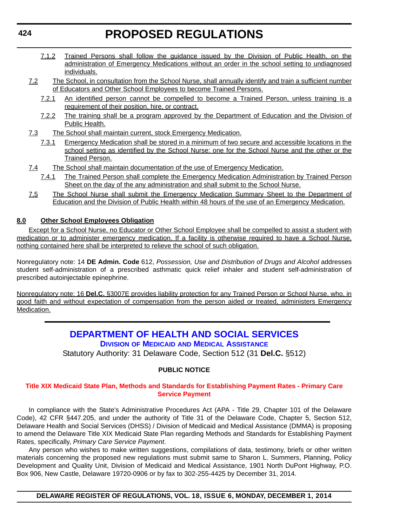- <span id="page-18-0"></span>7.1.2 Trained Persons shall follow the guidance issued by the Division of Public Health. on the administration of Emergency Medications without an order in the school setting to undiagnosed individuals.
- 7.2 The School, in consultation from the School Nurse, shall annually identify and train a sufficient number of Educators and Other School Employees to become Trained Persons.
	- 7.2.1 An identified person cannot be compelled to become a Trained Person, unless training is a requirement of their position, hire, or contract.
	- 7.2.2 The training shall be a program approved by the Department of Education and the Division of Public Health.
- 7.3 The School shall maintain current, stock Emergency Medication.
	- 7.3.1 Emergency Medication shall be stored in a minimum of two secure and accessible locations in the school setting as identified by the School Nurse: one for the School Nurse and the other or the Trained Person.
- 7.4 The School shall maintain documentation of the use of Emergency Medication.
	- 7.4.1 The Trained Person shall complete the Emergency Medication Administration by Trained Person Sheet on the day of the any administration and shall submit to the School Nurse.
- 7.5 The School Nurse shall submit the Emergency Medication Summary Sheet to the Department of Education and the Division of Public Health within 48 hours of the use of an Emergency Medication.

#### **8.0 Other School Employees Obligation**

Except for a School Nurse, no Educator or Other School Employee shall be compelled to assist a student with medication or to administer emergency medication. If a facility is otherwise required to have a School Nurse, nothing contained here shall be interpreted to relieve the school of such obligation.

Nonregulatory note: 14 **DE Admin. Code** 612, *Possession, Use and Distribution of Drugs and Alcohol* addresses student self-administration of a prescribed asthmatic quick relief inhaler and student self-administration of prescribed autoinjectable epinephrine.

Nonregulatory note: 16 **Del.C.** §3007E provides liability protection for any Trained Person or School Nurse, who, in good faith and without expectation of compensation from the person aided or treated, administers Emergency Medication.

#### **[DEPARTMENT OF HEALTH AND SOCIAL SERVICES](http://www.dhss.delaware.gov/dhss/dmma/) DIVISION OF MEDICAID AND MEDICAL ASSISTANCE**

Statutory Authority: 31 Delaware Code, Section 512 (31 **Del.C.** §512)

#### **PUBLIC NOTICE**

#### **[Title XIX Medicaid State Plan, Methods and Standards for Establishing Payment Rates - Primary Care](#page-3-0)  Service Payment**

In compliance with the State's Administrative Procedures Act (APA - Title 29, Chapter 101 of the Delaware Code), 42 CFR §447.205, and under the authority of Title 31 of the Delaware Code, Chapter 5, Section 512, Delaware Health and Social Services (DHSS) / Division of Medicaid and Medical Assistance (DMMA) is proposing to amend the Delaware Title XIX Medicaid State Plan regarding Methods and Standards for Establishing Payment Rates, specifically, *Primary Care Service Payment*.

Any person who wishes to make written suggestions, compilations of data, testimony, briefs or other written materials concerning the proposed new regulations must submit same to Sharon L. Summers, Planning, Policy Development and Quality Unit, Division of Medicaid and Medical Assistance, 1901 North DuPont Highway, P.O. Box 906, New Castle, Delaware 19720-0906 or by fax to 302-255-4425 by December 31, 2014.

**DELAWARE REGISTER OF REGULATIONS, VOL. 18, ISSUE 6, MONDAY, DECEMBER 1, 2014**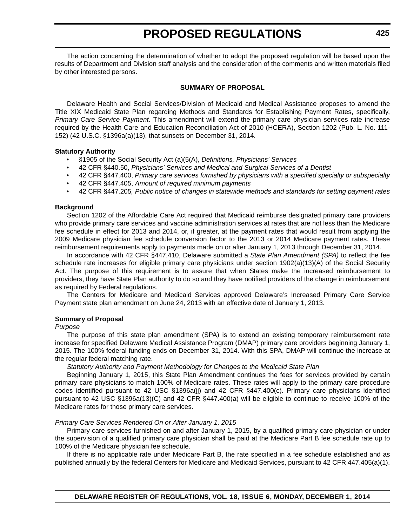The action concerning the determination of whether to adopt the proposed regulation will be based upon the results of Department and Division staff analysis and the consideration of the comments and written materials filed by other interested persons.

#### **SUMMARY OF PROPOSAL**

Delaware Health and Social Services/Division of Medicaid and Medical Assistance proposes to amend the Title XIX Medicaid State Plan regarding Methods and Standards for Establishing Payment Rates, specifically, *Primary Care Service Payment*. This amendment will extend the primary care physician services rate increase required by the Health Care and Education Reconciliation Act of 2010 (HCERA), Section 1202 (Pub. L. No. 111- 152) (42 U.S.C. §1396a(a)(13), that sunsets on December 31, 2014.

#### **Statutory Authority**

- §1905 of the Social Security Act (a)(5(A), *Definitions, Physicians' Services*
- 42 CFR §440.50, *Physicians' Services and Medical and Surgical Services of a Dentist*
- 42 CFR §447.400, *Primary care services furnished by physicians with a specified specialty or subspecialty*
- 42 CFR §447.405, *Amount of required minimum payments*
- 42 CFR §447.205*, Public notice of changes in statewide methods and standards for setting payment rates*

#### **Background**

Section 1202 of the Affordable Care Act required that Medicaid reimburse designated primary care providers who provide primary care services and vaccine administration services at rates that are not less than the Medicare fee schedule in effect for 2013 and 2014, or, if greater, at the payment rates that would result from applying the 2009 Medicare physician fee schedule conversion factor to the 2013 or 2014 Medicare payment rates. These reimbursement requirements apply to payments made on or after January 1, 2013 through December 31, 2014.

In accordance with 42 CFR §447.410, Delaware submitted a *State Plan Amendment (SPA)* to reflect the fee schedule rate increases for eligible primary care physicians under section 1902(a)(13)(A) of the Social Security Act. The purpose of this requirement is to assure that when States make the increased reimbursement to providers, they have State Plan authority to do so and they have notified providers of the change in reimbursement as required by Federal regulations.

The Centers for Medicare and Medicaid Services approved Delaware's Increased Primary Care Service Payment state plan amendment on June 24, 2013 with an effective date of January 1, 2013.

#### **Summary of Proposal**

#### *Purpose*

The purpose of this state plan amendment (SPA) is to extend an existing temporary reimbursement rate increase for specified Delaware Medical Assistance Program (DMAP) primary care providers beginning January 1, 2015. The 100% federal funding ends on December 31, 2014. With this SPA, DMAP will continue the increase at the regular federal matching rate.

*Statutory Authority and Payment Methodology for Changes to the Medicaid State Plan*

Beginning January 1, 2015, this State Plan Amendment continues the fees for services provided by certain primary care physicians to match 100% of Medicare rates. These rates will apply to the primary care procedure codes identified pursuant to 42 USC §1396a(jj) and 42 CFR §447.400(c). Primary care physicians identified pursuant to 42 USC §1396a(13)(C) and 42 CFR §447.400(a) will be eligible to continue to receive 100% of the Medicare rates for those primary care services.

#### *Primary Care Services Rendered On or After January 1, 2015*

Primary care services furnished on and after January 1, 2015, by a qualified primary care physician or under the supervision of a qualified primary care physician shall be paid at the Medicare Part B fee schedule rate up to 100% of the Medicare physician fee schedule.

If there is no applicable rate under Medicare Part B, the rate specified in a fee schedule established and as published annually by the federal Centers for Medicare and Medicaid Services, pursuant to 42 CFR 447.405(a)(1).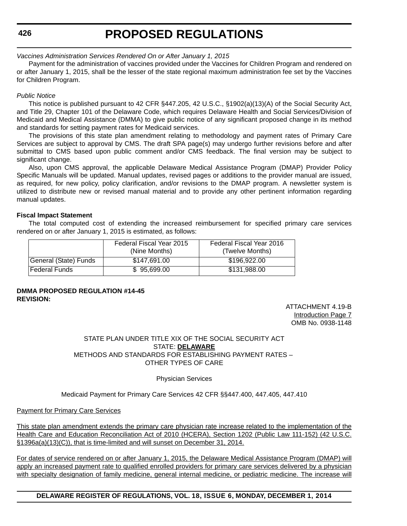**426**

### **PROPOSED REGULATIONS**

#### *Vaccines Administration Services Rendered On or After January 1, 2015*

Payment for the administration of vaccines provided under the Vaccines for Children Program and rendered on or after January 1, 2015, shall be the lesser of the state regional maximum administration fee set by the Vaccines for Children Program.

#### *Public Notice*

This notice is published pursuant to 42 CFR §447.205, 42 U.S.C., §1902(a)(13)(A) of the Social Security Act, and Title 29, Chapter 101 of the Delaware Code, which requires Delaware Health and Social Services/Division of Medicaid and Medical Assistance (DMMA) to give public notice of any significant proposed change in its method and standards for setting payment rates for Medicaid services.

The provisions of this state plan amendment relating to methodology and payment rates of Primary Care Services are subject to approval by CMS. The draft SPA page(s) may undergo further revisions before and after submittal to CMS based upon public comment and/or CMS feedback. The final version may be subject to significant change.

Also, upon CMS approval, the applicable Delaware Medical Assistance Program (DMAP) Provider Policy Specific Manuals will be updated. Manual updates, revised pages or additions to the provider manual are issued, as required, for new policy, policy clarification, and/or revisions to the DMAP program. A newsletter system is utilized to distribute new or revised manual material and to provide any other pertinent information regarding manual updates.

#### **Fiscal Impact Statement**

The total computed cost of extending the increased reimbursement for specified primary care services rendered on or after January 1, 2015 is estimated, as follows:

|                       | Federal Fiscal Year 2015<br>(Nine Months) | Federal Fiscal Year 2016<br>(Twelve Months) |
|-----------------------|-------------------------------------------|---------------------------------------------|
| General (State) Funds | \$147.691.00                              | \$196,922,00                                |
| <b>Federal Funds</b>  | \$95,699,00                               | \$131.988.00                                |

#### **DMMA PROPOSED REGULATION #14-45 REVISION:**

ATTACHMENT 4.19-B Introduction Page 7 OMB No. 0938-1148

STATE PLAN UNDER TITLE XIX OF THE SOCIAL SECURITY ACT STATE: **DELAWARE** METHODS AND STANDARDS FOR ESTABLISHING PAYMENT RATES – OTHER TYPES OF CARE

Physician Services

Medicaid Payment for Primary Care Services 42 CFR §§447.400, 447.405, 447.410

#### Payment for Primary Care Services

This state plan amendment extends the primary care physician rate increase related to the implementation of the Health Care and Education Reconciliation Act of 2010 (HCERA), Section 1202 (Public Law 111-152) (42 U.S.C. §1396a(a)(13)(C)), that is time-limited and will sunset on December 31, 2014.

For dates of service rendered on or after January 1, 2015, the Delaware Medical Assistance Program (DMAP) will apply an increased payment rate to qualified enrolled providers for primary care services delivered by a physician with specialty designation of family medicine, general internal medicine, or pediatric medicine. The increase will

**DELAWARE REGISTER OF REGULATIONS, VOL. 18, ISSUE 6, MONDAY, DECEMBER 1, 2014**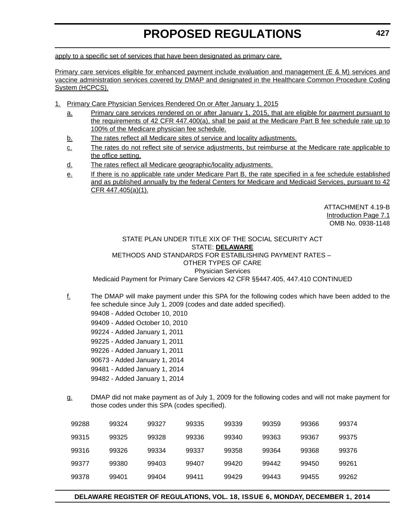apply to a specific set of services that have been designated as primary care.

Primary care services eligible for enhanced payment include evaluation and management (E & M) services and vaccine administration services covered by DMAP and designated in the Healthcare Common Procedure Coding System (HCPCS).

- 1. Primary Care Physician Services Rendered On or After January 1, 2015
	- a. Primary care services rendered on or after January 1, 2015, that are eligible for payment pursuant to the requirements of 42 CFR 447.400(a), shall be paid at the Medicare Part B fee schedule rate up to 100% of the Medicare physician fee schedule.
	- b. The rates reflect all Medicare sites of service and locality adjustments.
	- c. The rates do not reflect site of service adjustments, but reimburse at the Medicare rate applicable to the office setting.
	- d. The rates reflect all Medicare geographic/locality adjustments.
	- e. If there is no applicable rate under Medicare Part B, the rate specified in a fee schedule established and as published annually by the federal Centers for Medicare and Medicaid Services, pursuant to 42 CFR 447.405(a)(1).

ATTACHMENT 4.19-B Introduction Page 7.1 OMB No. 0938-1148

STATE PLAN UNDER TITLE XIX OF THE SOCIAL SECURITY ACT STATE: **DELAWARE** METHODS AND STANDARDS FOR ESTABLISHING PAYMENT RATES – OTHER TYPES OF CARE Physician Services

Medicaid Payment for Primary Care Services 42 CFR §§447.405, 447.410 CONTINUED

- $f_1$  The DMAP will make payment under this SPA for the following codes which have been added to the fee schedule since July 1, 2009 (codes and date added specified).
	- 99408 Added October 10, 2010
	- 99409 Added October 10, 2010
	- 99224 Added January 1, 2011
	- 99225 Added January 1, 2011
	- 99226 Added January 1, 2011
	- 90673 Added January 1, 2014
	- 99481 Added January 1, 2014
	- 99482 Added January 1, 2014
- g. DMAP did not make payment as of July 1, 2009 for the following codes and will not make payment for those codes under this SPA (codes specified).

| 99288 | 99324 | 99327 | 99335 | 99339 | 99359 | 99366 | 99374 |
|-------|-------|-------|-------|-------|-------|-------|-------|
| 99315 | 99325 | 99328 | 99336 | 99340 | 99363 | 99367 | 99375 |
| 99316 | 99326 | 99334 | 99337 | 99358 | 99364 | 99368 | 99376 |
| 99377 | 99380 | 99403 | 99407 | 99420 | 99442 | 99450 | 99261 |
| 99378 | 99401 | 99404 | 99411 | 99429 | 99443 | 99455 | 99262 |
|       |       |       |       |       |       |       |       |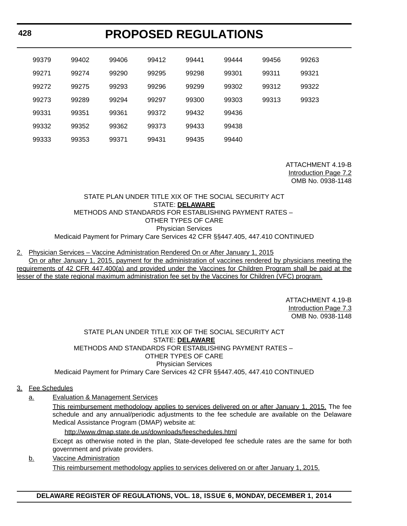| 99379 | 99402 | 99406 | 99412 | 99441 | 99444 | 99456 | 99263 |
|-------|-------|-------|-------|-------|-------|-------|-------|
| 99271 | 99274 | 99290 | 99295 | 99298 | 99301 | 99311 | 99321 |
| 99272 | 99275 | 99293 | 99296 | 99299 | 99302 | 99312 | 99322 |
| 99273 | 99289 | 99294 | 99297 | 99300 | 99303 | 99313 | 99323 |
| 99331 | 99351 | 99361 | 99372 | 99432 | 99436 |       |       |
| 99332 | 99352 | 99362 | 99373 | 99433 | 99438 |       |       |
| 99333 | 99353 | 99371 | 99431 | 99435 | 99440 |       |       |

ATTACHMENT 4.19-B Introduction Page 7.2 OMB No. 0938-1148

#### STATE PLAN UNDER TITLE XIX OF THE SOCIAL SECURITY ACT STATE: **DELAWARE** METHODS AND STANDARDS FOR ESTABLISHING PAYMENT RATES – OTHER TYPES OF CARE Physician Services Medicaid Payment for Primary Care Services 42 CFR §§447.405, 447.410 CONTINUED

#### 2. Physician Services – Vaccine Administration Rendered On or After January 1, 2015

On or after January 1, 2015, payment for the administration of vaccines rendered by physicians meeting the requirements of 42 CFR 447.400(a) and provided under the Vaccines for Children Program shall be paid at the lesser of the state regional maximum administration fee set by the Vaccines for Children (VFC) program.

> ATTACHMENT 4.19-B Introduction Page 7.3 OMB No. 0938-1148

#### STATE PLAN UNDER TITLE XIX OF THE SOCIAL SECURITY ACT STATE: **DELAWARE** METHODS AND STANDARDS FOR ESTABLISHING PAYMENT RATES – OTHER TYPES OF CARE Physician Services Medicaid Payment for Primary Care Services 42 CFR §§447.405, 447.410 CONTINUED

#### 3. Fee Schedules

a. Evaluation & Management Services

This reimbursement methodology applies to services delivered on or after January 1, 2015. The fee schedule and any annual/periodic adjustments to the fee schedule are available on the Delaware Medical Assistance Program (DMAP) website at:

<http://www.dmap.state.de.us/downloads/feeschedules.html> Except as otherwise noted in the plan, State-developed fee schedule rates are the same for both government and private providers.

b. Vaccine Administration This reimbursement methodology applies to services delivered on or after January 1, 2015.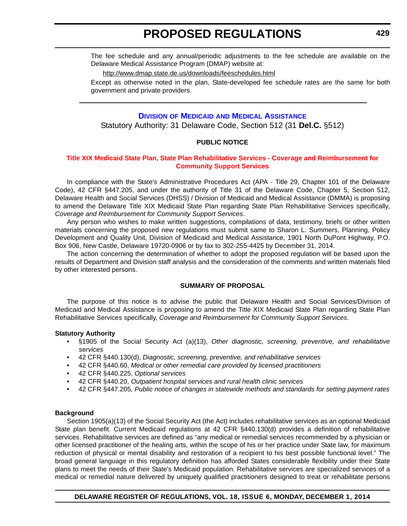<span id="page-23-0"></span>The fee schedule and any annual/periodic adjustments to the fee schedule are available on the Delaware Medical Assistance Program (DMAP) website at:

<http://www.dmap.state.de.us/downloads/feeschedules.html>

Except as otherwise noted in the plan, State-developed fee schedule rates are the same for both government and private providers.

#### **DIVISION OF MEDICAID [AND MEDICAL ASSISTANCE](http://www.dhss.delaware.gov/dhss/dmma/)**

Statutory Authority: 31 Delaware Code, Section 512 (31 **Del.C.** §512)

#### **PUBLIC NOTICE**

#### **[Title XIX Medicaid State Plan, State Plan Rehabilitative Services - Coverage and Reimbursement for](#page-3-0)  Community Support Services**

In compliance with the State's Administrative Procedures Act (APA - Title 29, Chapter 101 of the Delaware Code), 42 CFR §447.205, and under the authority of Title 31 of the Delaware Code, Chapter 5, Section 512, Delaware Health and Social Services (DHSS) / Division of Medicaid and Medical Assistance (DMMA) is proposing to amend the Delaware Title XIX Medicaid State Plan regarding State Plan Rehabilitative Services specifically, *Coverage and Reimbursement for Community Support Services*.

Any person who wishes to make written suggestions, compilations of data, testimony, briefs or other written materials concerning the proposed new regulations must submit same to Sharon L. Summers, Planning, Policy Development and Quality Unit, Division of Medicaid and Medical Assistance, 1901 North DuPont Highway, P.O. Box 906, New Castle, Delaware 19720-0906 or by fax to 302-255-4425 by December 31, 2014.

The action concerning the determination of whether to adopt the proposed regulation will be based upon the results of Department and Division staff analysis and the consideration of the comments and written materials filed by other interested persons.

#### **SUMMARY OF PROPOSAL**

The purpose of this notice is to advise the public that Delaware Health and Social Services/Division of Medicaid and Medical Assistance is proposing to amend the Title XIX Medicaid State Plan regarding State Plan Rehabilitative Services specifically, *Coverage and Reimbursement for Community Support Services*.

#### **Statutory Authority**

- §1905 of the Social Security Act (a)(13), *Other diagnostic, screening, preventive, and rehabilitative services*
- 42 CFR §440.130(d), *Diagnostic, screening, preventive, and rehabilitative services*
- 42 CFR §440.60, *Medical or other remedial care provided by licensed practitioners*
- 42 CFR §440.225, *Optional services*
- 42 CFR §440.20, *Outpatient hospital services and rural health clinic services*
- 42 CFR §447.205*, Public notice of changes in statewide methods and standards for setting payment rates*

#### **Background**

Section 1905(a)(13) of the Social Security Act (the Act) includes rehabilitative services as an optional Medicaid State plan benefit. Current Medicaid regulations at 42 CFR §440.130(d) provides a definition of rehabilitative services. Rehabilitative services are defined as "any medical or remedial services recommended by a physician or other licensed practitioner of the healing arts, within the scope of his or her practice under State law, for maximum reduction of physical or mental disability and restoration of a recipient to his best possible functional level." The broad general language in this regulatory definition has afforded States considerable flexibility under their State plans to meet the needs of their State's Medicaid population. Rehabilitative services are specialized services of a medical or remedial nature delivered by uniquely qualified practitioners designed to treat or rehabilitate persons

#### **DELAWARE REGISTER OF REGULATIONS, VOL. 18, ISSUE 6, MONDAY, DECEMBER 1, 2014**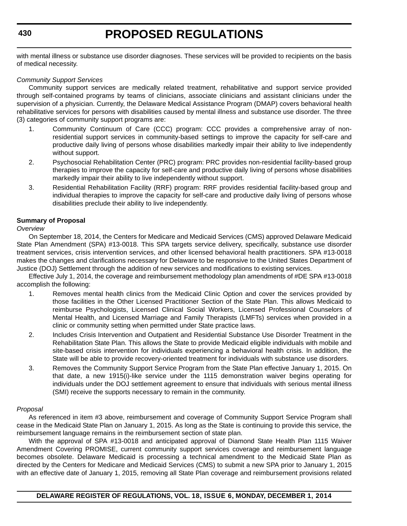with mental illness or substance use disorder diagnoses. These services will be provided to recipients on the basis of medical necessity.

#### *Community Support Services*

Community support services are medically related treatment, rehabilitative and support service provided through self-contained programs by teams of clinicians, associate clinicians and assistant clinicians under the supervision of a physician. Currently, the Delaware Medical Assistance Program (DMAP) covers behavioral health rehabilitative services for persons with disabilities caused by mental illness and substance use disorder. The three (3) categories of community support programs are:

- 1. Community Continuum of Care (CCC) program: CCC provides a comprehensive array of nonresidential support services in community-based settings to improve the capacity for self-care and productive daily living of persons whose disabilities markedly impair their ability to live independently without support.
- 2. Psychosocial Rehabilitation Center (PRC) program: PRC provides non-residential facility-based group therapies to improve the capacity for self-care and productive daily living of persons whose disabilities markedly impair their ability to live independently without support.
- 3. Residential Rehabilitation Facility (RRF) program: RRF provides residential facility-based group and individual therapies to improve the capacity for self-care and productive daily living of persons whose disabilities preclude their ability to live independently.

#### **Summary of Proposal**

#### *Overview*

On September 18, 2014, the Centers for Medicare and Medicaid Services (CMS) approved Delaware Medicaid State Plan Amendment (SPA) #13-0018. This SPA targets service delivery, specifically, substance use disorder treatment services, crisis intervention services, and other licensed behavioral health practitioners. SPA #13-0018 makes the changes and clarifications necessary for Delaware to be responsive to the United States Department of Justice (DOJ) Settlement through the addition of new services and modifications to existing services.

Effective July 1, 2014, the coverage and reimbursement methodology plan amendments of #DE SPA #13-0018 accomplish the following:

- 1. Removes mental health clinics from the Medicaid Clinic Option and cover the services provided by those facilities in the Other Licensed Practitioner Section of the State Plan. This allows Medicaid to reimburse Psychologists, Licensed Clinical Social Workers, Licensed Professional Counselors of Mental Health, and Licensed Marriage and Family Therapists (LMFTs) services when provided in a clinic or community setting when permitted under State practice laws.
- 2. Includes Crisis Intervention and Outpatient and Residential Substance Use Disorder Treatment in the Rehabilitation State Plan. This allows the State to provide Medicaid eligible individuals with mobile and site-based crisis intervention for individuals experiencing a behavioral health crisis. In addition, the State will be able to provide recovery-oriented treatment for individuals with substance use disorders.
- 3. Removes the Community Support Service Program from the State Plan effective January 1, 2015. On that date, a new 1915(i)-like service under the 1115 demonstration waiver begins operating for individuals under the DOJ settlement agreement to ensure that individuals with serious mental illness (SMI) receive the supports necessary to remain in the community.

#### *Proposal*

As referenced in item #3 above, reimbursement and coverage of Community Support Service Program shall cease in the Medicaid State Plan on January 1, 2015. As long as the State is continuing to provide this service, the reimbursement language remains in the reimbursement section of state plan.

With the approval of SPA #13-0018 and anticipated approval of Diamond State Health Plan 1115 Waiver Amendment Covering PROMISE, current community support services coverage and reimbursement language becomes obsolete. Delaware Medicaid is processing a technical amendment to the Medicaid State Plan as directed by the Centers for Medicare and Medicaid Services (CMS) to submit a new SPA prior to January 1, 2015 with an effective date of January 1, 2015, removing all State Plan coverage and reimbursement provisions related

**DELAWARE REGISTER OF REGULATIONS, VOL. 18, ISSUE 6, MONDAY, DECEMBER 1, 2014**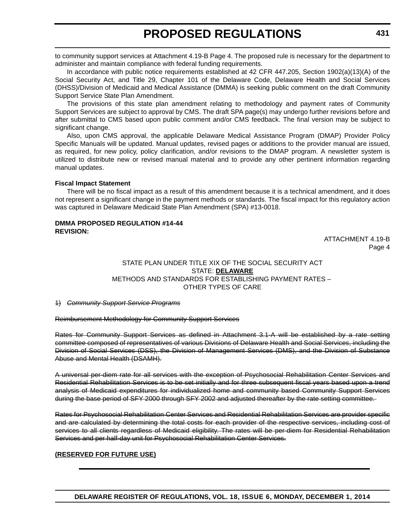to community support services at Attachment 4.19-B Page 4. The proposed rule is necessary for the department to administer and maintain compliance with federal funding requirements.

In accordance with public notice requirements established at 42 CFR 447.205, Section 1902(a)(13)(A) of the Social Security Act, and Title 29, Chapter 101 of the Delaware Code, Delaware Health and Social Services (DHSS)/Division of Medicaid and Medical Assistance (DMMA) is seeking public comment on the draft Community Support Service State Plan Amendment.

The provisions of this state plan amendment relating to methodology and payment rates of Community Support Services are subject to approval by CMS. The draft SPA page(s) may undergo further revisions before and after submittal to CMS based upon public comment and/or CMS feedback. The final version may be subject to significant change.

Also, upon CMS approval, the applicable Delaware Medical Assistance Program (DMAP) Provider Policy Specific Manuals will be updated. Manual updates, revised pages or additions to the provider manual are issued, as required, for new policy, policy clarification, and/or revisions to the DMAP program. A newsletter system is utilized to distribute new or revised manual material and to provide any other pertinent information regarding manual updates.

#### **Fiscal Impact Statement**

There will be no fiscal impact as a result of this amendment because it is a technical amendment, and it does not represent a significant change in the payment methods or standards. The fiscal impact for this regulatory action was captured in Delaware Medicaid State Plan Amendment (SPA) #13-0018.

#### **DMMA PROPOSED REGULATION #14-44 REVISION:**

ATTACHMENT 4.19-B Page 4

#### STATE PLAN UNDER TITLE XIX OF THE SOCIAL SECURITY ACT STATE: **DELAWARE** METHODS AND STANDARDS FOR ESTABLISHING PAYMENT RATES – OTHER TYPES OF CARE

1) *Community Support Service Programs*

Reimbursement Methodology for Community Support Services

Rates for Community Support Services as defined in Attachment 3.1-A will be established by a rate setting committee composed of representatives of various Divisions of Delaware Health and Social Services, including the Division of Social Services (DSS), the Division of Management Services (DMS), and the Division of Substance Abuse and Mental Health (DSAMH).

A universal per-diem rate for all services with the exception of Psychosocial Rehabilitation Center Services and Residential Rehabilitation Services is to be set initially and for three subsequent fiscal years based upon a trend analysis of Medicaid expenditures for individualized home and community based Community Support Services during the base period of SFY 2000 through SFY 2002 and adjusted thereafter by the rate setting committee.

Rates for Psychosocial Rehabilitation Center Services and Residential Rehabilitation Services are provider specific and are calculated by determining the total costs for each provider of the respective services, including cost of services to all clients regardless of Medicaid eligibility. The rates will be per-diem for Residential Rehabilitation Services and per half-day unit for Psychosocial Rehabilitation Center Services.

#### **(RESERVED FOR FUTURE USE)**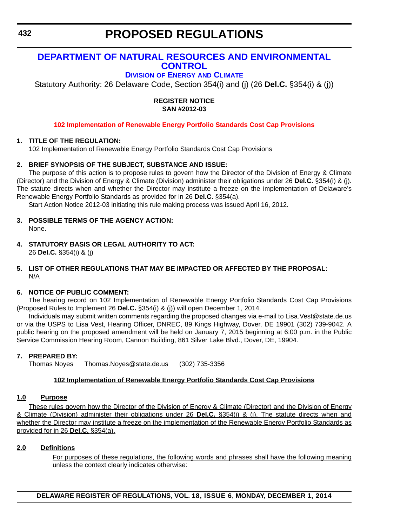### <span id="page-26-0"></span>**[DEPARTMENT OF NATURAL RESOURCES AND ENVIRONMENTAL](http://www.dnrec.delaware.gov/energy/Pages/default.aspx)  CONTROL**

### **DIVISION OF ENERGY AND CLIMATE**

Statutory Authority: 26 Delaware Code, Section 354(i) and (j) (26 **Del.C.** §354(i) & (j))

#### **REGISTER NOTICE SAN #2012-03**

#### **[102 Implementation of Renewable Energy Portfolio Standards Cost Cap Provisions](#page-3-0)**

#### **1. TITLE OF THE REGULATION:**

102 Implementation of Renewable Energy Portfolio Standards Cost Cap Provisions

#### **2. BRIEF SYNOPSIS OF THE SUBJECT, SUBSTANCE AND ISSUE:**

The purpose of this action is to propose rules to govern how the Director of the Division of Energy & Climate (Director) and the Division of Energy & Climate (Division) administer their obligations under 26 **Del.C.** §354(i) & (j). The statute directs when and whether the Director may institute a freeze on the implementation of Delaware's Renewable Energy Portfolio Standards as provided for in 26 **Del.C.** §354(a).

Start Action Notice 2012-03 initiating this rule making process was issued April 16, 2012.

- **3. POSSIBLE TERMS OF THE AGENCY ACTION:** None.
- **4. STATUTORY BASIS OR LEGAL AUTHORITY TO ACT:**  26 **Del.C.** §354(i) & (j)

#### **5. LIST OF OTHER REGULATIONS THAT MAY BE IMPACTED OR AFFECTED BY THE PROPOSAL:** N/A

#### **6. NOTICE OF PUBLIC COMMENT:**

The hearing record on 102 Implementation of Renewable Energy Portfolio Standards Cost Cap Provisions (Proposed Rules to Implement 26 **Del.C.** §354(i) & (j)) will open December 1, 2014.

Individuals may submit written comments regarding the proposed changes via e-mail to Lisa.Vest@state.de.us or via the USPS to Lisa Vest, Hearing Officer, DNREC, 89 Kings Highway, Dover, DE 19901 (302) 739-9042. A public hearing on the proposed amendment will be held on January 7, 2015 beginning at 6:00 p.m. in the Public Service Commission Hearing Room, Cannon Building, 861 Silver Lake Blvd., Dover, DE, 19904.

#### **7. PREPARED BY:**

Thomas Noyes Thomas.Noyes@state.de.us (302) 735-3356

#### **102 Implementation of Renewable Energy Portfolio Standards Cost Cap Provisions**

#### **1.0 Purpose**

These rules govern how the Director of the Division of Energy & Climate (Director) and the Division of Energy & Climate (Division) administer their obligations under 26 **Del.C.** §354(i) & (j). The statute directs when and whether the Director may institute a freeze on the implementation of the Renewable Energy Portfolio Standards as provided for in 26 **Del.C.** §354(a).

#### **2.0 Definitions**

For purposes of these regulations, the following words and phrases shall have the following meaning unless the context clearly indicates otherwise: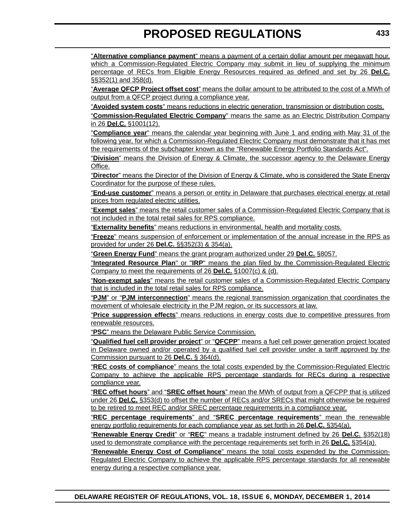"**Alternative compliance payment**" means a payment of a certain dollar amount per megawatt hour, which a Commission-Regulated Electric Company may submit in lieu of supplying the minimum percentage of RECs from Eligible Energy Resources required as defined and set by 26 **Del.C.** §§352(1) and 358(d).

"**Average QFCP Project offset cost**" means the dollar amount to be attributed to the cost of a MWh of output from a QFCP project during a compliance year.

"**Avoided system costs**" means reductions in electric generation, transmission or distribution costs.

"**Commission-Regulated Electric Company**" means the same as an Electric Distribution Company in 26 **Del.C.** §1001(12).

"**Compliance year**" means the calendar year beginning with June 1 and ending with May 31 of the following year, for which a Commission-Regulated Electric Company must demonstrate that it has met the requirements of the subchapter known as the "Renewable Energy Portfolio Standards Act".

"**Division**" means the Division of Energy & Climate, the successor agency to the Delaware Energy Office.

"**Director**" means the Director of the Division of Energy & Climate, who is considered the State Energy Coordinator for the purpose of these rules.

"**End-use customer**" means a person or entity in Delaware that purchases electrical energy at retail prices from regulated electric utilities.

"**Exempt sales**" means the retail customer sales of a Commission-Regulated Electric Company that is not included in the total retail sales for RPS compliance.

"**Externality benefits**" means reductions in environmental, health and mortality costs.

"**Freeze**" means suspension of enforcement or implementation of the annual increase in the RPS as provided for under 26 **Del.C.** §§352(3) & 354(a).

"**Green Energy Fund**" means the grant program authorized under 29 **Del.C.** §8057.

"**Integrated Resource Plan**" or "**IRP**" means the plan filed by the Commission-Regulated Electric Company to meet the requirements of 26 **Del.C.** §1007(c) & (d).

"**Non-exempt sales**" means the retail customer sales of a Commission-Regulated Electric Company that is included in the total retail sales for RPS compliance.

"**PJM**" or "**PJM interconnection**" means the regional transmission organization that coordinates the movement of wholesale electricity in the PJM region, or its successors at law.

"**Price suppression effects**" means reductions in energy costs due to competitive pressures from renewable resources.

"**PSC**" means the Delaware Public Service Commission.

"**Qualified fuel cell provider project**" or "**QFCPP**" means a fuel cell power generation project located in Delaware owned and/or operated by a qualified fuel cell provider under a tariff approved by the Commission pursuant to 26 **Del.C.** § 364(d).

"**REC costs of compliance**" means the total costs expended by the Commission-Regulated Electric Company to achieve the applicable RPS percentage standards for RECs during a respective compliance year.

"**REC offset hours**" and "**SREC offset hours**" mean the MWh of output from a QFCPP that is utilized under 26 **Del.C.** §353(d) to offset the number of RECs and/or SRECs that might otherwise be required to be retired to meet REC and/or SREC percentage requirements in a compliance year.

"**REC percentage requirements**" and "**SREC percentage requirements**" mean the renewable energy portfolio requirements for each compliance year as set forth in 26 **Del.C.** §354(a).

"**Renewable Energy Credit**" or "**REC**" means a tradable instrument defined by 26 **Del.C.** §352(18) used to demonstrate compliance with the percentage requirements set forth in 26 **Del.C.** §354(a).

"**Renewable Energy Cost of Compliance**" means the total costs expended by the Commission-Regulated Electric Company to achieve the applicable RPS percentage standards for all renewable energy during a respective compliance year.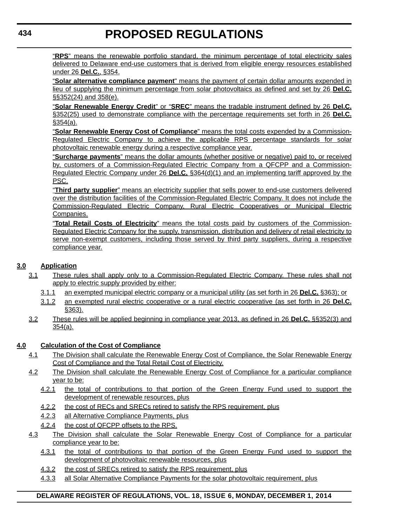"**RPS**" means the renewable portfolio standard, the minimum percentage of total electricity sales delivered to Delaware end-use customers that is derived from eligible energy resources established under 26 **Del.C.**, §354.

"**Solar alternative compliance payment**" means the payment of certain dollar amounts expended in lieu of supplying the minimum percentage from solar photovoltaics as defined and set by 26 **Del.C.** §§352(24) and 358(e).

"**Solar Renewable Energy Credit**" or "**SREC**" means the tradable instrument defined by 26 **Del.C.** §352(25) used to demonstrate compliance with the percentage requirements set forth in 26 **Del.C.** §354(a).

"**Solar Renewable Energy Cost of Compliance**" means the total costs expended by a Commission-Regulated Electric Company to achieve the applicable RPS percentage standards for solar photovoltaic renewable energy during a respective compliance year.

"**Surcharge payments**" means the dollar amounts (whether positive or negative) paid to, or received by, customers of a Commission-Regulated Electric Company from a QFCPP and a Commission-Regulated Electric Company under 26 **Del.C.** §364(d)(1) and an implementing tariff approved by the PSC.

"**Third party supplier**" means an electricity supplier that sells power to end-use customers delivered over the distribution facilities of the Commission-Regulated Electric Company. It does not include the Commission-Regulated Electric Company, Rural Electric Cooperatives or Municipal Electric Companies.

"**Total Retail Costs of Electricity**" means the total costs paid by customers of the Commission-Regulated Electric Company for the supply, transmission, distribution and delivery of retail electricity to serve non-exempt customers, including those served by third party suppliers, during a respective compliance year.

#### **3.0 Application**

- 3.1 These rules shall apply only to a Commission-Regulated Electric Company. These rules shall not apply to electric supply provided by either:
	- 3.1.1 an exempted municipal electric company or a municipal utility (as set forth in 26 **Del.C.** §363); or
	- 3.1.2 an exempted rural electric cooperative or a rural electric cooperative (as set forth in 26 **Del.C.** §363).
- 3.2 These rules will be applied beginning in compliance year 2013, as defined in 26 **Del.C.** §§352(3) and 354(a).

#### **4.0 Calculation of the Cost of Compliance**

- 4.1 The Division shall calculate the Renewable Energy Cost of Compliance, the Solar Renewable Energy Cost of Compliance and the Total Retail Cost of Electricity.
- 4.2 The Division shall calculate the Renewable Energy Cost of Compliance for a particular compliance year to be:
	- 4.2.1 the total of contributions to that portion of the Green Energy Fund used to support the development of renewable resources, plus
	- 4.2.2 the cost of RECs and SRECs retired to satisfy the RPS requirement, plus
	- 4.2.3 all Alternative Compliance Payments, plus
	- 4.2.4 the cost of QFCPP offsets to the RPS.
- 4.3 The Division shall calculate the Solar Renewable Energy Cost of Compliance for a particular compliance year to be:
	- 4.3.1 the total of contributions to that portion of the Green Energy Fund used to support the development of photovoltaic renewable resources, plus
	- 4.3.2 the cost of SRECs retired to satisfy the RPS requirement, plus
	- 4.3.3 all Solar Alternative Compliance Payments for the solar photovoltaic requirement, plus

#### **DELAWARE REGISTER OF REGULATIONS, VOL. 18, ISSUE 6, MONDAY, DECEMBER 1, 2014**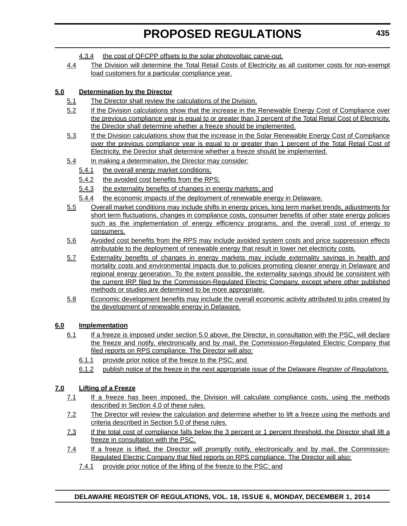- 4.3.4 the cost of QFCPP offsets to the solar photovoltaic carve-out.
- 4.4 The Division will determine the Total Retail Costs of Electricity as all customer costs for non-exempt load customers for a particular compliance year.

#### **5.0 Determination by the Director**

- 5.1 The Director shall review the calculations of the Division.
- 5.2 If the Division calculations show that the increase in the Renewable Energy Cost of Compliance over the previous compliance year is equal to or greater than 3 percent of the Total Retail Cost of Electricity, the Director shall determine whether a freeze should be implemented.
- 5.3 If the Division calculations show that the increase in the Solar Renewable Energy Cost of Compliance over the previous compliance year is equal to or greater than 1 percent of the Total Retail Cost of Electricity, the Director shall determine whether a freeze should be implemented.
- 5.4 In making a determination, the Director may consider:
	- 5.4.1 the overall energy market conditions;
	- 5.4.2 the avoided cost benefits from the RPS;
	- 5.4.3 the externality benefits of changes in energy markets; and
	- 5.4.4 the economic impacts of the deployment of renewable energy in Delaware.
- 5.5 Overall market conditions may include shifts in energy prices, long term market trends, adjustments for short term fluctuations, changes in compliance costs, consumer benefits of other state energy policies such as the implementation of energy efficiency programs, and the overall cost of energy to consumers.
- 5.6 Avoided cost benefits from the RPS may include avoided system costs and price suppression effects attributable to the deployment of renewable energy that result in lower net electricity costs.
- 5.7 Externality benefits of changes in energy markets may include externality savings in health and mortality costs and environmental impacts due to policies promoting cleaner energy in Delaware and regional energy generation. To the extent possible, the externality savings should be consistent with the current IRP filed by the Commission-Regulated Electric Company, except where other published methods or studies are determined to be more appropriate.
- 5.8 Economic development benefits may include the overall economic activity attributed to jobs created by the development of renewable energy in Delaware.

#### **6.0 Implementation**

- 6.1 If a freeze is imposed under section 5.0 above, the Director, in consultation with the PSC, will declare the freeze and notify, electronically and by mail, the Commission-Regulated Electric Company that filed reports on RPS compliance. The Director will also:
	- 6.1.1 provide prior notice of the freeze to the PSC; and
	- 6.1.2 publish notice of the freeze in the next appropriate issue of the Delaware *Register of Regulations*.

#### **7.0 Lifting of a Freeze**

- 7.1 If a freeze has been imposed, the Division will calculate compliance costs, using the methods described in Section 4.0 of these rules.
- 7.2 The Director will review the calculation and determine whether to lift a freeze using the methods and criteria described in Section 5.0 of these rules.
- 7.3 If the total cost of compliance falls below the 3 percent or 1 percent threshold, the Director shall lift a freeze in consultation with the PSC.
- 7.4 If a freeze is lifted, the Director will promptly notify, electronically and by mail, the Commission-Regulated Electric Company that filed reports on RPS compliance. The Director will also:
	- 7.4.1 provide prior notice of the lifting of the freeze to the PSC; and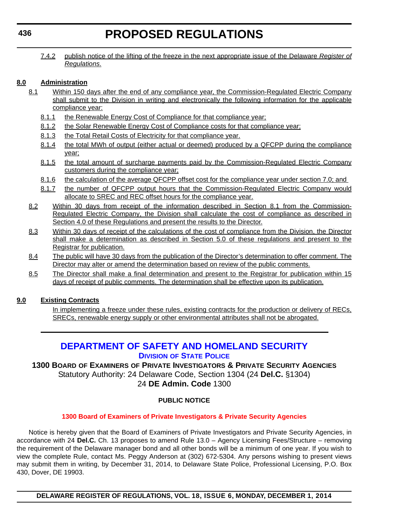<span id="page-30-0"></span>7.4.2 publish notice of the lifting of the freeze in the next appropriate issue of the Delaware *Register of Regulations*.

#### **8.0 Administration**

- 8.1 Within 150 days after the end of any compliance year, the Commission-Regulated Electric Company shall submit to the Division in writing and electronically the following information for the applicable compliance year:
	- 8.1.1 the Renewable Energy Cost of Compliance for that compliance year;
	- 8.1.2 the Solar Renewable Energy Cost of Compliance costs for that compliance year;
	- 8.1.3 the Total Retail Costs of Electricity for that compliance year.
	- 8.1.4 the total MWh of output (either actual or deemed) produced by a QFCPP during the compliance year;
	- 8.1.5 the total amount of surcharge payments paid by the Commission-Regulated Electric Company customers during the compliance year;
	- 8.1.6 the calculation of the average QFCPP offset cost for the compliance year under section 7.0; and
	- 8.1.7 the number of QFCPP output hours that the Commission-Regulated Electric Company would allocate to SREC and REC offset hours for the compliance year.
- 8.2 Within 30 days from receipt of the information described in Section 8.1 from the Commission-Regulated Electric Company, the Division shall calculate the cost of compliance as described in Section 4.0 of these Regulations and present the results to the Director.
- 8.3 Within 30 days of receipt of the calculations of the cost of compliance from the Division, the Director shall make a determination as described in Section 5.0 of these regulations and present to the Registrar for publication.
- 8.4 The public will have 30 days from the publication of the Director's determination to offer comment. The Director may alter or amend the determination based on review of the public comments.
- 8.5 The Director shall make a final determination and present to the Registrar for publication within 15 days of receipt of public comments. The determination shall be effective upon its publication.

#### **9.0 Existing Contracts**

In implementing a freeze under these rules, existing contracts for the production or delivery of RECs, SRECs, renewable energy supply or other environmental attributes shall not be abrogated.

### **[DEPARTMENT OF SAFETY AND HOMELAND SECURITY](http://dsp.delaware.gov/) DIVISION OF STATE POLICE**

**1300 BOARD OF EXAMINERS OF PRIVATE INVESTIGATORS & PRIVATE SECURITY AGENCIES** Statutory Authority: 24 Delaware Code, Section 1304 (24 **Del.C.** §1304) 24 **DE Admin. Code** 1300

#### **PUBLIC NOTICE**

#### **[1300 Board of Examiners of Private Investigators & Private Security Agencies](#page-3-0)**

Notice is hereby given that the Board of Examiners of Private Investigators and Private Security Agencies, in accordance with 24 **Del.C.** Ch. 13 proposes to amend Rule 13.0 – Agency Licensing Fees/Structure – removing the requirement of the Delaware manager bond and all other bonds will be a minimum of one year. If you wish to view the complete Rule, contact Ms. Peggy Anderson at (302) 672-5304. Any persons wishing to present views may submit them in writing, by December 31, 2014, to Delaware State Police, Professional Licensing, P.O. Box 430, Dover, DE 19903.

**DELAWARE REGISTER OF REGULATIONS, VOL. 18, ISSUE 6, MONDAY, DECEMBER 1, 2014**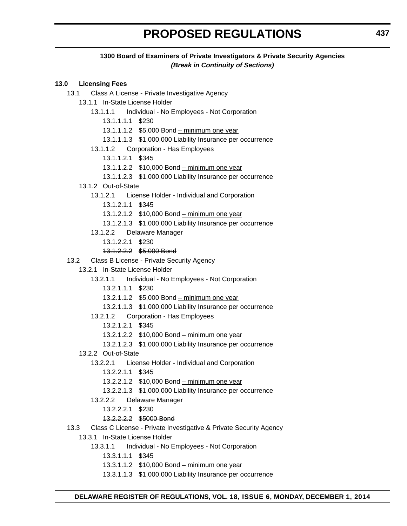#### **1300 Board of Examiners of Private Investigators & Private Security Agencies** *(Break in Continuity of Sections)*

#### **13.0 Licensing Fees**

- 13.1 Class A License Private Investigative Agency
	- 13.1.1 In-State License Holder
		- 13.1.1.1 Individual No Employees Not Corporation
			- 13.1.1.1.1 \$230
			- 13.1.1.1.2 \$5,000 Bond minimum one year
			- 13.1.1.1.3 \$1,000,000 Liability Insurance per occurrence
		- 13.1.1.2 Corporation Has Employees
			- 13.1.1.2.1 \$345
			- 13.1.1.2.2 \$10,000 Bond minimum one year
			- 13.1.1.2.3 \$1,000,000 Liability Insurance per occurrence
	- 13.1.2 Out-of-State
		- 13.1.2.1 License Holder Individual and Corporation
			- 13.1.2.1.1 \$345
			- 13.1.2.1.2 \$10,000 Bond minimum one year
			- 13.1.2.1.3 \$1,000,000 Liability Insurance per occurrence
		- 13.1.2.2 Delaware Manager
			- 13.1.2.2.1 \$230
			- 13.1.2.2.2 \$5,000 Bond
- 13.2 Class B License Private Security Agency
	- 13.2.1 In-State License Holder
		- 13.2.1.1 Individual No Employees Not Corporation
			- 13.2.1.1.1 \$230
			- 13.2.1.1.2 \$5,000 Bond minimum one year
			- 13.2.1.1.3 \$1,000,000 Liability Insurance per occurrence
		- 13.2.1.2 Corporation Has Employees
			- 13.2.1.2.1 \$345
			- 13.2.1.2.2 \$10,000 Bond minimum one year
			- 13.2.1.2.3 \$1,000,000 Liability Insurance per occurrence
		- 13.2.2 Out-of-State
			- 13.2.2.1 License Holder Individual and Corporation
				- 13.2.2.1.1 \$345
				- 13.2.2.1.2 \$10,000 Bond minimum one year
				- 13.2.2.1.3 \$1,000,000 Liability Insurance per occurrence
			- 13.2.2.2 Delaware Manager
				- 13.2.2.2.1 \$230
				- 13.2.2.2.2 \$5000 Bond
- 13.3 Class C License Private Investigative & Private Security Agency
	- 13.3.1 In-State License Holder
		- 13.3.1.1 Individual No Employees Not Corporation
			- 13.3.1.1.1 \$345
			- 13.3.1.1.2 \$10,000 Bond minimum one year
			- 13.3.1.1.3 \$1,000,000 Liability Insurance per occurrence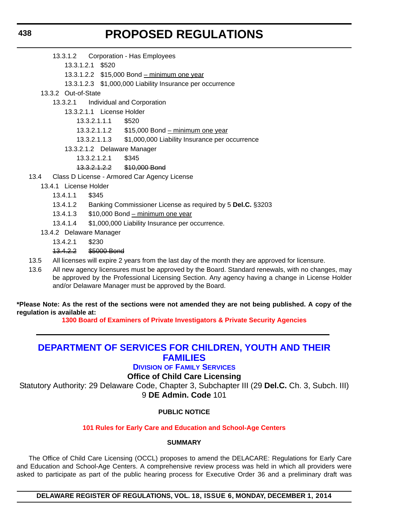- <span id="page-32-0"></span>13.3.1.2 Corporation - Has Employees
	- 13.3.1.2.1 \$520
	- 13.3.1.2.2 \$15,000 Bond minimum one year
	- 13.3.1.2.3 \$1,000,000 Liability Insurance per occurrence
- 13.3.2 Out-of-State
	- 13.3.2.1 Individual and Corporation
		- 13.3.2.1.1 License Holder
			- 13.3.2.1.1.1 \$520
			- 13.3.2.1.1.2 \$15,000 Bond minimum one year
			- 13.3.2.1.1.3 \$1,000,000 Liability Insurance per occurrence
		- 13.3.2.1.2 Delaware Manager
			- 13.3.2.1.2.1 \$345
			- 13.3.2.1.2.2 \$10,000 Bond
- 13.4 Class D License Armored Car Agency License
	- 13.4.1 License Holder
		- 13.4.1.1 \$345
		- 13.4.1.2 Banking Commissioner License as required by 5 **Del.C.** §3203
		- 13.4.1.3 \$10,000 Bond minimum one year
		- 13.4.1.4 \$1,000,000 Liability Insurance per occurrence.
	- 13.4.2 Delaware Manager
		- 13.4.2.1 \$230
		- 13.4.2.2 \$5000 Bond
- 13.5 All licenses will expire 2 years from the last day of the month they are approved for licensure.
- 13.6 All new agency licensures must be approved by the Board. Standard renewals, with no changes, may be approved by the Professional Licensing Section. Any agency having a change in License Holder and/or Delaware Manager must be approved by the Board.

#### **\*Please Note: As the rest of the sections were not amended they are not being published. A copy of the regulation is available at:**

**[1300 Board of Examiners of Private Investigators & Private Security Agencies](http://regulations.delaware.gov/register/december2014/proposed/18 DE Reg 436 12-01-14.htm)**

### **[DEPARTMENT OF SERVICES FOR CHILDREN, YOUTH AND THEIR](http://kids.delaware.gov/fs/fs.shtml)  FAMILIES**

#### **DIVISION OF FAMILY SERVICES**

#### **Office of Child Care Licensing**

Statutory Authority: 29 Delaware Code, Chapter 3, Subchapter III (29 **Del.C.** Ch. 3, Subch. III) 9 **DE Admin. Code** 101

#### **PUBLIC NOTICE**

#### **[101 Rules for Early Care and Education and School-Age Centers](#page-3-0)**

#### **SUMMARY**

The Office of Child Care Licensing (OCCL) proposes to amend the DELACARE: Regulations for Early Care and Education and School-Age Centers. A comprehensive review process was held in which all providers were asked to participate as part of the public hearing process for Executive Order 36 and a preliminary draft was

**DELAWARE REGISTER OF REGULATIONS, VOL. 18, ISSUE 6, MONDAY, DECEMBER 1, 2014**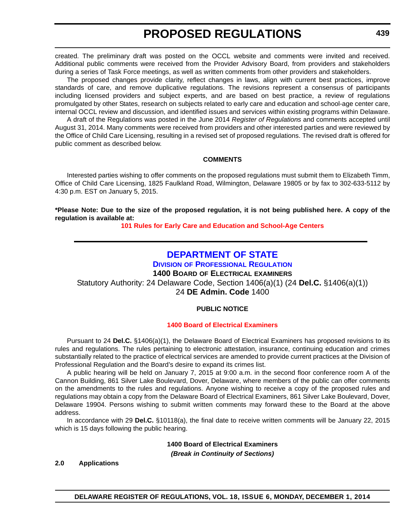<span id="page-33-0"></span>created. The preliminary draft was posted on the OCCL website and comments were invited and received. Additional public comments were received from the Provider Advisory Board, from providers and stakeholders during a series of Task Force meetings, as well as written comments from other providers and stakeholders.

The proposed changes provide clarity, reflect changes in laws, align with current best practices, improve standards of care, and remove duplicative regulations. The revisions represent a consensus of participants including licensed providers and subject experts, and are based on best practice, a review of regulations promulgated by other States, research on subjects related to early care and education and school-age center care, internal OCCL review and discussion, and identified issues and services within existing programs within Delaware.

A draft of the Regulations was posted in the June 2014 *Register of Regulations* and comments accepted until August 31, 2014. Many comments were received from providers and other interested parties and were reviewed by the Office of Child Care Licensing, resulting in a revised set of proposed regulations. The revised draft is offered for public comment as described below.

#### **COMMENTS**

Interested parties wishing to offer comments on the proposed regulations must submit them to Elizabeth Timm, Office of Child Care Licensing, 1825 Faulkland Road, Wilmington, Delaware 19805 or by fax to 302-633-5112 by 4:30 p.m. EST on January 5, 2015.

**\*Please Note: Due to the size of the proposed regulation, it is not being published here. A copy of the regulation is available at:**

**[101 Rules for Early Care and Education and School-Age Centers](http://regulations.delaware.gov/register/december2014/proposed/18 DE Reg 438 12-01-14.htm)**

### **[DEPARTMENT OF STATE](http://dpr.delaware.gov/)**

### **DIVISION OF PROFESSIONAL REGULATION**

**1400 BOARD OF ELECTRICAL EXAMINERS**

Statutory Authority: 24 Delaware Code, Section 1406(a)(1) (24 **Del.C.** §1406(a)(1))

24 **DE Admin. Code** 1400

#### **PUBLIC NOTICE**

#### **[1400 Board of Electrical Examiners](#page-3-0)**

Pursuant to 24 **Del.C.** §1406(a)(1), the Delaware Board of Electrical Examiners has proposed revisions to its rules and regulations. The rules pertaining to electronic attestation, insurance, continuing education and crimes substantially related to the practice of electrical services are amended to provide current practices at the Division of Professional Regulation and the Board's desire to expand its crimes list.

A public hearing will be held on January 7, 2015 at 9:00 a.m. in the second floor conference room A of the Cannon Building, 861 Silver Lake Boulevard, Dover, Delaware, where members of the public can offer comments on the amendments to the rules and regulations. Anyone wishing to receive a copy of the proposed rules and regulations may obtain a copy from the Delaware Board of Electrical Examiners, 861 Silver Lake Boulevard, Dover, Delaware 19904. Persons wishing to submit written comments may forward these to the Board at the above address.

In accordance with 29 **Del.C.** §10118(a), the final date to receive written comments will be January 22, 2015 which is 15 days following the public hearing.

> **1400 Board of Electrical Examiners** *(Break in Continuity of Sections)*

**DELAWARE REGISTER OF REGULATIONS, VOL. 18, ISSUE 6, MONDAY, DECEMBER 1, 2014**

#### **2.0 Applications**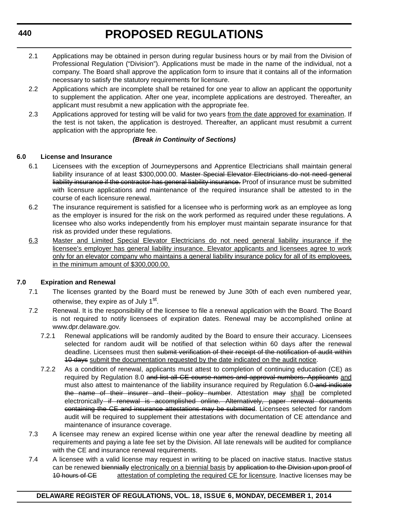- 2.1 Applications may be obtained in person during regular business hours or by mail from the Division of Professional Regulation ("Division"). Applications must be made in the name of the individual, not a company. The Board shall approve the application form to insure that it contains all of the information necessary to satisfy the statutory requirements for licensure.
- 2.2 Applications which are incomplete shall be retained for one year to allow an applicant the opportunity to supplement the application. After one year, incomplete applications are destroyed. Thereafter, an applicant must resubmit a new application with the appropriate fee.
- 2.3 Applications approved for testing will be valid for two years from the date approved for examination. If the test is not taken, the application is destroyed. Thereafter, an applicant must resubmit a current application with the appropriate fee.

#### *(Break in Continuity of Sections)*

#### **6.0 License and Insurance**

- 6.1 Licensees with the exception of Journeypersons and Apprentice Electricians shall maintain general liability insurance of at least \$300,000.00. Master Special Elevator Electricians do not need general liability insurance if the contractor has general liability insurance. Proof of insurance must be submitted with licensure applications and maintenance of the required insurance shall be attested to in the course of each licensure renewal.
- 6.2 The insurance requirement is satisfied for a licensee who is performing work as an employee as long as the employer is insured for the risk on the work performed as required under these regulations. A licensee who also works independently from his employer must maintain separate insurance for that risk as provided under these regulations.
- 6.3 Master and Limited Special Elevator Electricians do not need general liability insurance if the licensee's employer has general liability insurance. Elevator applicants and licensees agree to work only for an elevator company who maintains a general liability insurance policy for all of its employees, in the minimum amount of \$300,000.00.

#### **7.0 Expiration and Renewal**

- 7.1 The licenses granted by the Board must be renewed by June 30th of each even numbered year, otherwise, they expire as of July 1<sup>st</sup>.
- 7.2 Renewal. It is the responsibility of the licensee to file a renewal application with the Board. The Board is not required to notify licensees of expiration dates. Renewal may be accomplished online at [www.dpr.delaware.gov.](http://www.dpr.delaware.gov)
	- 7.2.1 Renewal applications will be randomly audited by the Board to ensure their accuracy. Licensees selected for random audit will be notified of that selection within 60 days after the renewal deadline. Licensees must then submit verification of their receipt of the notification of audit within 10 days submit the documentation requested by the date indicated on the audit notice.
	- 7.2.2 As a condition of renewal, applicants must attest to completion of continuing education (CE) as required by Regulation 8.0 and list all CE course names and approval numbers. Applicants and must also attest to maintenance of the liability insurance required by Regulation 6.0-and indicate the name of their insurer and their policy number. Attestation may shall be completed electronically if renewal is accomplished online. Alternatively, paper renewal documents containing the CE and insurance attestations may be submitted. Licensees selected for random audit will be required to supplement their attestations with documentation of CE attendance and maintenance of insurance coverage.
- 7.3 A licensee may renew an expired license within one year after the renewal deadline by meeting all requirements and paying a late fee set by the Division. All late renewals will be audited for compliance with the CE and insurance renewal requirements.
- 7.4 A licensee with a valid license may request in writing to be placed on inactive status. Inactive status can be renewed biennially electronically on a biennial basis by application to the Division upon proof of 10 hours of CE attestation of completing the required CE for licensure. Inactive licenses may be

#### **DELAWARE REGISTER OF REGULATIONS, VOL. 18, ISSUE 6, MONDAY, DECEMBER 1, 2014**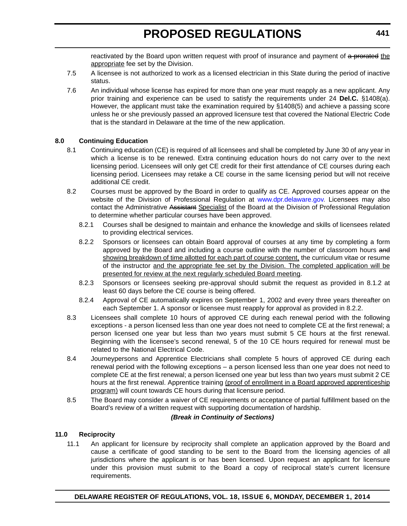reactivated by the Board upon written request with proof of insurance and payment of a prorated the appropriate fee set by the Division.

- 7.5 A licensee is not authorized to work as a licensed electrician in this State during the period of inactive status.
- 7.6 An individual whose license has expired for more than one year must reapply as a new applicant. Any prior training and experience can be used to satisfy the requirements under 24 **Del.C.** §1408(a). However, the applicant must take the examination required by §1408(5) and achieve a passing score unless he or she previously passed an approved licensure test that covered the National Electric Code that is the standard in Delaware at the time of the new application.

#### **8.0 Continuing Education**

- 8.1 Continuing education (CE) is required of all licensees and shall be completed by June 30 of any year in which a license is to be renewed. Extra continuing education hours do not carry over to the next licensing period. Licensees will only get CE credit for their first attendance of CE courses during each licensing period. Licensees may retake a CE course in the same licensing period but will not receive additional CE credit.
- 8.2 Courses must be approved by the Board in order to qualify as CE. Approved courses appear on the website of the Division of Professional Regulation at www.dpr.delaware.gov. Licensees may also contact the Administrative Assistant Specialist of the Board at the Division of Professional Regulation to determine whether particular courses have been approved.
	- 8.2.1 Courses shall be designed to maintain and enhance the knowledge and skills of licensees related to providing electrical services.
	- 8.2.2 Sponsors or licensees can obtain Board approval of courses at any time by completing a form approved by the Board and including a course outline with the number of classroom hours and showing breakdown of time allotted for each part of course content, the curriculum vitae or resume of the instructor and the appropriate fee set by the Division. The completed application will be presented for review at the next regularly scheduled Board meeting.
	- 8.2.3 Sponsors or licensees seeking pre-approval should submit the request as provided in 8.1.2 at least 60 days before the CE course is being offered.
	- 8.2.4 Approval of CE automatically expires on September 1, 2002 and every three years thereafter on each September 1. A sponsor or licensee must reapply for approval as provided in 8.2.2.
- 8.3 Licensees shall complete 10 hours of approved CE during each renewal period with the following exceptions - a person licensed less than one year does not need to complete CE at the first renewal; a person licensed one year but less than two years must submit 5 CE hours at the first renewal. Beginning with the licensee's second renewal, 5 of the 10 CE hours required for renewal must be related to the National Electrical Code.
- 8.4 Journeypersons and Apprentice Electricians shall complete 5 hours of approved CE during each renewal period with the following exceptions – a person licensed less than one year does not need to complete CE at the first renewal; a person licensed one year but less than two years must submit 2 CE hours at the first renewal. Apprentice training (proof of enrollment in a Board approved apprenticeship program) will count towards CE hours during that licensure period.
- 8.5 The Board may consider a waiver of CE requirements or acceptance of partial fulfillment based on the Board's review of a written request with supporting documentation of hardship.

#### *(Break in Continuity of Sections)*

#### **11.0 Reciprocity**

11.1 An applicant for licensure by reciprocity shall complete an application approved by the Board and cause a certificate of good standing to be sent to the Board from the licensing agencies of all jurisdictions where the applicant is or has been licensed. Upon request an applicant for licensure under this provision must submit to the Board a copy of reciprocal state's current licensure requirements.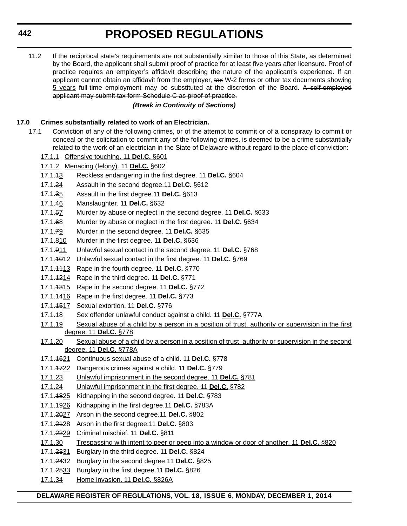11.2 If the reciprocal state's requirements are not substantially similar to those of this State, as determined by the Board, the applicant shall submit proof of practice for at least five years after licensure. Proof of practice requires an employer's affidavit describing the nature of the applicant's experience. If an applicant cannot obtain an affidavit from the employer, tax W-2 forms or other tax documents showing 5 years full-time employment may be substituted at the discretion of the Board. A self-employed applicant may submit tax form Schedule C as proof of practice.

### *(Break in Continuity of Sections)*

### **17.0 Crimes substantially related to work of an Electrician.**

- 17.1 Conviction of any of the following crimes, or of the attempt to commit or of a conspiracy to commit or conceal or the solicitation to commit any of the following crimes, is deemed to be a crime substantially related to the work of an electrician in the State of Delaware without regard to the place of conviction:
	- 17.1.1 Offensive touching. 11 **Del.C.** §601
	- 17.1.2 Menacing (felony). 11 **Del.C.** §602
	- 17.1.13 Reckless endangering in the first degree. 11 **Del.C.** §604
	- 17.1.24 Assault in the second degree.11 **Del.C.** §612
	- 17.1.35 Assault in the first degree.11 **Del.C.** §613
	- 17.1.46 Manslaughter. 11 **Del.C.** §632
	- 17.1.57 Murder by abuse or neglect in the second degree. 11 **Del.C.** §633
	- 17.1.68 Murder by abuse or neglect in the first degree. 11 **Del.C.** §634
	- 17.1.79 Murder in the second degree. 11 **Del.C.** §635
	- 17.1.810 Murder in the first degree. 11 **Del.C.** §636
	- 17.1.911 Unlawful sexual contact in the second degree. 11 **Del.C.** §768
	- 17.1.1012 Unlawful sexual contact in the first degree. 11 **Del.C.** §769
	- 17.1.1113 Rape in the fourth degree. 11 **Del.C.** §770
	- 17.1.1214 Rape in the third degree. 11 **Del.C.** §771
	- 17.1.1315 Rape in the second degree. 11 **Del.C.** §772
	- 17.1.1416 Rape in the first degree. 11 **Del.C.** §773
	- 17.1.1517 Sexual extortion. 11 **Del.C.** §776
	- 17.1.18 Sex offender unlawful conduct against a child. 11 **Del.C.** §777A
	- 17.1.19 Sexual abuse of a child by a person in a position of trust, authority or supervision in the first degree. 11 **Del.C.** §778
	- 17.1.20 Sexual abuse of a child by a person in a position of trust, authority or supervision in the second degree. 11 **Del.C.** §778A
	- 17.1.1621 Continuous sexual abuse of a child. 11 **Del.C.** §778
	- 17.1.1722 Dangerous crimes against a child. 11 **Del.C.** §779
	- 17.1.23 Unlawful imprisonment in the second degree. 11 **Del.C.** §781
	- 17.1.24 Unlawful imprisonment in the first degree. 11 **Del.C.** §782
	- 17.1.1825 Kidnapping in the second degree. 11 **Del.C.** §783
	- 17.1.1926 Kidnapping in the first degree.11 **Del.C.** §783A
	- 17.1.2027 Arson in the second degree.11 **Del.C.** §802
	- 17.1.2128 Arson in the first degree.11 **Del.C.** §803
	- 17.1.2229 Criminal mischief. 11 **Del.C.** §811
	- 17.1.30 Trespassing with intent to peer or peep into a window or door of another. 11 **Del.C.** §820
	- 17.1.2331 Burglary in the third degree. 11 **Del.C.** §824
	- 17.1.2432 Burglary in the second degree.11 **Del.C.** §825
	- 17.1.2533 Burglary in the first degree.11 **Del.C.** §826
	- 17.1.34 Home invasion. 11 **Del.C.** §826A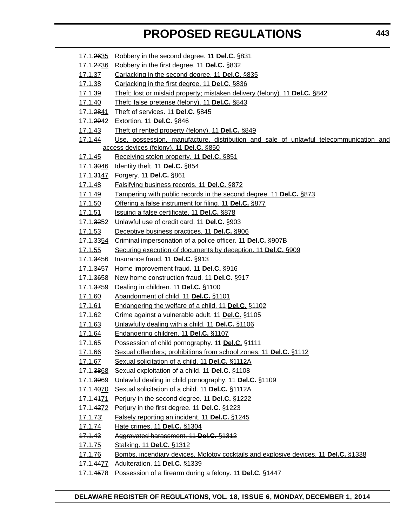- 17.1.2635 Robbery in the second degree. 11 **Del.C.** §831 17.1.2736 Robbery in the first degree. 11 **Del.C.** §832 17.1.37 Carjacking in the second degree. 11 **Del.C.** §835 17.1.38 Carjacking in the first degree. 11 **Del.C.** §836 17.1.39 Theft; lost or mislaid property; mistaken delivery (felony). 11 **Del.C.** §842 17.1.40 Theft; false pretense (felony). 11 **Del.C.** §843 17.1.2841 Theft of services. 11 **Del.C.** §845 17.1.2942 Extortion. 11 **Del.C.** §846 17.1.43 Theft of rented property (felony). 11 **Del.C.** §849 17.1.44 Use, possession, manufacture, distribution and sale of unlawful telecommunication and access devices (felony). 11 **Del.C.** §850 17.1.45 Receiving stolen property. 11 **Del.C.** §851 17.1.3046 Identity theft. 11 **Del.C.** §854 17.1.3147 Forgery. 11 **Del.C.** §861 17.1.48 Falsifying business records. 11 **Del.C.** §872 17.1.49 Tampering with public records in the second degree. 11 **Del.C.** §873 17.1.50 Offering a false instrument for filing. 11 **Del.C.** §877 17.1.51 Issuing a false certificate. 11 **Del.C.** §878 17.1.3252 Unlawful use of credit card. 11 **Del.C.** §903 17.1.53 Deceptive business practices. 11 **Del.C.** §906 17.1.3354 Criminal impersonation of a police officer. 11 **Del.C.** §907B 17.1.55 Securing execution of documents by deception. 11 **Del.C.** §909 17.1.3456 Insurance fraud. 11 **Del.C.** §913 17.1.3457 Home improvement fraud. 11 **Del.C.** §916 17.1.3658 New home construction fraud. 11 **Del.C.** §917 17.1.3759 Dealing in children. 11 **Del.C.** §1100 17.1.60 Abandonment of child. 11 **Del.C.** §1101 17.1.61 Endangering the welfare of a child. 11 **Del.C.** §1102 17.1.62 Crime against a vulnerable adult. 11 **Del.C.** §1105 17.1.63 Unlawfully dealing with a child. 11 **Del.C.** §1106 17.1.64 Endangering children. 11 **Del.C.** §1107 17.1.65 Possession of child pornography. 11 **Del.C.** §1111 17.1.66 Sexual offenders; prohibitions from school zones. 11 **Del.C.** §1112 17.1.67 Sexual solicitation of a child. 11 **Del.C.** §1112A 17.1.3868 Sexual exploitation of a child. 11 **Del.C.** §1108 17.1.3969 Unlawful dealing in child pornography. 11 **Del.C.** §1109 17.1.4070 Sexual solicitation of a child. 11 **Del.C.** §1112A 17.1.4171 Perjury in the second degree. 11 **Del.C.** §1222 17.1.4272 Perjury in the first degree. 11 **Del.C.** §1223 17.1.73' Falsely reporting an incident. 11 **Del.C.** §1245 17.1.74 Hate crimes. 11 **Del.C.** §1304 17.1.43 Aggravated harassment. 11 **Del.C.** §1312 17.1.75 Stalking. 11 **Del.C.** §1312 17.1.76 Bombs, incendiary devices, Molotov cocktails and explosive devices. 11 **Del.C.** §1338 17.1.4477 Adulteration. 11 **Del.C.** §1339
	- 17.1.4578 Possession of a firearm during a felony. 11 **Del.C.** §1447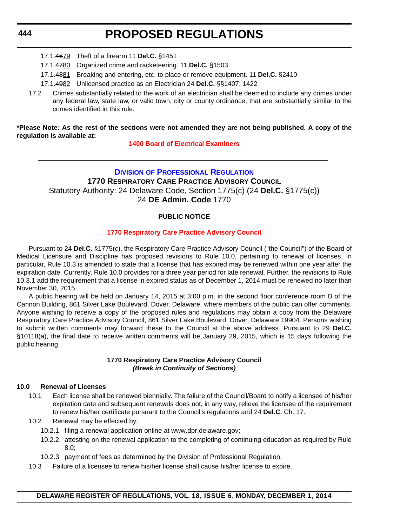#### **444**

# **PROPOSED REGULATIONS**

- 17.1.4679 Theft of a firearm.11 **Del.C.** §1451
- 17.1.4780 Organized crime and racketeering. 11 **Del.C.** §1503
- 17.1.4881 Breaking and entering, etc. to place or remove equipment. 11 **Del.C.** §2410
- 17.1.4982 Unlicensed practice as an Electrician 24 **Del.C.** §§1407; 1422
- 17.2 Crimes substantially related to the work of an electrician shall be deemed to include any crimes under any federal law, state law, or valid town, city or county ordinance, that are substantially similar to the crimes identified in this rule.

#### **\*Please Note: As the rest of the sections were not amended they are not being published. A copy of the regulation is available at:**

**[1400 Board of Electrical Examiners](http://regulations.delaware.gov/register/december2014/proposed/18 DE Reg 439 12-01-14.htm)**

### **DIVISION [OF PROFESSIONAL REGULATION](http://dpr.delaware.gov/) 1770 RESPIRATORY CARE PRACTICE ADVISORY COUNCIL** Statutory Authority: 24 Delaware Code, Section 1775(c) (24 **Del.C.** §1775(c)) 24 **DE Admin. Code** 1770

### **PUBLIC NOTICE**

#### **[1770 Respiratory Care Practice Advisory Council](#page-3-0)**

Pursuant to 24 **Del.C.** §1775(c), the Respiratory Care Practice Advisory Council ("the Council") of the Board of Medical Licensure and Discipline has proposed revisions to Rule 10.0, pertaining to renewal of licenses. In particular, Rule 10.3 is amended to state that a license that has expired may be renewed within one year after the expiration date. Currently, Rule 10.0 provides for a three year period for late renewal. Further, the revisions to Rule 10.3.1 add the requirement that a license in expired status as of December 1, 2014 must be renewed no later than November 30, 2015.

A public hearing will be held on January 14, 2015 at 3:00 p.m. in the second floor conference room B of the Cannon Building, 861 Silver Lake Boulevard, Dover, Delaware, where members of the public can offer comments. Anyone wishing to receive a copy of the proposed rules and regulations may obtain a copy from the Delaware Respiratory Care Practice Advisory Council, 861 Silver Lake Boulevard, Dover, Delaware 19904. Persons wishing to submit written comments may forward these to the Council at the above address. Pursuant to 29 **Del.C.** §10118(a), the final date to receive written comments will be January 29, 2015, which is 15 days following the public hearing.

#### **1770 Respiratory Care Practice Advisory Council** *(Break in Continuity of Sections)*

#### **10.0 Renewal of Licenses**

- 10.1 Each license shall be renewed biennially. The failure of the Council/Board to notify a licensee of his/her expiration date and subsequent renewals does not, in any way, relieve the licensee of the requirement to renew his/her certificate pursuant to the Council's regulations and 24 **Del.C.** Ch. 17.
- 10.2 Renewal may be effected by:
	- 10.2.1 filing a renewal application online at www.dpr.delaware.gov;
	- 10.2.2 attesting on the renewal application to the completing of continuing education as required by Rule 8.0;
	- 10.2.3 payment of fees as determined by the Division of Professional Regulation.
- 10.3 Failure of a licensee to renew his/her license shall cause his/her license to expire.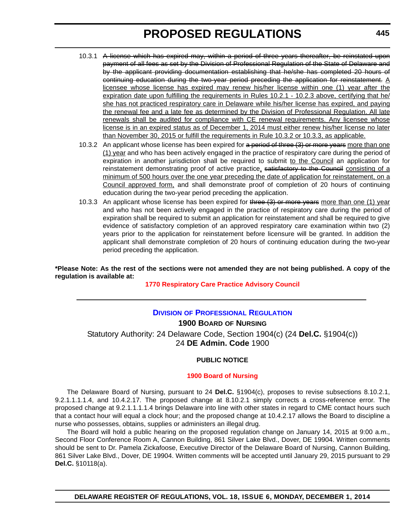- 10.3.1 A license which has expired may, within a period of three years thereafter, be reinstated upon payment of all fees as set by the Division of Professional Regulation of the State of Delaware and by the applicant providing documentation establishing that he/she has completed 20 hours of continuing education during the two-year period preceding the application for reinstatement.  $\underline{A}$ licensee whose license has expired may renew his/her license within one (1) year after the expiration date upon fulfilling the requirements in Rules 10.2.1 - 10.2.3 above, certifying that he/ she has not practiced respiratory care in Delaware while his/her license has expired, and paying the renewal fee and a late fee as determined by the Division of Professional Regulation. All late renewals shall be audited for compliance with CE renewal requirements. Any licensee whose license is in an expired status as of December 1, 2014 must either renew his/her license no later than November 30, 2015 or fulfill the requirements in Rule 10.3.2 or 10.3.3, as applicable.
- 10.3.2 An applicant whose license has been expired for a period of three (3) or more years more than one (1) year and who has been actively engaged in the practice of respiratory care during the period of expiration in another jurisdiction shall be required to submit to the Council an application for reinstatement demonstrating proof of active practice, satisfactory to the Council consisting of a minimum of 500 hours over the one year preceding the date of application for reinstatement, on a Council approved form, and shall demonstrate proof of completion of 20 hours of continuing education during the two-year period preceding the application.
- 10.3.3 An applicant whose license has been expired for three (3) or more years more than one (1) year and who has not been actively engaged in the practice of respiratory care during the period of expiration shall be required to submit an application for reinstatement and shall be required to give evidence of satisfactory completion of an approved respiratory care examination within two (2) years prior to the application for reinstatement before licensure will be granted. In addition the applicant shall demonstrate completion of 20 hours of continuing education during the two-year period preceding the application.

#### **\*Please Note: As the rest of the sections were not amended they are not being published. A copy of the regulation is available at:**

#### **[1770 Respiratory Care Practice Advisory Council](http://regulations.delaware.gov/register/december2014/proposed/18 DE Reg 444 12-01-14.htm)**

### **DIVISION [OF PROFESSIONAL REGULATION](http://dpr.delaware.gov/)**

**1900 BOARD OF NURSING** Statutory Authority: 24 Delaware Code, Section 1904(c) (24 **Del.C.** §1904(c)) 24 **DE Admin. Code** 1900

#### **PUBLIC NOTICE**

#### **[1900 Board of Nursing](#page-3-0)**

The Delaware Board of Nursing, pursuant to 24 **Del.C.** §1904(c), proposes to revise subsections 8.10.2.1, 9.2.1.1.1.1.4, and 10.4.2.17. The proposed change at 8.10.2.1 simply corrects a cross-reference error. The proposed change at 9.2.1.1.1.1.4 brings Delaware into line with other states in regard to CME contact hours such that a contact hour will equal a clock hour; and the proposed change at 10.4.2.17 allows the Board to discipline a nurse who possesses, obtains, supplies or administers an illegal drug.

The Board will hold a public hearing on the proposed regulation change on January 14, 2015 at 9:00 a.m., Second Floor Conference Room A, Cannon Building, 861 Silver Lake Blvd., Dover, DE 19904. Written comments should be sent to Dr. Pamela Zickafoose, Executive Director of the Delaware Board of Nursing, Cannon Building, 861 Silver Lake Blvd., Dover, DE 19904. Written comments will be accepted until January 29, 2015 pursuant to 29 **Del.C.** §10118(a).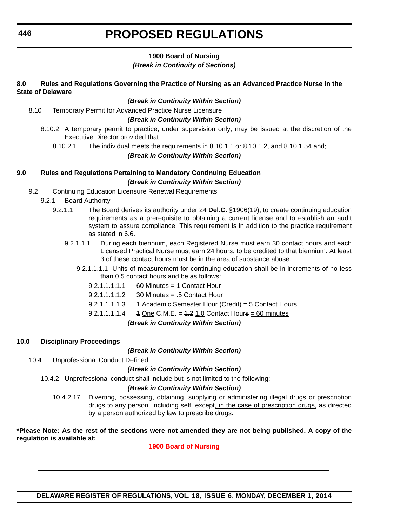#### **1900 Board of Nursing** *(Break in Continuity of Sections)*

#### **8.0 Rules and Regulations Governing the Practice of Nursing as an Advanced Practice Nurse in the State of Delaware**

#### *(Break in Continuity Within Section)*

8.10 Temporary Permit for Advanced Practice Nurse Licensure

#### *(Break in Continuity Within Section)*

- 8.10.2 A temporary permit to practice, under supervision only, may be issued at the discretion of the Executive Director provided that:
	- 8.10.2.1 The individual meets the requirements in 8.10.1.1 or 8.10.1.2, and 8.10.1.54 and;

#### *(Break in Continuity Within Section)*

### **9.0 Rules and Regulations Pertaining to Mandatory Continuing Education** *(Break in Continuity Within Section)*

- 9.2 Continuing Education Licensure Renewal Requirements
	- 9.2.1 Board Authority
		- 9.2.1.1 The Board derives its authority under 24 **Del.C.** §1906(19), to create continuing education requirements as a prerequisite to obtaining a current license and to establish an audit system to assure compliance. This requirement is in addition to the practice requirement as stated in 6.6.
			- 9.2.1.1.1 During each biennium, each Registered Nurse must earn 30 contact hours and each Licensed Practical Nurse must earn 24 hours, to be credited to that biennium. At least 3 of these contact hours must be in the area of substance abuse.
				- 9.2.1.1.1.1 Units of measurement for continuing education shall be in increments of no less than 0.5 contact hours and be as follows:
					- $9.2.1.1.1.1.1$  60 Minutes = 1 Contact Hour
					- 9.2.1.1.1.1.2 30 Minutes = .5 Contact Hour
					- 9.2.1.1.1.1.3 1 Academic Semester Hour (Credit) = 5 Contact Hours
					- 9.2.1.1.1.1.4  $\quad$  4 One C.M.E. =  $4.2$  1.0 Contact Hours = 60 minutes

#### *(Break in Continuity Within Section)*

#### **10.0 Disciplinary Proceedings**

#### *(Break in Continuity Within Section)*

10.4 Unprofessional Conduct Defined

#### *(Break in Continuity Within Section)*

10.4.2 Unprofessional conduct shall include but is not limited to the following:

#### *(Break in Continuity Within Section)*

10.4.2.17 Diverting, possessing, obtaining, supplying or administering illegal drugs or prescription drugs to any person, including self, except, in the case of prescription drugs, as directed by a person authorized by law to prescribe drugs.

#### **\*Please Note: As the rest of the sections were not amended they are not being published. A copy of the regulation is available at:**

#### **[1900 Board of Nursing](http://regulations.delaware.gov/register/december2014/proposed/18 DE Reg 445 12-01-14.htm)**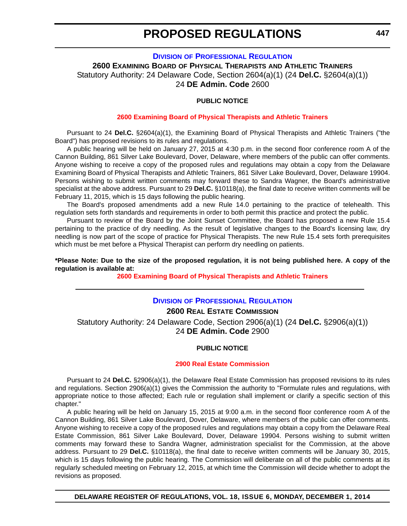#### **DIVISION [OF PROFESSIONAL REGULATION](http://dpr.delaware.gov/)**

**2600 EXAMINING BOARD OF PHYSICAL THERAPISTS AND ATHLETIC TRAINERS** Statutory Authority: 24 Delaware Code, Section 2604(a)(1) (24 **Del.C.** §2604(a)(1)) 24 **DE Admin. Code** 2600

#### **PUBLIC NOTICE**

#### **[2600 Examining Board of Physical Therapists and Athletic Trainers](#page-3-0)**

Pursuant to 24 **Del.C.** §2604(a)(1), the Examining Board of Physical Therapists and Athletic Trainers ("the Board") has proposed revisions to its rules and regulations.

A public hearing will be held on January 27, 2015 at 4:30 p.m. in the second floor conference room A of the Cannon Building, 861 Silver Lake Boulevard, Dover, Delaware, where members of the public can offer comments. Anyone wishing to receive a copy of the proposed rules and regulations may obtain a copy from the Delaware Examining Board of Physical Therapists and Athletic Trainers, 861 Silver Lake Boulevard, Dover, Delaware 19904. Persons wishing to submit written comments may forward these to Sandra Wagner, the Board's administrative specialist at the above address. Pursuant to 29 **Del.C.** §10118(a), the final date to receive written comments will be February 11, 2015, which is 15 days following the public hearing.

The Board's proposed amendments add a new Rule 14.0 pertaining to the practice of telehealth. This regulation sets forth standards and requirements in order to both permit this practice and protect the public.

Pursuant to review of the Board by the Joint Sunset Committee, the Board has proposed a new Rule 15.4 pertaining to the practice of dry needling. As the result of legislative changes to the Board's licensing law, dry needling is now part of the scope of practice for Physical Therapists. The new Rule 15.4 sets forth prerequisites which must be met before a Physical Therapist can perform dry needling on patients.

**\*Please Note: Due to the size of the proposed regulation, it is not being published here. A copy of the regulation is available at:**

**[2600 Examining Board of Physical Therapists and Athletic Trainers](http://regulations.delaware.gov/register/december2014/proposed/18 DE Reg 447 12-01-14.htm)**

#### **DIVISION [OF PROFESSIONAL REGULATION](http://dpr.delaware.gov/)**

#### **2600 REAL ESTATE COMMISSION**

Statutory Authority: 24 Delaware Code, Section 2906(a)(1) (24 **Del.C.** §2906(a)(1)) 24 **DE Admin. Code** 2900

#### **PUBLIC NOTICE**

#### **[2900 Real Estate Commission](#page-3-0)**

Pursuant to 24 **Del.C.** §2906(a)(1), the Delaware Real Estate Commission has proposed revisions to its rules and regulations. Section 2906(a)(1) gives the Commission the authority to "Formulate rules and regulations, with appropriate notice to those affected; Each rule or regulation shall implement or clarify a specific section of this chapter."

A public hearing will be held on January 15, 2015 at 9:00 a.m. in the second floor conference room A of the Cannon Building, 861 Silver Lake Boulevard, Dover, Delaware, where members of the public can offer comments. Anyone wishing to receive a copy of the proposed rules and regulations may obtain a copy from the Delaware Real Estate Commission, 861 Silver Lake Boulevard, Dover, Delaware 19904. Persons wishing to submit written comments may forward these to Sandra Wagner, administration specialist for the Commission, at the above address. Pursuant to 29 **Del.C.** §10118(a), the final date to receive written comments will be January 30, 2015, which is 15 days following the public hearing. The Commission will deliberate on all of the public comments at its regularly scheduled meeting on February 12, 2015, at which time the Commission will decide whether to adopt the revisions as proposed.

**DELAWARE REGISTER OF REGULATIONS, VOL. 18, ISSUE 6, MONDAY, DECEMBER 1, 2014**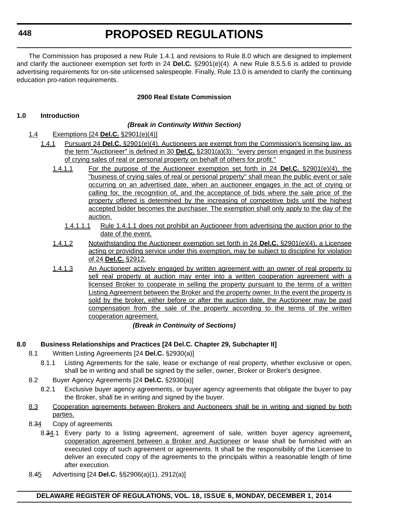**448**

# **PROPOSED REGULATIONS**

The Commission has proposed a new Rule 1.4.1 and revisions to Rule 8.0 which are designed to implement and clarify the auctioneer exemption set forth in 24 **Del.C.** §2901(e)(4). A new Rule 8.5.5.6 is added to provide advertising requirements for on-site unlicensed salespeople. Finally, Rule 13.0 is amended to clarify the continuing education pro-ration requirements.

### **2900 Real Estate Commission**

#### **1.0 Introduction**

#### *(Break in Continuity Within Section)*

- 1.4 Exemptions [24 **Del.C.** §2901(e)(4)]
	- 1.4.1 Pursuant 24 **Del.C.** §2901(e)(4), Auctioneers are exempt from the Commission's licensing law, as the term "Auctioneer" is defined in 30 **Del.C.** §2301(a)(3): "every person engaged in the business of crying sales of real or personal property on behalf of others for profit."
		- 1.4.1.1 For the purpose of the Auctioneer exemption set forth in 24 **Del.C.** §2901(e)(4), the "business of crying sales of real or personal property" shall mean the public event or sale occurring on an advertised date, when an auctioneer engages in the act of crying or calling for, the recognition of, and the acceptance of bids where the sale price of the property offered is determined by the increasing of competitive bids until the highest accepted bidder becomes the purchaser. The exemption shall only apply to the day of the auction.
			- 1.4.1.1.1 Rule 1.4.1.1 does not prohibit an Auctioneer from advertising the auction prior to the date of the event.
		- 1.4.1.2 Notwithstanding the Auctioneer exemption set forth in 24 **Del.C.** §2901(e)(4), a Licensee acting or providing service under this exemption, may be subject to discipline for violation of 24 **Del.C.** §2912.
		- 1.4.1.3 An Auctioneer actively engaged by written agreement with an owner of real property to sell real property at auction may enter into a written cooperation agreement with a licensed Broker to cooperate in selling the property pursuant to the terms of a written Listing Agreement between the Broker and the property owner. In the event the property is sold by the broker, either before or after the auction date, the Auctioneer may be paid compensation from the sale of the property according to the terms of the written cooperation agreement.

#### *(Break in Continuity of Sections)*

#### **8.0 Business Relationships and Practices [24 Del.C. Chapter 29, Subchapter II]**

- 8.1 Written Listing Agreements [24 **Del.C.** §2930(a)]
	- 8.1.1 Listing Agreements for the sale, lease or exchange of real property, whether exclusive or open, shall be in writing and shall be signed by the seller, owner, Broker or Broker's designee.
- 8.2 Buyer Agency Agreements [24 **Del.C.** §2930(a)]
	- 8.2.1 Exclusive buyer agency agreements, or buyer agency agreements that obligate the buyer to pay the Broker, shall be in writing and signed by the buyer.
- 8.3 Cooperation agreements between Brokers and Auctioneers shall be in writing and signed by both parties.
- 8.34 Copy of agreements
	- 8.34.1 Every party to a listing agreement, agreement of sale, written buyer agency agreement, cooperation agreement between a Broker and Auctioneer or lease shall be furnished with an executed copy of such agreement or agreements. It shall be the responsibility of the Licensee to deliver an executed copy of the agreements to the principals within a reasonable length of time after execution.
- 8.45 Advertising [24 **Del.C.** §§2906(a)(1), 2912(a)]

#### **DELAWARE REGISTER OF REGULATIONS, VOL. 18, ISSUE 6, MONDAY, DECEMBER 1, 2014**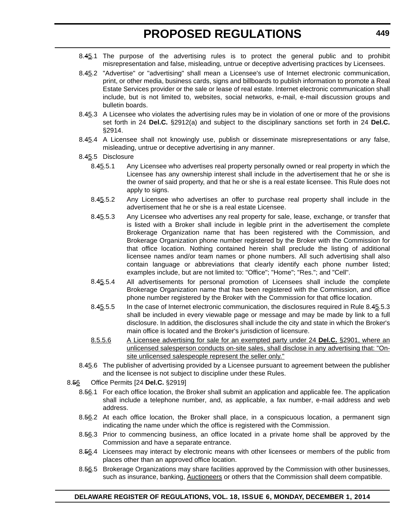- 8.45.1 The purpose of the advertising rules is to protect the general public and to prohibit misrepresentation and false, misleading, untrue or deceptive advertising practices by Licensees.
- 8.45.2 "Advertise" or "advertising" shall mean a Licensee's use of Internet electronic communication, print, or other media, business cards, signs and billboards to publish information to promote a Real Estate Services provider or the sale or lease of real estate. Internet electronic communication shall include, but is not limited to, websites, social networks, e-mail, e-mail discussion groups and bulletin boards.
- 8.45.3 A Licensee who violates the advertising rules may be in violation of one or more of the provisions set forth in 24 **Del.C.** §2912(a) and subject to the disciplinary sanctions set forth in 24 **Del.C.** §2914.
- 8.45.4 A Licensee shall not knowingly use, publish or disseminate misrepresentations or any false, misleading, untrue or deceptive advertising in any manner.
- 8.45.5 Disclosure
	- 8.45.5.1 Any Licensee who advertises real property personally owned or real property in which the Licensee has any ownership interest shall include in the advertisement that he or she is the owner of said property, and that he or she is a real estate licensee. This Rule does not apply to signs.
	- 8.45.5.2 Any Licensee who advertises an offer to purchase real property shall include in the advertisement that he or she is a real estate Licensee.
	- 8.45.5.3 Any Licensee who advertises any real property for sale, lease, exchange, or transfer that is listed with a Broker shall include in legible print in the advertisement the complete Brokerage Organization name that has been registered with the Commission, and Brokerage Organization phone number registered by the Broker with the Commission for that office location. Nothing contained herein shall preclude the listing of additional licensee names and/or team names or phone numbers. All such advertising shall also contain language or abbreviations that clearly identify each phone number listed; examples include, but are not limited to: "Office"; "Home"; "Res."; and "Cell".
	- 8.45.5.4 All advertisements for personal promotion of Licensees shall include the complete Brokerage Organization name that has been registered with the Commission, and office phone number registered by the Broker with the Commission for that office location.
	- 8.45.5.5 In the case of Internet electronic communication, the disclosures required in Rule 8.45.5.3 shall be included in every viewable page or message and may be made by link to a full disclosure. In addition, the disclosures shall include the city and state in which the Broker's main office is located and the Broker's jurisdiction of licensure.
	- 8.5.5.6 A Licensee advertising for sale for an exempted party under 24 **Del.C.** §2901, where an unlicensed salesperson conducts on-site sales, shall disclose in any advertising that: "Onsite unlicensed salespeople represent the seller only."
- 8.45.6 The publisher of advertising provided by a Licensee pursuant to agreement between the publisher and the licensee is not subject to discipline under these Rules.
- 8.56 Office Permits [24 **Del.C.** §2919]
	- 8.56.1 For each office location, the Broker shall submit an application and applicable fee. The application shall include a telephone number, and, as applicable, a fax number, e-mail address and web address.
	- 8.56.2 At each office location, the Broker shall place, in a conspicuous location, a permanent sign indicating the name under which the office is registered with the Commission.
	- 8.56.3 Prior to commencing business, an office located in a private home shall be approved by the Commission and have a separate entrance.
	- 8.56.4 Licensees may interact by electronic means with other licensees or members of the public from places other than an approved office location.
	- 8.56.5 Brokerage Organizations may share facilities approved by the Commission with other businesses, such as insurance, banking, Auctioneers or others that the Commission shall deem compatible.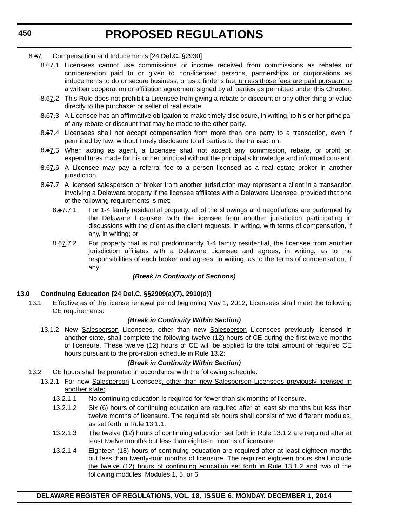#### 8.67 Compensation and Inducements [24 **Del.C.** §2930]

- 8.67.1 Licensees cannot use commissions or income received from commissions as rebates or compensation paid to or given to non-licensed persons, partnerships or corporations as inducements to do or secure business, or as a finder's fee, unless those fees are paid pursuant to a written cooperation or affiliation agreement signed by all parties as permitted under this Chapter.
- 8.67.2 This Rule does not prohibit a Licensee from giving a rebate or discount or any other thing of value directly to the purchaser or seller of real estate.
- 8.67.3 A Licensee has an affirmative obligation to make timely disclosure, in writing, to his or her principal of any rebate or discount that may be made to the other party.
- 8.67.4 Licensees shall not accept compensation from more than one party to a transaction, even if permitted by law, without timely disclosure to all parties to the transaction.
- 8.67.5 When acting as agent, a Licensee shall not accept any commission, rebate, or profit on expenditures made for his or her principal without the principal's knowledge and informed consent.
- 8.67.6 A Licensee may pay a referral fee to a person licensed as a real estate broker in another jurisdiction.
- 8.67.7 A licensed salesperson or broker from another jurisdiction may represent a client in a transaction involving a Delaware property if the licensee affiliates with a Delaware Licensee, provided that one of the following requirements is met:
	- 8.67.7.1 For 1-4 family residential property, all of the showings and negotiations are performed by the Delaware Licensee, with the licensee from another jurisdiction participating in discussions with the client as the client requests, in writing, with terms of compensation, if any, in writing; or
	- 8.67.7.2 For property that is not predominantly 1-4 family residential, the licensee from another jurisdiction affiliates with a Delaware Licensee and agrees, in writing, as to the responsibilities of each broker and agrees, in writing, as to the terms of compensation, if any.

#### *(Break in Continuity of Sections)*

#### **13.0 Continuing Education [24 Del.C. §§2909(a)(7), 2910(d)]**

13.1 Effective as of the license renewal period beginning May 1, 2012, Licensees shall meet the following CE requirements:

#### *(Break in Continuity Within Section)*

13.1.2 New Salesperson Licensees, other than new Salesperson Licensees previously licensed in another state, shall complete the following twelve (12) hours of CE during the first twelve months of licensure. These twelve (12) hours of CE will be applied to the total amount of required CE hours pursuant to the pro-ration schedule in Rule 13.2:

#### *(Break in Continuity Within Section)*

- 13.2 CE hours shall be prorated in accordance with the following schedule:
	- 13.2.1 For new Salesperson Licensees, other than new Salesperson Licensees previously licensed in another state:
		- 13.2.1.1 No continuing education is required for fewer than six months of licensure.
		- 13.2.1.2 Six (6) hours of continuing education are required after at least six months but less than twelve months of licensure. The required six hours shall consist of two different modules, as set forth in Rule 13.1.1.
		- 13.2.1.3 The twelve (12) hours of continuing education set forth in Rule 13.1.2 are required after at least twelve months but less than eighteen months of licensure.
		- 13.2.1.4 Eighteen (18) hours of continuing education are required after at least eighteen months but less than twenty-four months of licensure. The required eighteen hours shall include the twelve (12) hours of continuing education set forth in Rule 13.1.2 and two of the following modules: Modules 1, 5, or 6.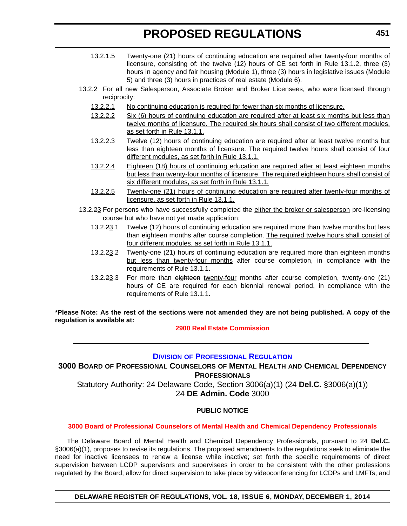- 13.2.1.5 Twenty-one (21) hours of continuing education are required after twenty-four months of licensure, consisting of: the twelve (12) hours of CE set forth in Rule 13.1.2, three (3) hours in agency and fair housing (Module 1), three (3) hours in legislative issues (Module 5) and three (3) hours in practices of real estate (Module 6).
- 13.2.2 For all new Salesperson, Associate Broker and Broker Licensees, who were licensed through reciprocity:
	- 13.2.2.1 No continuing education is required for fewer than six months of licensure.
	- 13.2.2.2 Six (6) hours of continuing education are required after at least six months but less than twelve months of licensure. The required six hours shall consist of two different modules, as set forth in Rule 13.1.1.
	- 13.2.2.3 Twelve (12) hours of continuing education are required after at least twelve months but less than eighteen months of licensure. The required twelve hours shall consist of four different modules, as set forth in Rule 13.1.1.
	- 13.2.2.4 Eighteen (18) hours of continuing education are required after at least eighteen months but less than twenty-four months of licensure. The required eighteen hours shall consist of six different modules, as set forth in Rule 13.1.1.
	- 13.2.2.5 Twenty-one (21) hours of continuing education are required after twenty-four months of licensure, as set forth in Rule 13.1.1.
- 13.2.23 For persons who have successfully completed the either the broker or salesperson pre-licensing course but who have not yet made application:
	- 13.2.23.1 Twelve (12) hours of continuing education are required more than twelve months but less than eighteen months after course completion. The required twelve hours shall consist of four different modules, as set forth in Rule 13.1.1.
	- 13.2.23.2 Twenty-one (21) hours of continuing education are required more than eighteen months but less than twenty-four months after course completion, in compliance with the requirements of Rule 13.1.1.
	- 13.2.23.3 For more than eighteen twenty-four months after course completion, twenty-one (21) hours of CE are required for each biennial renewal period, in compliance with the requirements of Rule 13.1.1.

**\*Please Note: As the rest of the sections were not amended they are not being published. A copy of the regulation is available at:**

#### **[2900 Real Estate Commission](http://regulations.delaware.gov/register/december2014/proposed/18 DE Reg 447a 12-01-14.htm)**

#### **DIVISION [OF PROFESSIONAL REGULATION](http://dpr.delaware.gov/)**

**3000 BOARD OF PROFESSIONAL COUNSELORS OF MENTAL HEALTH AND CHEMICAL DEPENDENCY PROFESSIONALS** Statutory Authority: 24 Delaware Code, Section 3006(a)(1) (24 **Del.C.** §3006(a)(1)) 24 **DE Admin. Code** 3000

#### **PUBLIC NOTICE**

#### **[3000 Board of Professional Counselors of Mental Health and Chemical Dependency Professionals](#page-3-0)**

The Delaware Board of Mental Health and Chemical Dependency Professionals, pursuant to 24 **Del.C.** §3006(a)(1), proposes to revise its regulations. The proposed amendments to the regulations seek to eliminate the need for inactive licensees to renew a license while inactive; set forth the specific requirements of direct supervision between LCDP supervisors and supervisees in order to be consistent with the other professions regulated by the Board; allow for direct supervision to take place by videoconferencing for LCDPs and LMFTs; and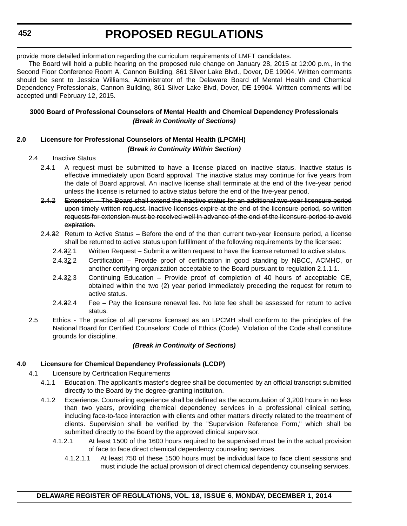provide more detailed information regarding the curriculum requirements of LMFT candidates.

The Board will hold a public hearing on the proposed rule change on January 28, 2015 at 12:00 p.m., in the Second Floor Conference Room A, Cannon Building, 861 Silver Lake Blvd., Dover, DE 19904. Written comments should be sent to Jessica Williams, Administrator of the Delaware Board of Mental Health and Chemical Dependency Professionals, Cannon Building, 861 Silver Lake Blvd, Dover, DE 19904. Written comments will be accepted until February 12, 2015.

### **3000 Board of Professional Counselors of Mental Health and Chemical Dependency Professionals** *(Break in Continuity of Sections)*

#### **2.0 Licensure for Professional Counselors of Mental Health (LPCMH)** *(Break in Continuity Within Section)*

#### 2.4 Inactive Status

- 2.4.1 A request must be submitted to have a license placed on inactive status. Inactive status is effective immediately upon Board approval. The inactive status may continue for five years from the date of Board approval. An inactive license shall terminate at the end of the five-year period unless the license is returned to active status before the end of the five-year period.
- 2.4.2 Extension The Board shall extend the inactive status for an additional two-year licensure period upon timely written request. Inactive licenses expire at the end of the licensure period, so written requests for extension must be received well in advance of the end of the licensure period to avoid expiration.
- 2.4.32 Return to Active Status Before the end of the then current two-year licensure period, a license shall be returned to active status upon fulfillment of the following requirements by the licensee:
	- 2.4.32.1 Written Request Submit a written request to have the license returned to active status.
	- 2.4.32.2 Certification Provide proof of certification in good standing by NBCC, ACMHC, or another certifying organization acceptable to the Board pursuant to regulation 2.1.1.1.
	- 2.4.32.3 Continuing Education Provide proof of completion of 40 hours of acceptable CE, obtained within the two (2) year period immediately preceding the request for return to active status.
	- 2.4.32.4 Fee Pay the licensure renewal fee. No late fee shall be assessed for return to active status.
- 2.5 Ethics The practice of all persons licensed as an LPCMH shall conform to the principles of the National Board for Certified Counselors' Code of Ethics (Code). Violation of the Code shall constitute grounds for discipline.

#### *(Break in Continuity of Sections)*

#### **4.0 Licensure for Chemical Dependency Professionals (LCDP)**

- 4.1 Licensure by Certification Requirements
	- 4.1.1 Education. The applicant's master's degree shall be documented by an official transcript submitted directly to the Board by the degree-granting institution.
	- 4.1.2 Experience. Counseling experience shall be defined as the accumulation of 3,200 hours in no less than two years, providing chemical dependency services in a professional clinical setting, including face-to-face interaction with clients and other matters directly related to the treatment of clients. Supervision shall be verified by the "Supervision Reference Form," which shall be submitted directly to the Board by the approved clinical supervisor.
		- 4.1.2.1 At least 1500 of the 1600 hours required to be supervised must be in the actual provision of face to face direct chemical dependency counseling services.
			- 4.1.2.1.1 At least 750 of these 1500 hours must be individual face to face client sessions and must include the actual provision of direct chemical dependency counseling services.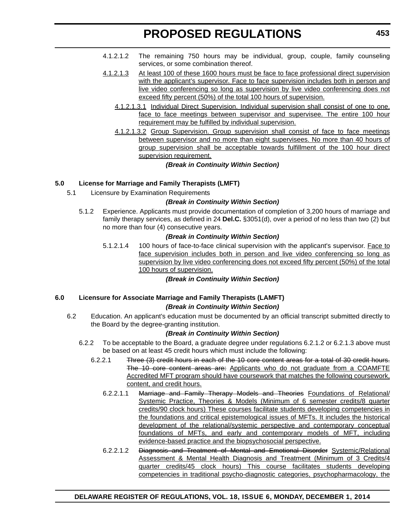- 4.1.2.1.2 The remaining 750 hours may be individual, group, couple, family counseling services, or some combination thereof.
- 4.1.2.1.3 At least 100 of these 1600 hours must be face to face professional direct supervision with the applicant's supervisor. Face to face supervision includes both in person and live video conferencing so long as supervision by live video conferencing does not exceed fifty percent (50%) of the total 100 hours of supervision.
	- 4.1.2.1.3.1 Individual Direct Supervision. Individual supervision shall consist of one to one, face to face meetings between supervisor and supervisee. The entire 100 hour requirement may be fulfilled by individual supervision.
	- 4.1.2.1.3.2 Group Supervision. Group supervision shall consist of face to face meetings between supervisor and no more than eight supervisees. No more than 40 hours of group supervision shall be acceptable towards fulfillment of the 100 hour direct supervision requirement.

#### *(Break in Continuity Within Section)*

#### **5.0 License for Marriage and Family Therapists (LMFT)**

5.1 Licensure by Examination Requirements

#### *(Break in Continuity Within Section)*

5.1.2 Experience. Applicants must provide documentation of completion of 3,200 hours of marriage and family therapy services, as defined in 24 **Del.C.** §3051(d), over a period of no less than two (2) but no more than four (4) consecutive years.

#### *(Break in Continuity Within Section)*

5.1.2.1.4 100 hours of face-to-face clinical supervision with the applicant's supervisor. Face to face supervision includes both in person and live video conferencing so long as supervision by live video conferencing does not exceed fifty percent (50%) of the total 100 hours of supervision.

#### *(Break in Continuity Within Section)*

## **6.0 Licensure for Associate Marriage and Family Therapists (LAMFT)**

### *(Break in Continuity Within Section)*

6.2 Education. An applicant's education must be documented by an official transcript submitted directly to the Board by the degree-granting institution.

#### *(Break in Continuity Within Section)*

- 6.2.2 To be acceptable to the Board, a graduate degree under regulations 6.2.1.2 or 6.2.1.3 above must be based on at least 45 credit hours which must include the following:
	- 6.2.2.1 Three (3) credit hours in each of the 10 core content areas for a total of 30 credit hours. The 10 core content areas are: Applicants who do not graduate from a COAMFTE Accredited MFT program should have coursework that matches the following coursework, content, and credit hours.
		- 6.2.2.1.1 Marriage and Family Therapy Models and Theories Foundations of Relational/ Systemic Practice, Theories & Models (Minimum of 6 semester credits/8 quarter credits/90 clock hours) These courses facilitate students developing competencies in the foundations and critical epistemological issues of MFTs. It includes the historical development of the relational/systemic perspective and contemporary conceptual foundations of MFTs, and early and contemporary models of MFT, including evidence-based practice and the biopsychosocial perspective.
		- 6.2.2.1.2 Diagnosis and Treatment of Mental and Emotional Disorder Systemic/Relational Assessment & Mental Health Diagnosis and Treatment (Minimum of 3 Credits/4 quarter credits/45 clock hours) This course facilitates students developing competencies in traditional psycho-diagnostic categories, psychopharmacology, the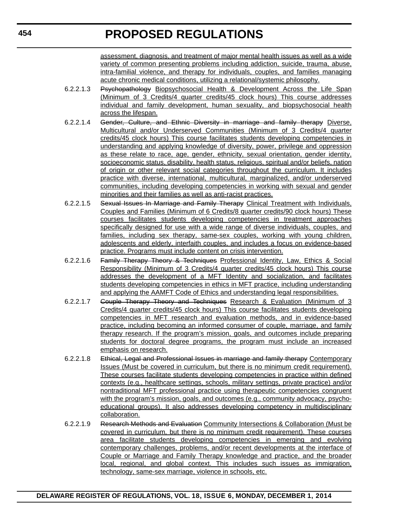assessment, diagnosis, and treatment of major mental health issues as well as a wide variety of common presenting problems including addiction, suicide, trauma, abuse, intra-familial violence, and therapy for individuals, couples, and families managing acute chronic medical conditions, utilizing a relational/systemic philosophy.

- 6.2.2.1.3 Psychopathology Biopsychosocial Health & Development Across the Life Span (Minimum of 3 Credits/4 quarter credits/45 clock hours) This course addresses individual and family development, human sexuality, and biopsychosocial health across the lifespan.
- 6.2.2.1.4 Gender, Culture, and Ethnic Diversity in marriage and family therapy Diverse, Multicultural and/or Underserved Communities (Minimum of 3 Credits/4 quarter credits/45 clock hours) This course facilitates students developing competencies in understanding and applying knowledge of diversity, power, privilege and oppression as these relate to race, age, gender, ethnicity, sexual orientation, gender identity, socioeconomic status, disability, health status, religious, spiritual and/or beliefs, nation of origin or other relevant social categories throughout the curriculum. It includes practice with diverse, international, multicultural, marginalized, and/or underserved communities, including developing competencies in working with sexual and gender minorities and their families as well as anti-racist practices.
- 6.2.2.1.5 Sexual Issues In Marriage and Family Therapy Clinical Treatment with Individuals, Couples and Families (Minimum of 6 Credits/8 quarter credits/90 clock hours) These courses facilitates students developing competencies in treatment approaches specifically designed for use with a wide range of diverse individuals, couples, and families, including sex therapy, same-sex couples, working with young children, adolescents and elderly, interfaith couples, and includes a focus on evidence-based practice. Programs must include content on crisis intervention.
- 6.2.2.1.6 Family Therapy Theory & Techniques Professional Identity, Law, Ethics & Social Responsibility (Minimum of 3 Credits/4 quarter credits/45 clock hours) This course addresses the development of a MFT Identity and socialization, and facilitates students developing competencies in ethics in MFT practice, including understanding and applying the AAMFT Code of Ethics and understanding legal responsibilities.
- 6.2.2.1.7 Couple Therapy Theory and Techniques Research & Evaluation (Minimum of 3 Credits/4 quarter credits/45 clock hours) This course facilitates students developing competencies in MFT research and evaluation methods, and in evidence-based practice, including becoming an informed consumer of couple, marriage, and family therapy research. If the program's mission, goals, and outcomes include preparing students for doctoral degree programs, the program must include an increased emphasis on research.
- 6.2.2.1.8 Ethical, Legal and Professional Issues in marriage and family therapy Contemporary Issues (Must be covered in curriculum, but there is no minimum credit requirement). These courses facilitate students developing competencies in practice within defined contexts (e.g., healthcare settings, schools, military settings, private practice) and/or nontraditional MFT professional practice using therapeutic competencies congruent with the program's mission, goals, and outcomes (e.g., community advocacy, psychoeducational groups). It also addresses developing competency in multidisciplinary collaboration.
- 6.2.2.1.9 Research Methods and Evaluation Community Intersections & Collaboration (Must be covered in curriculum, but there is no minimum credit requirement). These courses area facilitate students developing competencies in emerging and evolving contemporary challenges, problems, and/or recent developments at the interface of Couple or Marriage and Family Therapy knowledge and practice, and the broader local, regional, and global context. This includes such issues as immigration, technology, same-sex marriage, violence in schools, etc.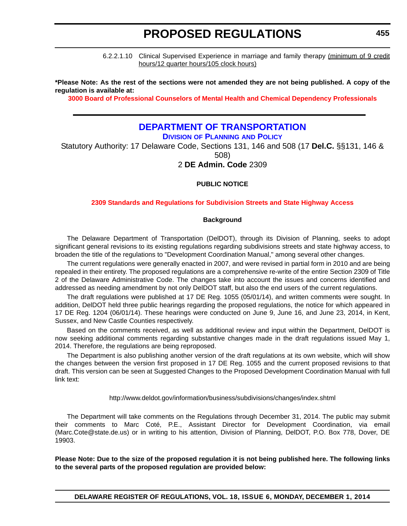6.2.2.1.10 Clinical Supervised Experience in marriage and family therapy (minimum of 9 credit hours/12 quarter hours/105 clock hours)

**\*Please Note: As the rest of the sections were not amended they are not being published. A copy of the regulation is available at:**

**[3000 Board of Professional Counselors of Mental Health and Chemical Dependency Professionals](http://regulations.delaware.gov/register/december2014/proposed/18 DE Reg 451 12-01-14.htm)**

### **[DEPARTMENT OF TRANSPORTATION](http://www.deldot.gov/index.shtml)**

**DIVISION OF PLANNING AND POLICY**

Statutory Authority: 17 Delaware Code, Sections 131, 146 and 508 (17 **Del.C.** §§131, 146 & 508)

### 2 **DE Admin. Code** 2309

#### **PUBLIC NOTICE**

#### **[2309 Standards and Regulations for Subdivision Streets and State Highway Access](#page-3-0)**

#### **Background**

The Delaware Department of Transportation (DelDOT), through its Division of Planning, seeks to adopt significant general revisions to its existing regulations regarding subdivisions streets and state highway access, to broaden the title of the regulations to "Development Coordination Manual," among several other changes.

The current regulations were generally enacted in 2007, and were revised in partial form in 2010 and are being repealed in their entirety. The proposed regulations are a comprehensive re-write of the entire Section 2309 of Title 2 of the Delaware Administrative Code. The changes take into account the issues and concerns identified and addressed as needing amendment by not only DelDOT staff, but also the end users of the current regulations.

The draft regulations were published at 17 DE Reg. 1055 (05/01/14), and written comments were sought. In addition, DelDOT held three public hearings regarding the proposed regulations, the notice for which appeared in 17 DE Reg. 1204 (06/01/14). These hearings were conducted on June 9, June 16, and June 23, 2014, in Kent, Sussex, and New Castle Counties respectively.

Based on the comments received, as well as additional review and input within the Department, DelDOT is now seeking additional comments regarding substantive changes made in the draft regulations issued May 1, 2014. Therefore, the regulations are being reproposed.

The Department is also publishing another version of the draft regulations at its own website, which will show the changes between the version first proposed in 17 DE Reg. 1055 and the current proposed revisions to that draft. This version can be seen at Suggested Changes to the Proposed Development Coordination Manual with full link text:

http://www.deldot.gov/information/business/subdivisions/changes/index.shtml

The Department will take comments on the Regulations through December 31, 2014. The public may submit their comments to Marc Coté, P.E., Assistant Director for Development Coordination, via email (Marc.Cote@state.de.us) or in writing to his attention, Division of Planning, DelDOT, P.O. Box 778, Dover, DE 19903.

**Please Note: Due to the size of the proposed regulation it is not being published here. The following links to the several parts of the proposed regulation are provided below:**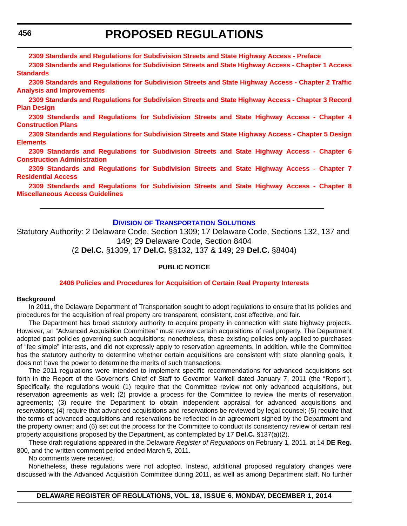**[2309 Standards and Regulations for Subdivision Streets and State Highway Access - Preface](http://regulations.delaware.gov/register/december2014/proposed/Preface.pdf)**

**[2309 Standards and Regulations for Subdivision Streets and State Highway Access - Chapter 1 Access](http://regulations.delaware.gov/register/december2014/proposed/Chap1.pdf) [Standards](http://regulations.delaware.gov/register/december2014/proposed/Chap1.pdf)**

**[2309 Standards and Regulations for Subdivision Streets and State Highway Access - Chapter 2 Traffic](http://regulations.delaware.gov/register/december2014/proposed/Chap2.pdf) [Analysis and Improvements](http://regulations.delaware.gov/register/december2014/proposed/Chap2.pdf)**

**[2309 Standards and Regulations for Subdivision Streets and State Highway Access - Chapter 3 Record](http://regulations.delaware.gov/register/december2014/proposed/Chap3.pdf) [Plan Design](http://regulations.delaware.gov/register/december2014/proposed/Chap3.pdf)**

**[2309 Standards and Regulations for Subdivision Streets and State Highway Access - Chapter 4](http://regulations.delaware.gov/register/december2014/proposed/Chap4.pdf) [Construction Plans](http://regulations.delaware.gov/register/december2014/proposed/Chap4.pdf)**

**[2309 Standards and Regulations for Subdivision Streets and State Highway Access - Chapter 5 Design](http://regulations.delaware.gov/register/december2014/proposed/Chap5.pdf) [Elements](http://regulations.delaware.gov/register/december2014/proposed/Chap5.pdf)**

**[2309 Standards and Regulations for Subdivision Streets and State Highway Access - Chapter 6](http://regulations.delaware.gov/register/december2014/proposed/Chap6.pdf) [Construction Administration](http://regulations.delaware.gov/register/december2014/proposed/Chap6.pdf)**

**[2309 Standards and Regulations for Subdivision Streets and State Highway Access - Chapter 7](http://regulations.delaware.gov/register/december2014/proposed/Chap7.pdf) [Residential Access](http://regulations.delaware.gov/register/december2014/proposed/Chap7.pdf)**

**[2309 Standards and Regulations for Subdivision Streets and State Highway Access - Chapter 8](http://regulations.delaware.gov/register/december2014/proposed/Chap8.pdf) [Miscellaneous Access Guidelines](http://regulations.delaware.gov/register/december2014/proposed/Chap8.pdf)**

#### **DIVISION [OF TRANSPORTATION SOLUTIONS](http://www.deldot.gov/index.shtml)**

Statutory Authority: 2 Delaware Code, Section 1309; 17 Delaware Code, Sections 132, 137 and 149; 29 Delaware Code, Section 8404

(2 **Del.C.** §1309, 17 **Del.C.** §§132, 137 & 149; 29 **Del.C.** §8404)

#### **PUBLIC NOTICE**

#### **[2406 Policies and Procedures for Acquisition of Certain Real Property Interests](#page-3-0)**

#### **Background**

In 2011, the Delaware Department of Transportation sought to adopt regulations to ensure that its policies and procedures for the acquisition of real property are transparent, consistent, cost effective, and fair.

The Department has broad statutory authority to acquire property in connection with state highway projects. However, an "Advanced Acquisition Committee" must review certain acquisitions of real property. The Department adopted past policies governing such acquisitions; nonetheless, these existing policies only applied to purchases of "fee simple" interests, and did not expressly apply to reservation agreements. In addition, while the Committee has the statutory authority to determine whether certain acquisitions are consistent with state planning goals, it does not have the power to determine the merits of such transactions.

The 2011 regulations were intended to implement specific recommendations for advanced acquisitions set forth in the Report of the Governor's Chief of Staff to Governor Markell dated January 7, 2011 (the "Report"). Specifically, the regulations would (1) require that the Committee review not only advanced acquisitions, but reservation agreements as well; (2) provide a process for the Committee to review the merits of reservation agreements; (3) require the Department to obtain independent appraisal for advanced acquisitions and reservations; (4) require that advanced acquisitions and reservations be reviewed by legal counsel; (5) require that the terms of advanced acquisitions and reservations be reflected in an agreement signed by the Department and the property owner; and (6) set out the process for the Committee to conduct its consistency review of certain real property acquisitions proposed by the Department, as contemplated by 17 **Del.C.** §137(a)(2).

These draft regulations appeared in the Delaware *Register of Regulations* on February 1, 2011, at 14 **DE Reg.** 800, and the written comment period ended March 5, 2011.

No comments were received.

Nonetheless, these regulations were not adopted. Instead, additional proposed regulatory changes were discussed with the Advanced Acquisition Committee during 2011, as well as among Department staff. No further

**DELAWARE REGISTER OF REGULATIONS, VOL. 18, ISSUE 6, MONDAY, DECEMBER 1, 2014**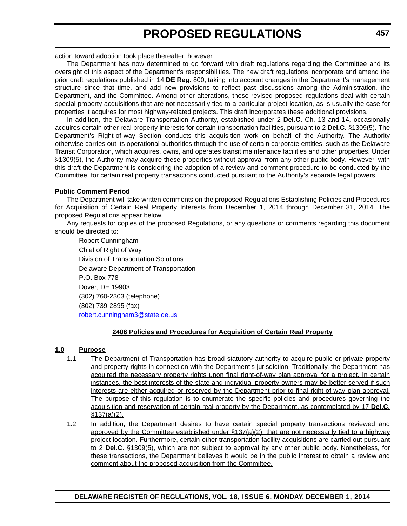action toward adoption took place thereafter, however.

The Department has now determined to go forward with draft regulations regarding the Committee and its oversight of this aspect of the Department's responsibilities. The new draft regulations incorporate and amend the prior draft regulations published in 14 **DE Reg**. 800, taking into account changes in the Department's management structure since that time, and add new provisions to reflect past discussions among the Administration, the Department, and the Committee. Among other alterations, these revised proposed regulations deal with certain special property acquisitions that are not necessarily tied to a particular project location, as is usually the case for properties it acquires for most highway-related projects. This draft incorporates these additional provisions.

In addition, the Delaware Transportation Authority, established under 2 **Del.C.** Ch. 13 and 14, occasionally acquires certain other real property interests for certain transportation facilities, pursuant to 2 **Del.C.** §1309(5). The Department's Right-of-way Section conducts this acquisition work on behalf of the Authority. The Authority otherwise carries out its operational authorities through the use of certain corporate entities, such as the Delaware Transit Corporation, which acquires, owns, and operates transit maintenance facilities and other properties. Under §1309(5), the Authority may acquire these properties without approval from any other public body. However, with this draft the Department is considering the adoption of a review and comment procedure to be conducted by the Committee, for certain real property transactions conducted pursuant to the Authority's separate legal powers.

#### **Public Comment Period**

The Department will take written comments on the proposed Regulations Establishing Policies and Procedures for Acquisition of Certain Real Property Interests from December 1, 2014 through December 31, 2014. The proposed Regulations appear below.

Any requests for copies of the proposed Regulations, or any questions or comments regarding this document should be directed to:

Robert Cunningham Chief of Right of Way Division of Transportation Solutions Delaware Department of Transportation P.O. Box 778 Dover, DE 19903 (302) 760-2303 (telephone) (302) 739-2895 (fax) [robert.cunningham3@state.de.us](mailto:robert.cunningham3@state.de.us)

#### **2406 Policies and Procedures for Acquisition of Certain Real Property**

#### **1.0 Purpose**

- 1.1 The Department of Transportation has broad statutory authority to acquire public or private property and property rights in connection with the Department's jurisdiction. Traditionally, the Department has acquired the necessary property rights upon final right-of-way plan approval for a project. In certain instances, the best interests of the state and individual property owners may be better served if such interests are either acquired or reserved by the Department prior to final right-of-way plan approval. The purpose of this regulation is to enumerate the specific policies and procedures governing the acquisition and reservation of certain real property by the Department, as contemplated by 17 **Del.C.** §137(a)(2).
- 1.2 In addition, the Department desires to have certain special property transactions reviewed and approved by the Committee established under  $\S$ 137(a)(2), that are not necessarily tied to a highway project location. Furthermore, certain other transportation facility acquisitions are carried out pursuant to 2 **Del.C.** §1309(5), which are not subject to approval by any other public body. Nonetheless, for these transactions, the Department believes it would be in the public interest to obtain a review and comment about the proposed acquisition from the Committee.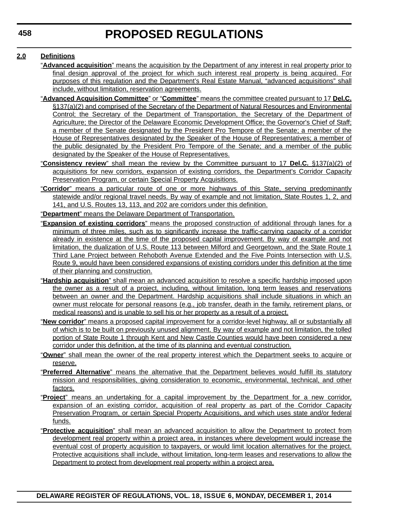#### **2.0 Definitions**

- "**Advanced acquisition**" means the acquisition by the Department of any interest in real property prior to final design approval of the project for which such interest real property is being acquired. For purposes of this regulation and the Department's Real Estate Manual, "advanced acquisitions" shall include, without limitation, reservation agreements.
- "**Advanced Acquisition Committee**" or "**Committee**" means the committee created pursuant to 17 **Del.C.** §137(a)(2) and comprised of the Secretary of the Department of Natural Resources and Environmental Control; the Secretary of the Department of Transportation, the Secretary of the Department of Agriculture; the Director of the Delaware Economic Development Office; the Governor's Chief of Staff; a member of the Senate designated by the President Pro Tempore of the Senate; a member of the House of Representatives designated by the Speaker of the House of Representatives; a member of the public designated by the President Pro Tempore of the Senate; and a member of the public designated by the Speaker of the House of Representatives.
- "**Consistency review**" shall mean the review by the Committee pursuant to 17 **Del.C.** §137(a)(2) of acquisitions for new corridors, expansion of existing corridors, the Department's Corridor Capacity Preservation Program, or certain Special Property Acquisitions.
- "**Corridor**" means a particular route of one or more highways of this State, serving predominantly statewide and/or regional travel needs. By way of example and not limitation, State Routes 1, 2, and 141, and U.S. Routes 13, 113, and 202 are corridors under this definition.
- "**Department**" means the Delaware Department of Transportation.
- "**Expansion of existing corridors**" means the proposed construction of additional through lanes for a minimum of three miles, such as to significantly increase the traffic-carrying capacity of a corridor already in existence at the time of the proposed capital improvement. By way of example and not limitation, the dualization of U.S. Route 113 between Milford and Georgetown, and the State Route 1 Third Lane Project between Rehoboth Avenue Extended and the Five Points Intersection with U.S. Route 9, would have been considered expansions of existing corridors under this definition at the time of their planning and construction.
- "**Hardship acquisition**" shall mean an advanced acquisition to resolve a specific hardship imposed upon the owner as a result of a project, including, without limitation, long term leases and reservations between an owner and the Department. Hardship acquisitions shall include situations in which an owner must relocate for personal reasons (e.g., job transfer, death in the family, retirement plans, or medical reasons) and is unable to sell his or her property as a result of a project.
- "**New corridor**" means a proposed capital improvement for a corridor-level highway, all or substantially all of which is to be built on previously unused alignment. By way of example and not limitation, the tolled portion of State Route 1 through Kent and New Castle Counties would have been considered a new corridor under this definition, at the time of its planning and eventual construction.
- "**Owner**" shall mean the owner of the real property interest which the Department seeks to acquire or reserve.
- "**Preferred Alternative**" means the alternative that the Department believes would fulfill its statutory mission and responsibilities, giving consideration to economic, environmental, technical, and other factors.
- "**Project**" means an undertaking for a capital improvement by the Department for a new corridor, expansion of an existing corridor, acquisition of real property as part of the Corridor Capacity Preservation Program, or certain Special Property Acquisitions, and which uses state and/or federal funds.
- "**Protective acquisition**" shall mean an advanced acquisition to allow the Department to protect from development real property within a project area, in instances where development would increase the eventual cost of property acquisition to taxpayers, or would limit location alternatives for the project. Protective acquisitions shall include, without limitation, long-term leases and reservations to allow the Department to protect from development real property within a project area.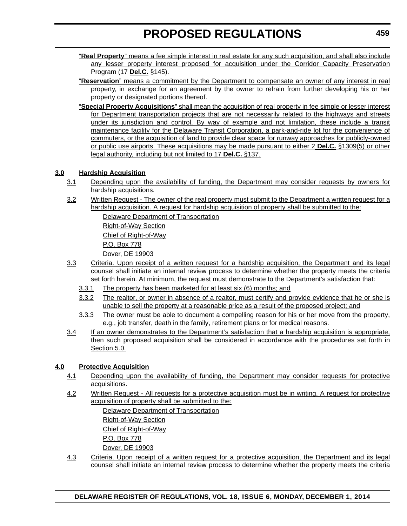- "**Real Property**" means a fee simple interest in real estate for any such acquisition, and shall also include any lesser property interest proposed for acquisition under the Corridor Capacity Preservation Program (17 **Del.C.** §145).
- "**Reservation**" means a commitment by the Department to compensate an owner of any interest in real property, in exchange for an agreement by the owner to refrain from further developing his or her property or designated portions thereof.
- "**Special Property Acquisitions**" shall mean the acquisition of real property in fee simple or lesser interest for Department transportation projects that are not necessarily related to the highways and streets under its jurisdiction and control. By way of example and not limitation, these include a transit maintenance facility for the Delaware Transit Corporation, a park-and-ride lot for the convenience of commuters, or the acquisition of land to provide clear space for runway approaches for publicly-owned or public use airports. These acquisitions may be made pursuant to either 2 **Del.C.** §1309(5) or other legal authority, including but not limited to 17 **Del.C.** §137.

### **3.0 Hardship Acquisition**

- 3.1 Depending upon the availability of funding, the Department may consider requests by owners for hardship acquisitions.
- 3.2 Written Request The owner of the real property must submit to the Department a written request for a hardship acquisition. A request for hardship acquisition of property shall be submitted to the:

Delaware Department of Transportation

Right-of-Way Section

Chief of Right-of-Way

P.O. Box 778

Dover, DE 19903

- 3.3 Criteria. Upon receipt of a written request for a hardship acquisition, the Department and its legal counsel shall initiate an internal review process to determine whether the property meets the criteria set forth herein. At minimum, the request must demonstrate to the Department's satisfaction that:
	- 3.3.1 The property has been marketed for at least six (6) months; and
	- 3.3.2 The realtor, or owner in absence of a realtor, must certify and provide evidence that he or she is unable to sell the property at a reasonable price as a result of the proposed project; and
	- 3.3.3 The owner must be able to document a compelling reason for his or her move from the property, e.g., job transfer, death in the family, retirement plans or for medical reasons.
- 3.4 If an owner demonstrates to the Department's satisfaction that a hardship acquisition is appropriate. then such proposed acquisition shall be considered in accordance with the procedures set forth in Section 5.0.

### **4.0 Protective Acquisition**

- 4.1 Depending upon the availability of funding, the Department may consider requests for protective acquisitions.
- 4.2 Written Request All requests for a protective acquisition must be in writing. A request for protective acquisition of property shall be submitted to the:

Delaware Department of Transportation Right-of-Way Section Chief of Right-of-Way

P.O. Box 778

Dover, DE 19903

4.3 Criteria. Upon receipt of a written request for a protective acquisition, the Department and its legal counsel shall initiate an internal review process to determine whether the property meets the criteria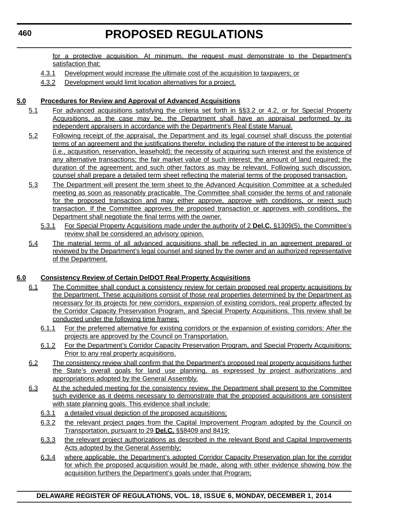for a protective acquisition. At minimum, the request must demonstrate to the Department's satisfaction that:

- 4.3.1 Development would increase the ultimate cost of the acquisition to taxpayers; or
- 4.3.2 Development would limit location alternatives for a project.

#### **5.0 Procedures for Review and Approval of Advanced Acquisitions**

- 5.1 For advanced acquisitions satisfying the criteria set forth in §§3.2 or 4.2, or for Special Property Acquisitions, as the case may be, the Department shall have an appraisal performed by its independent appraisers in accordance with the Department's Real Estate Manual.
- 5.2 Following receipt of the appraisal, the Department and its legal counsel shall discuss the potential terms of an agreement and the justifications therefor, including the nature of the interest to be acquired (i.e., acquisition, reservation, leasehold); the necessity of acquiring such interest and the existence of any alternative transactions; the fair market value of such interest; the amount of land required; the duration of the agreement; and such other factors as may be relevant. Following such discussion, counsel shall prepare a detailed term sheet reflecting the material terms of the proposed transaction.
- 5.3 The Department will present the term sheet to the Advanced Acquisition Committee at a scheduled meeting as soon as reasonably practicable. The Committee shall consider the terms of and rationale for the proposed transaction and may either approve, approve with conditions, or reject such transaction. If the Committee approves the proposed transaction or approves with conditions, the Department shall negotiate the final terms with the owner.
	- 5.3.1 For Special Property Acquisitions made under the authority of 2 **Del.C.** §1309(5), the Committee's review shall be considered an advisory opinion.
- 5.4 The material terms of all advanced acquisitions shall be reflected in an agreement prepared or reviewed by the Department's legal counsel and signed by the owner and an authorized representative of the Department.

#### **6.0 Consistency Review of Certain DelDOT Real Property Acquisitions**

- 6.1 The Committee shall conduct a consistency review for certain proposed real property acquisitions by the Department. These acquisitions consist of those real properties determined by the Department as necessary for its projects for new corridors, expansion of existing corridors, real property affected by the Corridor Capacity Preservation Program, and Special Property Acquisitions. This review shall be conducted under the following time frames:
	- 6.1.1 For the preferred alternative for existing corridors or the expansion of existing corridors: After the projects are approved by the Council on Transportation.
	- 6.1.2 For the Department's Corridor Capacity Preservation Program, and Special Property Acquisitions: Prior to any real property acquisitions.
- 6.2 The consistency review shall confirm that the Department's proposed real property acquisitions further the State's overall goals for land use planning, as expressed by project authorizations and appropriations adopted by the General Assembly.
- 6.3 At the scheduled meeting for the consistency review, the Department shall present to the Committee such evidence as it deems necessary to demonstrate that the proposed acquisitions are consistent with state planning goals. This evidence shall include:
	- 6.3.1 a detailed visual depiction of the proposed acquisitions;
	- 6.3.2 the relevant project pages from the Capital Improvement Program adopted by the Council on Transportation, pursuant to 29 **Del.C.** §§8409 and 8419;
	- 6.3.3 the relevant project authorizations as described in the relevant Bond and Capital Improvements Acts adopted by the General Assembly;
	- 6.3.4 where applicable, the Department's adopted Corridor Capacity Preservation plan for the corridor for which the proposed acquisition would be made, along with other evidence showing how the acquisition furthers the Department's goals under that Program;

**DELAWARE REGISTER OF REGULATIONS, VOL. 18, ISSUE 6, MONDAY, DECEMBER 1, 2014**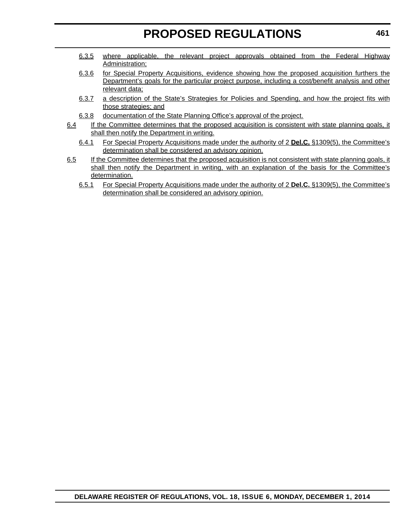- 6.3.5 where applicable, the relevant project approvals obtained from the Federal Highway Administration;
- 6.3.6 for Special Property Acquisitions, evidence showing how the proposed acquisition furthers the Department's goals for the particular project purpose, including a cost/benefit analysis and other relevant data;
- 6.3.7 a description of the State's Strategies for Policies and Spending, and how the project fits with those strategies; and
- 6.3.8 documentation of the State Planning Office's approval of the project.
- 6.4 If the Committee determines that the proposed acquisition is consistent with state planning goals, it shall then notify the Department in writing.
	- 6.4.1 For Special Property Acquisitions made under the authority of 2 **Del.C.** §1309(5), the Committee's determination shall be considered an advisory opinion.
- 6.5 If the Committee determines that the proposed acquisition is not consistent with state planning goals, it shall then notify the Department in writing, with an explanation of the basis for the Committee's determination.
	- 6.5.1 For Special Property Acquisitions made under the authority of 2 **Del.C.** §1309(5), the Committee's determination shall be considered an advisory opinion.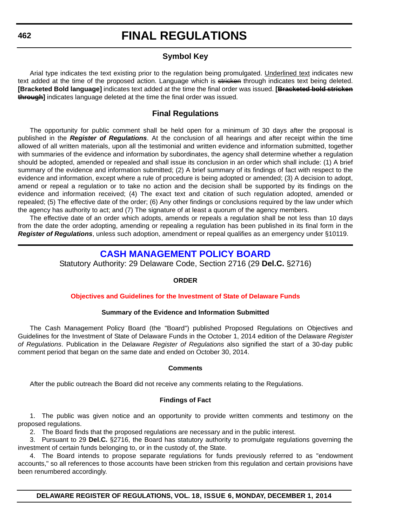### **Symbol Key**

Arial type indicates the text existing prior to the regulation being promulgated. Underlined text indicates new text added at the time of the proposed action. Language which is stricken through indicates text being deleted. **[Bracketed Bold language]** indicates text added at the time the final order was issued. **[Bracketed bold stricken through]** indicates language deleted at the time the final order was issued.

### **Final Regulations**

The opportunity for public comment shall be held open for a minimum of 30 days after the proposal is published in the *Register of Regulations*. At the conclusion of all hearings and after receipt within the time allowed of all written materials, upon all the testimonial and written evidence and information submitted, together with summaries of the evidence and information by subordinates, the agency shall determine whether a regulation should be adopted, amended or repealed and shall issue its conclusion in an order which shall include: (1) A brief summary of the evidence and information submitted; (2) A brief summary of its findings of fact with respect to the evidence and information, except where a rule of procedure is being adopted or amended; (3) A decision to adopt, amend or repeal a regulation or to take no action and the decision shall be supported by its findings on the evidence and information received; (4) The exact text and citation of such regulation adopted, amended or repealed; (5) The effective date of the order; (6) Any other findings or conclusions required by the law under which the agency has authority to act; and (7) The signature of at least a quorum of the agency members.

The effective date of an order which adopts, amends or repeals a regulation shall be not less than 10 days from the date the order adopting, amending or repealing a regulation has been published in its final form in the *Register of Regulations*, unless such adoption, amendment or repeal qualifies as an emergency under §10119.

### **[CASH MANAGEMENT POLICY BOARD](http://finance.delaware.gov/)**

Statutory Authority: 29 Delaware Code, Section 2716 (29 **Del.C.** §2716)

#### **ORDER**

#### **[Objectives and Guidelines for the Investment of State of Delaware Funds](#page-4-0)**

#### **Summary of the Evidence and Information Submitted**

The Cash Management Policy Board (the "Board") published Proposed Regulations on Objectives and Guidelines for the Investment of State of Delaware Funds in the October 1, 2014 edition of the Delaware *Register of Regulations*. Publication in the Delaware *Register of Regulations* also signified the start of a 30-day public comment period that began on the same date and ended on October 30, 2014.

#### **Comments**

After the public outreach the Board did not receive any comments relating to the Regulations.

#### **Findings of Fact**

1. The public was given notice and an opportunity to provide written comments and testimony on the proposed regulations.

2. The Board finds that the proposed regulations are necessary and in the public interest.

3. Pursuant to 29 **Del.C.** §2716, the Board has statutory authority to promulgate regulations governing the investment of certain funds belonging to, or in the custody of, the State.

4. The Board intends to propose separate regulations for funds previously referred to as "endowment accounts," so all references to those accounts have been stricken from this regulation and certain provisions have been renumbered accordingly.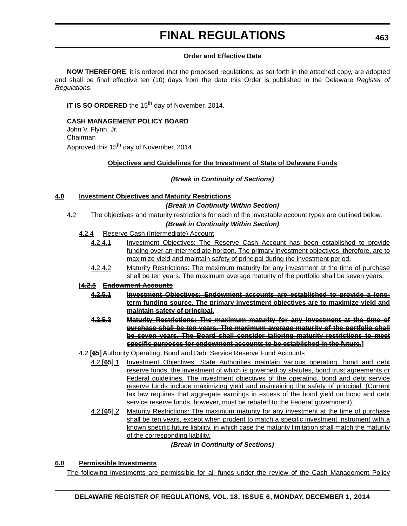#### **Order and Effective Date**

**NOW THEREFORE**, it is ordered that the proposed regulations, as set forth in the attached copy, are adopted and shall be final effective ten (10) days from the date this Order is published in the Delaware *Register of Regulations*.

**IT IS SO ORDERED** the 15<sup>th</sup> day of November, 2014.

**CASH MANAGEMENT POLICY BOARD**

John V. Flynn, Jr. Chairman

Approved this 15<sup>th</sup> day of November, 2014.

#### **Objectives and Guidelines for the Investment of State of Delaware Funds**

#### *(Break in Continuity of Sections)*

#### **4.0 Investment Objectives and Maturity Restrictions**

#### *(Break in Continuity Within Section)*

4.2 The objectives and maturity restrictions for each of the investable account types are outlined below.

#### *(Break in Continuity Within Section)*

- 4.2.4 Reserve Cash (Intermediate) Account
	- 4.2.4.1 Investment Objectives: The Reserve Cash Account has been established to provide funding over an intermediate horizon. The primary investment objectives, therefore, are to maximize yield and maintain safety of principal during the investment period.
	- 4.2.4.2 Maturity Restrictions: The maximum maturity for any investment at the time of purchase shall be ten years. The maximum average maturity of the portfolio shall be seven years.

#### **[4.2.5 Endowment Accounts**

- **4.2.5.1 Investment Objectives: Endowment accounts are established to provide a longterm funding source. The primary investment objectives are to maximize yield and maintain safety of principal.**
- **4.2.5.2 Maturity Restrictions: The maximum maturity for any investment at the time of purchase shall be ten years. The maximum average maturity of the portfolio shall be seven years. The Board shall consider tailoring maturity restrictions to meet specific purposes for endowment accounts to be established in the future.]**
- 4.2.**[65]**Authority Operating, Bond and Debt Service Reserve Fund Accounts
	- 4.2.**[65]**.1 Investment Objectives: State Authorities maintain various operating, bond and debt reserve funds, the investment of which is governed by statutes, bond trust agreements or Federal guidelines. The investment objectives of the operating, bond and debt service reserve funds include maximizing yield and maintaining the safety of principal. (Current tax law requires that aggregate earnings in excess of the bond yield on bond and debt service reserve funds, however, must be rebated to the Federal government).
	- 4.2.**[65]**.2 Maturity Restrictions: The maximum maturity for any investment at the time of purchase shall be ten years, except when prudent to match a specific investment instrument with a known specific future liability, in which case the maturity limitation shall match the maturity of the corresponding liability.

#### *(Break in Continuity of Sections)*

#### **6.0 Permissible Investments**

The following investments are permissible for all funds under the review of the Cash Management Policy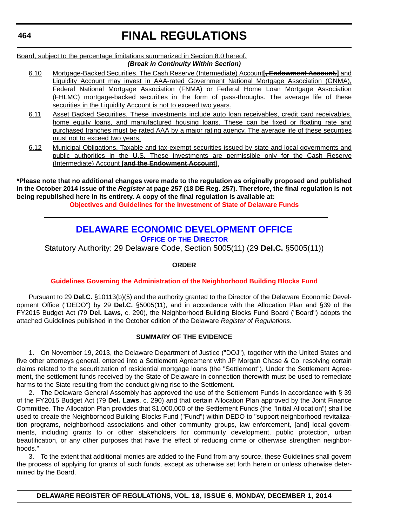Board, subject to the percentage limitations summarized in Section 8.0 hereof. *(Break in Continuity Within Section)*

- 6.10 Mortgage-Backed Securities. The Cash Reserve (Intermediate) Account**[, Endowment Account,]** and Liquidity Account may invest in AAA-rated Government National Mortgage Association (GNMA), Federal National Mortgage Association (FNMA) or Federal Home Loan Mortgage Association (FHLMC) mortgage-backed securities in the form of pass-throughs. The average life of these securities in the Liquidity Account is not to exceed two years.
- 6.11 Asset Backed Securities. These investments include auto loan receivables, credit card receivables, home equity loans, and manufactured housing loans. These can be fixed or floating rate and purchased tranches must be rated AAA by a major rating agency. The average life of these securities must not to exceed two years.
- 6.12 Municipal Obligations. Taxable and tax-exempt securities issued by state and local governments and public authorities in the U.S. These investments are permissible only for the Cash Reserve (Intermediate) Account **[and the Endowment Account]**.

**\*Please note that no additional changes were made to the regulation as originally proposed and published in the October 2014 issue of the** *Register* **at page 257 (18 DE Reg. 257). Therefore, the final regulation is not being republished here in its entirety. A copy of the final regulation is available at:**

**[Objectives and Guidelines for the Investment of State of Delaware Funds](http://regulations.delaware.gov/register/december2014/final/18 DE Reg 462 12-01-14.htm)**

## **[DELAWARE ECONOMIC DEVELOPMENT OFFICE](http://dedo.delaware.gov/)**

**OFFICE OF THE DIRECTOR**

Statutory Authority: 29 Delaware Code, Section 5005(11) (29 **Del.C.** §5005(11))

#### **ORDER**

#### **[Guidelines Governing the Administration of the Neighborhood Building Blocks Fund](#page-4-0)**

Pursuant to 29 **Del.C.** §10113(b)(5) and the authority granted to the Director of the Delaware Economic Development Office ("DEDO") by 29 **Del.C.** §5005(11), and in accordance with the Allocation Plan and §39 of the FY2015 Budget Act (79 **Del. Laws**, c. 290), the Neighborhood Building Blocks Fund Board ("Board") adopts the attached Guidelines published in the October edition of the Delaware *Register of Regulations*.

#### **SUMMARY OF THE EVIDENCE**

1. On November 19, 2013, the Delaware Department of Justice ("DOJ"), together with the United States and five other attorneys general, entered into a Settlement Agreement with JP Morgan Chase & Co. resolving certain claims related to the securitization of residential mortgage loans (the "Settlement"). Under the Settlement Agreement, the settlement funds received by the State of Delaware in connection therewith must be used to remediate harms to the State resulting from the conduct giving rise to the Settlement.

2. The Delaware General Assembly has approved the use of the Settlement Funds in accordance with § 39 of the FY2015 Budget Act (79 **Del. Laws**, c. 290) and that certain Allocation Plan approved by the Joint Finance Committee. The Allocation Plan provides that \$1,000,000 of the Settlement Funds (the "Initial Allocation") shall be used to create the Neighborhood Building Blocks Fund ("Fund") within DEDO to "support neighborhood revitalization programs, neighborhood associations and other community groups, law enforcement, [and] local governments, including grants to or other stakeholders for community development, public protection, urban beautification, or any other purposes that have the effect of reducing crime or otherwise strengthen neighborhoods."

3. To the extent that additional monies are added to the Fund from any source, these Guidelines shall govern the process of applying for grants of such funds, except as otherwise set forth herein or unless otherwise determined by the Board.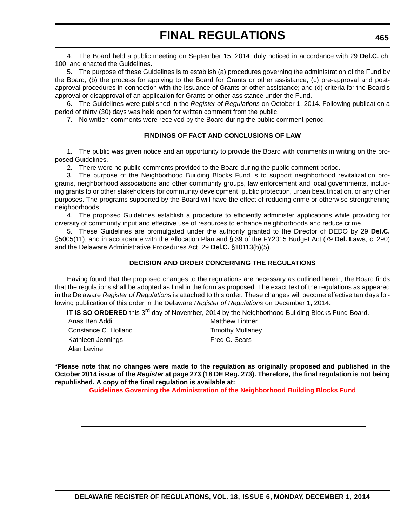4. The Board held a public meeting on September 15, 2014, duly noticed in accordance with 29 **Del.C.** ch. 100, and enacted the Guidelines.

5. The purpose of these Guidelines is to establish (a) procedures governing the administration of the Fund by the Board; (b) the process for applying to the Board for Grants or other assistance; (c) pre-approval and postapproval procedures in connection with the issuance of Grants or other assistance; and (d) criteria for the Board's approval or disapproval of an application for Grants or other assistance under the Fund.

6. The Guidelines were published in the *Register of Regulations* on October 1, 2014. Following publication a period of thirty (30) days was held open for written comment from the public.

7. No written comments were received by the Board during the public comment period.

#### **FINDINGS OF FACT AND CONCLUSIONS OF LAW**

1. The public was given notice and an opportunity to provide the Board with comments in writing on the proposed Guidelines.

2. There were no public comments provided to the Board during the public comment period.

3. The purpose of the Neighborhood Building Blocks Fund is to support neighborhood revitalization programs, neighborhood associations and other community groups, law enforcement and local governments, including grants to or other stakeholders for community development, public protection, urban beautification, or any other purposes. The programs supported by the Board will have the effect of reducing crime or otherwise strengthening neighborhoods.

4. The proposed Guidelines establish a procedure to efficiently administer applications while providing for diversity of community input and effective use of resources to enhance neighborhoods and reduce crime.

5. These Guidelines are promulgated under the authority granted to the Director of DEDO by 29 **Del.C.** §5005(11), and in accordance with the Allocation Plan and § 39 of the FY2015 Budget Act (79 **Del. Laws**, c. 290) and the Delaware Administrative Procedures Act, 29 **Del.C.** §10113(b)(5).

#### **DECISION AND ORDER CONCERNING THE REGULATIONS**

Having found that the proposed changes to the regulations are necessary as outlined herein, the Board finds that the regulations shall be adopted as final in the form as proposed. The exact text of the regulations as appeared in the Delaware *Register of Regulations* is attached to this order. These changes will become effective ten days following publication of this order in the Delaware *Register of Regulations* on December 1, 2014.

**IT IS SO ORDERED** this 3<sup>rd</sup> day of November, 2014 by the Neighborhood Building Blocks Fund Board.

| Anas Ben Addi        | <b>Matthew Lintner</b>  |
|----------------------|-------------------------|
| Constance C. Holland | <b>Timothy Mullaney</b> |
| Kathleen Jennings    | Fred C. Sears           |
| Alan Levine          |                         |

**\*Please note that no changes were made to the regulation as originally proposed and published in the October 2014 issue of the** *Register* **at page 273 (18 DE Reg. 273). Therefore, the final regulation is not being republished. A copy of the final regulation is available at:**

**[Guidelines Governing the Administration of the Neighborhood Building Blocks Fund](http://regulations.delaware.gov/register/december2014/final/18 DE Reg 464 12-01-14.htm)**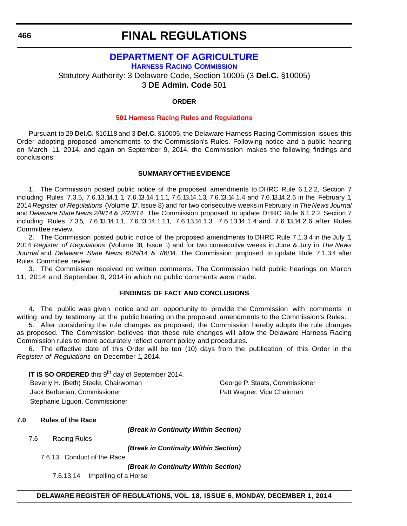### **[DEPARTMENT OF AGRICULTURE](http://dda.delaware.gov/harness/) HARNESS RACING COMMISSION** Statutory Authority: 3 Delaware Code, Section 10005 (3 **Del.C.** §10005) 3 **DE Admin. Code** 501

#### **ORDER**

#### **[501 Harness Racing Rules and Regulations](#page-4-0)**

Pursuant to 29 **Del.C.** §10118 and 3 **Del.C.** §10005, the Delaware Harness Racing Commission issues this Order adopting proposed amendments to the Commission's Rules. Following notice and a public hearing on March 11, 2014, and again on September 9, 2014, the Commission makes the following findings and conclusions:

#### **SUMMARY OF THE EVIDENCE**

1. The Commission posted public notice of the proposed amendments to DHRC Rule 6.1.2.2, Section 7 including Rules 7.3.5, 7.6.13.14.1.1, 7.6.13.14.1.1.1, 7.6.13.14.1.3, 7.6.13.14.1.4 and 7.6.13.14.2.6 in the February 1, 2014 *Register of Regulations* (Volume 17, Issue 8) and for two consecutive weeks in February in *The News Journal* and *Delaware State News 2/9/14* & *2/23/14.* The Commission proposed to update DHRC Rule 6.1.2.2, Section 7 including Rules 7.3.5, 7.6.13.14.1.1, 7.6.13.14.1.1.1, 7.6.13.14.1.3, 7.6.13.14.1.4 and 7.6.13.14.2.6 after Rules Committee review.

2. The Commission posted public notice of the proposed amendments to DHRC Rule 7.1.3.4 in the July 1, 2014 *Register of Regulations* (Volume 18, Issue 1) and for two consecutive weeks in June & July in *The News Journal* and *Delaware State News* 6/29/14 & 7/6/14. The Commission proposed to update Rule 7.1.3.4 after Rules Committee review.

3. The Commission received no written comments. The Commission held public hearings on March 11, 2014 and September 9, 2014 in which no public comments were made.

#### **FINDINGS OF FACT AND CONCLUSIONS**

4. The public was given notice and an opportunity to provide the Commission with comments in writing and by testimony at the public hearing on the proposed amendments to the Commission's Rules.

5. After considering the rule changes as proposed, the Commission hereby adopts the rule changes as proposed. The Commission believes that these rule changes will allow the Delaware Harness Racing Commission rules to more accurately reflect current policy and procedures.

6. The effective date of this Order will be ten (10) days from the publication of this Order in the *Register of Regulations* on December 1, 2014.

**IT IS SO ORDERED** this 9<sup>th</sup> day of September 2014. Beverly H. (Beth) Steele, Chairwoman George P. Staats, Commissioner Jack Berberian, Commissioner **Patt Wagner, Vice Chairman** Stephanie Liguori, Commissioner

#### **7.0 Rules of the Race**

*(Break in Continuity Within Section)*

7.6 Racing Rules

*(Break in Continuity Within Section)*

7.6.13 Conduct of the Race

*(Break in Continuity Within Section)*

7.6.13.14 Impelling of a Horse

**DELAWARE REGISTER OF REGULATIONS, VOL. 18, ISSUE 6, MONDAY, DECEMBER 1, 2014**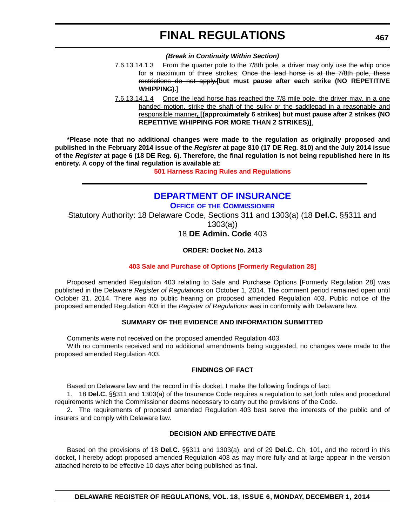#### *(Break in Continuity Within Section)*

- 7.6.13.14.1.3 From the quarter pole to the 7/8th pole, a driver may only use the whip once for a maximum of three strokes, Once the lead horse is at the 7/8th pole, these restrictions do not apply.**[but must pause after each strike (NO REPETITIVE WHIPPING).**]
- 7.6.13.14.1.4 Once the lead horse has reached the 7/8 mile pole, the driver may, in a one handed motion, strike the shaft of the sulky or the saddlepad in a reasonable and responsible manner**, [(approximately 6 strikes) but must pause after 2 strikes (NO REPETITIVE WHIPPING FOR MORE THAN 2 STRIKES)]**.

**\*Please note that no additional changes were made to the regulation as originally proposed and published in the February 2014 issue of the** *Register* **at page 810 (17 DE Reg. 810) and the July 2014 issue of the** *Register* **at page 6 (18 DE Reg. 6). Therefore, the final regulation is not being republished here in its entirety. A copy of the final regulation is available at:**

**[501 Harness Racing Rules and Regulations](http://regulations.delaware.gov/register/december2014/final/18 DE Reg 466 12-01-14.htm)**

### **[DEPARTMENT OF INSURANCE](http://www.delawareinsurance.gov/)**

**OFFICE OF THE COMMISSIONER**

Statutory Authority: 18 Delaware Code, Sections 311 and 1303(a) (18 **Del.C.** §§311 and

1303(a))

18 **DE Admin. Code** 403

**ORDER: Docket No. 2413**

#### **[403 Sale and Purchase of Options \[Formerly Regulation 28\]](#page-4-0)**

Proposed amended Regulation 403 relating to Sale and Purchase Options [Formerly Regulation 28] was published in the Delaware *Register of Regulations* on October 1, 2014. The comment period remained open until October 31, 2014. There was no public hearing on proposed amended Regulation 403. Public notice of the proposed amended Regulation 403 in the *Register of Regulations* was in conformity with Delaware law.

#### **SUMMARY OF THE EVIDENCE AND INFORMATION SUBMITTED**

Comments were not received on the proposed amended Regulation 403.

With no comments received and no additional amendments being suggested, no changes were made to the proposed amended Regulation 403.

#### **FINDINGS OF FACT**

Based on Delaware law and the record in this docket, I make the following findings of fact:

1. 18 **Del.C.** §§311 and 1303(a) of the Insurance Code requires a regulation to set forth rules and procedural requirements which the Commissioner deems necessary to carry out the provisions of the Code.

2. The requirements of proposed amended Regulation 403 best serve the interests of the public and of insurers and comply with Delaware law.

#### **DECISION AND EFFECTIVE DATE**

Based on the provisions of 18 **Del.C.** §§311 and 1303(a), and of 29 **Del.C.** Ch. 101, and the record in this docket, I hereby adopt proposed amended Regulation 403 as may more fully and at large appear in the version attached hereto to be effective 10 days after being published as final.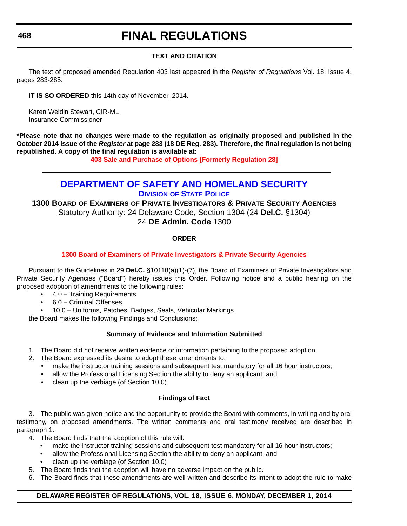#### **TEXT AND CITATION**

The text of proposed amended Regulation 403 last appeared in the *Register of Regulations* Vol. 18, Issue 4, pages 283-285.

**IT IS SO ORDERED** this 14th day of November, 2014.

Karen Weldin Stewart, CIR-ML Insurance Commissioner

**\*Please note that no changes were made to the regulation as originally proposed and published in the October 2014 issue of the** *Register* **at page 283 (18 DE Reg. 283). Therefore, the final regulation is not being republished. A copy of the final regulation is available at:**

**[403 Sale and Purchase of Options \[Formerly Regulation 28\]](http://regulations.delaware.gov/register/december2014/final/18 DE Reg 467 12-01-14.htm)**

### **[DEPARTMENT OF SAFETY AND HOMELAND SECURITY](http://dsp.delaware.gov/)**

**DIVISION OF STATE POLICE**

**1300 BOARD OF EXAMINERS OF PRIVATE INVESTIGATORS & PRIVATE SECURITY AGENCIES** Statutory Authority: 24 Delaware Code, Section 1304 (24 **Del.C.** §1304) 24 **DE Admin. Code** 1300

#### **ORDER**

#### **[1300 Board of Examiners of Private Investigators & Private Security Agencies](#page-4-0)**

Pursuant to the Guidelines in 29 **Del.C.** §10118(a)(1)-(7), the Board of Examiners of Private Investigators and Private Security Agencies ("Board") hereby issues this Order. Following notice and a public hearing on the proposed adoption of amendments to the following rules:

- 4.0 Training Requirements
- 6.0 Criminal Offenses
- 10.0 Uniforms, Patches, Badges, Seals, Vehicular Markings

the Board makes the following Findings and Conclusions:

#### **Summary of Evidence and Information Submitted**

- 1. The Board did not receive written evidence or information pertaining to the proposed adoption.
- 2. The Board expressed its desire to adopt these amendments to:
	- make the instructor training sessions and subsequent test mandatory for all 16 hour instructors;
	- allow the Professional Licensing Section the ability to deny an applicant, and
	- clean up the verbiage (of Section 10.0)

#### **Findings of Fact**

3. The public was given notice and the opportunity to provide the Board with comments, in writing and by oral testimony, on proposed amendments. The written comments and oral testimony received are described in paragraph 1.

4. The Board finds that the adoption of this rule will:

- make the instructor training sessions and subsequent test mandatory for all 16 hour instructors;
- allow the Professional Licensing Section the ability to deny an applicant, and
- clean up the verbiage (of Section 10.0)
- 5. The Board finds that the adoption will have no adverse impact on the public.
- 6. The Board finds that these amendments are well written and describe its intent to adopt the rule to make

#### **DELAWARE REGISTER OF REGULATIONS, VOL. 18, ISSUE 6, MONDAY, DECEMBER 1, 2014**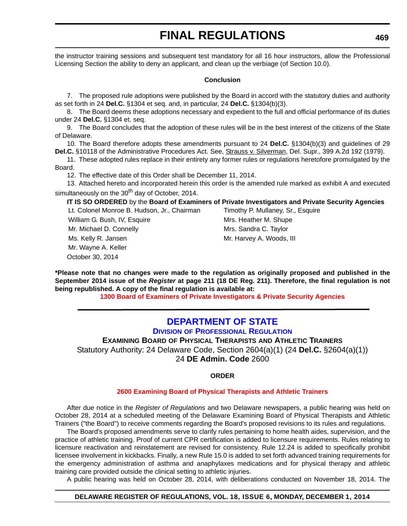the instructor training sessions and subsequent test mandatory for all 16 hour instructors, allow the Professional Licensing Section the ability to deny an applicant, and clean up the verbiage (of Section 10.0).

#### **Conclusion**

7. The proposed rule adoptions were published by the Board in accord with the statutory duties and authority as set forth in 24 **Del.C.** §1304 et seq. and, in particular, 24 **Del.C.** §1304(b)(3).

8. The Board deems these adoptions necessary and expedient to the full and official performance of its duties under 24 **Del.C.** §1304 et. seq.

9. The Board concludes that the adoption of these rules will be in the best interest of the citizens of the State of Delaware.

10. The Board therefore adopts these amendments pursuant to 24 **Del.C.** §1304(b)(3) and guidelines of 29 Del.C. §10118 of the Administrative Procedures Act. See, Strauss v. Silverman, Del. Supr., 399 A.2d 192 (1979).

11. These adopted rules replace in their entirety any former rules or regulations heretofore promulgated by the Board.

12. The effective date of this Order shall be December 11, 2014.

13. Attached hereto and incorporated herein this order is the amended rule marked as exhibit A and executed simultaneously on the  $30<sup>th</sup>$  day of October, 2014.

#### **IT IS SO ORDERED** by the **Board of Examiners of Private Investigators and Private Security Agencies**

October 30, 2014 Lt. Colonel Monroe B. Hudson, Jr., Chairman Timothy P. Mullaney, Sr., Esquire William G. Bush, IV, Esquire Music Mrs. Heather M. Shupe Mr. Michael D. Connelly Mrs. Sandra C. Taylor Ms. Kelly R. Jansen Mr. Harvey A. Woods, III Mr. Wayne A. Keller

**\*Please note that no changes were made to the regulation as originally proposed and published in the September 2014 issue of the** *Register* **at page 211 (18 DE Reg. 211). Therefore, the final regulation is not being republished. A copy of the final regulation is available at:**

**[1300 Board of Examiners of Private Investigators & Private Security Agencies](http://regulations.delaware.gov/register/december2014/final/18 DE Reg 468 12-01-14.htm)**

## **[DEPARTMENT OF STATE](http://dpr.delaware.gov/)**

**DIVISION OF PROFESSIONAL REGULATION**

**EXAMINING BOARD OF PHYSICAL THERAPISTS AND ATHLETIC TRAINERS** Statutory Authority: 24 Delaware Code, Section 2604(a)(1) (24 **Del.C.** §2604(a)(1)) 24 **DE Admin. Code** 2600

#### **ORDER**

#### **[2600 Examining Board of Physical Therapists and Athletic Trainers](#page-4-0)**

After due notice in the *Register of Regulations* and two Delaware newspapers, a public hearing was held on October 28, 2014 at a scheduled meeting of the Delaware Examining Board of Physical Therapists and Athletic Trainers ("the Board") to receive comments regarding the Board's proposed revisions to its rules and regulations.

The Board's proposed amendments serve to clarify rules pertaining to home health aides, supervision, and the practice of athletic training. Proof of current CPR certification is added to licensure requirements. Rules relating to licensure reactivation and reinstatement are revised for consistency. Rule 12.24 is added to specifically prohibit licensee involvement in kickbacks. Finally, a new Rule 15.0 is added to set forth advanced training requirements for the emergency administration of asthma and anaphylaxes medications and for physical therapy and athletic training care provided outside the clinical setting to athletic injuries.

A public hearing was held on October 28, 2014, with deliberations conducted on November 18, 2014. The

#### **DELAWARE REGISTER OF REGULATIONS, VOL. 18, ISSUE 6, MONDAY, DECEMBER 1, 2014**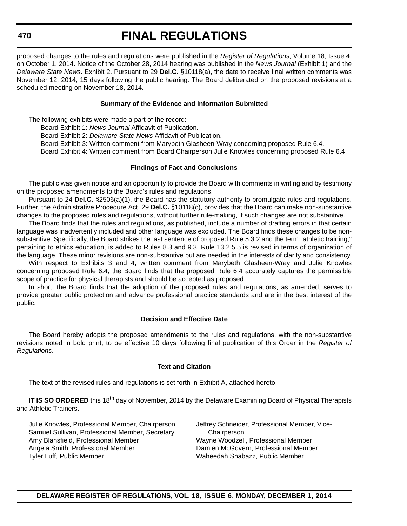proposed changes to the rules and regulations were published in the *Register of Regulations*, Volume 18, Issue 4, on October 1, 2014. Notice of the October 28, 2014 hearing was published in the *News Journal* (Exhibit 1) and the *Delaware State News*. Exhibit 2. Pursuant to 29 **Del.C.** §10118(a), the date to receive final written comments was November 12, 2014, 15 days following the public hearing. The Board deliberated on the proposed revisions at a scheduled meeting on November 18, 2014.

#### **Summary of the Evidence and Information Submitted**

The following exhibits were made a part of the record:

Board Exhibit 1: *News Journal* Affidavit of Publication.

Board Exhibit 2: *Delaware State News* Affidavit of Publication.

Board Exhibit 3: Written comment from Marybeth Glasheen-Wray concerning proposed Rule 6.4.

Board Exhibit 4: Written comment from Board Chairperson Julie Knowles concerning proposed Rule 6.4.

#### **Findings of Fact and Conclusions**

The public was given notice and an opportunity to provide the Board with comments in writing and by testimony on the proposed amendments to the Board's rules and regulations.

Pursuant to 24 **Del.C.** §2506(a)(1), the Board has the statutory authority to promulgate rules and regulations. Further, the Administrative Procedure Act, 29 **Del.C.** §10118(c), provides that the Board can make non-substantive changes to the proposed rules and regulations, without further rule-making, if such changes are not substantive.

The Board finds that the rules and regulations, as published, include a number of drafting errors in that certain language was inadvertently included and other language was excluded. The Board finds these changes to be nonsubstantive. Specifically, the Board strikes the last sentence of proposed Rule 5.3.2 and the term "athletic training," pertaining to ethics education, is added to Rules 8.3 and 9.3. Rule 13.2.5.5 is revised in terms of organization of the language. These minor revisions are non-substantive but are needed in the interests of clarity and consistency.

With respect to Exhibits 3 and 4, written comment from Marybeth Glasheen-Wray and Julie Knowles concerning proposed Rule 6.4, the Board finds that the proposed Rule 6.4 accurately captures the permissible scope of practice for physical therapists and should be accepted as proposed.

In short, the Board finds that the adoption of the proposed rules and regulations, as amended, serves to provide greater public protection and advance professional practice standards and are in the best interest of the public.

#### **Decision and Effective Date**

The Board hereby adopts the proposed amendments to the rules and regulations, with the non-substantive revisions noted in bold print, to be effective 10 days following final publication of this Order in the *Register of Regulations*.

#### **Text and Citation**

The text of the revised rules and regulations is set forth in Exhibit A, attached hereto.

**IT IS SO ORDERED** this 18<sup>th</sup> day of November, 2014 by the Delaware Examining Board of Physical Therapists and Athletic Trainers.

Julie Knowles, Professional Member, Chairperson Jeffrey Schneider, Professional Member, Vice-Samuel Sullivan, Professional Member, Secretary Chairperson Amy Blansfield, Professional Member Wayne Woodzell, Professional Member Angela Smith, Professional Member Damien McGovern, Professional Member Tyler Luff, Public Member Waheedah Shabazz, Public Member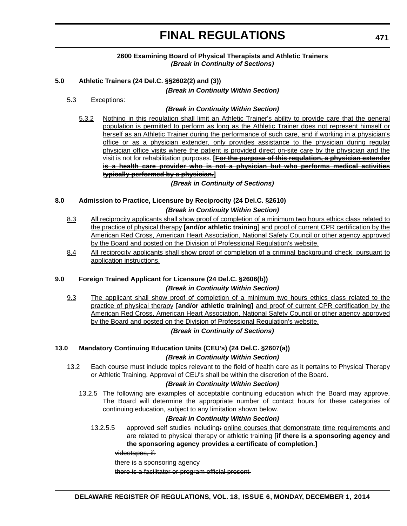#### **2600 Examining Board of Physical Therapists and Athletic Trainers** *(Break in Continuity of Sections)*

#### **5.0 Athletic Trainers (24 Del.C. §§2602(2) and (3))**

*(Break in Continuity Within Section)*

5.3 Exceptions:

#### *(Break in Continuity Within Section)*

5.3.2 Nothing in this regulation shall limit an Athletic Trainer's ability to provide care that the general population is permitted to perform as long as the Athletic Trainer does not represent himself or herself as an Athletic Trainer during the performance of such care, and if working in a physician's office or as a physician extender, only provides assistance to the physician during regular physician office visits where the patient is provided direct on-site care by the physician and the visit is not for rehabilitation purposes. **[For the purpose of this regulation, a physician extender is a health care provider who is not a physician but who performs medical activities typically performed by a physician.]**

*(Break in Continuity of Sections)*

#### **8.0 Admission to Practice, Licensure by Reciprocity (24 Del.C. §2610)** *(Break in Continuity Within Section)*

- 8.3 All reciprocity applicants shall show proof of completion of a minimum two hours ethics class related to the practice of physical therapy **[and/or athletic training]** and proof of current CPR certification by the American Red Cross, American Heart Association, National Safety Council or other agency approved by the Board and posted on the Division of Professional Regulation's website.
- 8.4 All reciprocity applicants shall show proof of completion of a criminal background check, pursuant to application instructions.

#### **9.0 Foreign Trained Applicant for Licensure (24 Del.C. §2606(b))**

#### *(Break in Continuity Within Section)*

9.3 The applicant shall show proof of completion of a minimum two hours ethics class related to the practice of physical therapy **[and/or athletic training]** and proof of current CPR certification by the American Red Cross, American Heart Association, National Safety Council or other agency approved by the Board and posted on the Division of Professional Regulation's website.

#### *(Break in Continuity of Sections)*

#### **13.0 Mandatory Continuing Education Units (CEU's) (24 Del.C. §2607(a))** *(Break in Continuity Within Section)*

13.2 Each course must include topics relevant to the field of health care as it pertains to Physical Therapy or Athletic Training. Approval of CEU's shall be within the discretion of the Board.

#### *(Break in Continuity Within Section)*

13.2.5 The following are examples of acceptable continuing education which the Board may approve. The Board will determine the appropriate number of contact hours for these categories of continuing education, subject to any limitation shown below.

#### *(Break in Continuity Within Section)*

13.2.5.5 approved self studies including: online courses that demonstrate time requirements and are related to physical therapy or athletic training **[if there is a sponsoring agency and the sponsoring agency provides a certificate of completion.]**

videotapes, if:

there is a sponsoring agency

there is a facilitator or program official present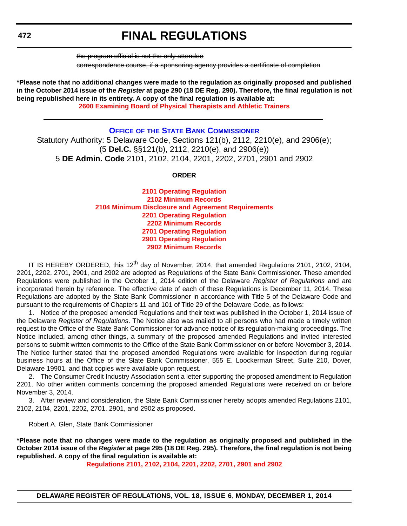the program official is not the only attendee

correspondence course, if a sponsoring agency provides a certificate of completion

**\*Please note that no additional changes were made to the regulation as originally proposed and published in the October 2014 issue of the** *Register* **at page 290 (18 DE Reg. 290). Therefore, the final regulation is not being republished here in its entirety. A copy of the final regulation is available at: [2600 Examining Board of Physical Therapists and Athletic Trainers](http://regulations.delaware.gov/register/december2014/final/18 DE Reg 469 12-01-14.htm)**

#### **OFFICE OF [THE STATE BANK COMMISSIONER](http://banking.delaware.gov/)**

Statutory Authority: 5 Delaware Code, Sections 121(b), 2112, 2210(e), and 2906(e); (5 **Del.C.** §§121(b), 2112, 2210(e), and 2906(e)) 5 **DE Admin. Code** 2101, 2102, 2104, 2201, 2202, 2701, 2901 and 2902

#### **ORDER**

**2101 Operating Regulation 2102 Minimum Records [2104 Minimum Disclosure and Agreement Requirements](#page-4-0) 2201 Operating Regulation 2202 Minimum Records 2701 Operating Regulation 2901 Operating Regulation 2902 Minimum Records**

IT IS HEREBY ORDERED, this 12<sup>th</sup> day of November, 2014, that amended Regulations 2101, 2102, 2104, 2201, 2202, 2701, 2901, and 2902 are adopted as Regulations of the State Bank Commissioner. These amended Regulations were published in the October 1, 2014 edition of the Delaware *Register of Regulations* and are incorporated herein by reference. The effective date of each of these Regulations is December 11, 2014. These Regulations are adopted by the State Bank Commissioner in accordance with Title 5 of the Delaware Code and pursuant to the requirements of Chapters 11 and 101 of Title 29 of the Delaware Code, as follows:

1. Notice of the proposed amended Regulations and their text was published in the October 1, 2014 issue of the Delaware *Register of Regulations*. The Notice also was mailed to all persons who had made a timely written request to the Office of the State Bank Commissioner for advance notice of its regulation-making proceedings. The Notice included, among other things, a summary of the proposed amended Regulations and invited interested persons to submit written comments to the Office of the State Bank Commissioner on or before November 3, 2014. The Notice further stated that the proposed amended Regulations were available for inspection during regular business hours at the Office of the State Bank Commissioner, 555 E. Loockerman Street, Suite 210, Dover, Delaware 19901, and that copies were available upon request.

2. The Consumer Credit Industry Association sent a letter supporting the proposed amendment to Regulation 2201. No other written comments concerning the proposed amended Regulations were received on or before November 3, 2014.

3. After review and consideration, the State Bank Commissioner hereby adopts amended Regulations 2101, 2102, 2104, 2201, 2202, 2701, 2901, and 2902 as proposed.

Robert A. Glen, State Bank Commissioner

**\*Please note that no changes were made to the regulation as originally proposed and published in the October 2014 issue of the** *Register* **at page 295 (18 DE Reg. 295). Therefore, the final regulation is not being republished. A copy of the final regulation is available at:**

**[Regulations 2101, 2102, 2104, 2201, 2202, 2701, 2901 and 2902](http://regulations.delaware.gov/register/december2014/final/18 DE Reg 472 12-01-14.htm)**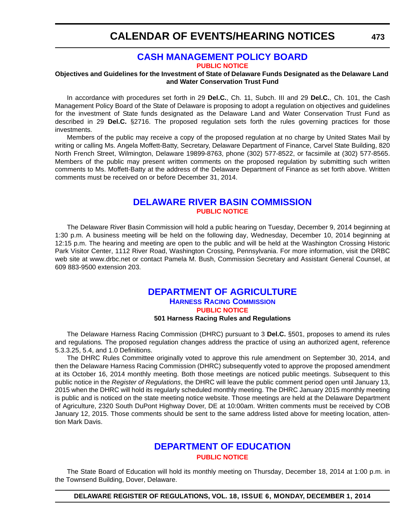### **[CASH MANAGEMENT POLICY BOARD](http://finance.delaware.gov/)**

**[PUBLIC NOTICE](#page-4-0)**

#### **Objectives and Guidelines for the Investment of State of Delaware Funds Designated as the Delaware Land and Water Conservation Trust Fund**

In accordance with procedures set forth in 29 **Del.C.**, Ch. 11, Subch. III and 29 **Del.C.**, Ch. 101, the Cash Management Policy Board of the State of Delaware is proposing to adopt a regulation on objectives and guidelines for the investment of State funds designated as the Delaware Land and Water Conservation Trust Fund as described in 29 **Del.C.** §2716. The proposed regulation sets forth the rules governing practices for those investments.

Members of the public may receive a copy of the proposed regulation at no charge by United States Mail by writing or calling Ms. Angela Moffett-Batty, Secretary, Delaware Department of Finance, Carvel State Building, 820 North French Street, Wilmington, Delaware 19899-8763, phone (302) 577-8522, or facsimile at (302) 577-8565. Members of the public may present written comments on the proposed regulation by submitting such written comments to Ms. Moffett-Batty at the address of the Delaware Department of Finance as set forth above. Written comments must be received on or before December 31, 2014.

### **[DELAWARE RIVER BASIN COMMISSION](http://www.state.nj.us/drbc/) [PUBLIC NOTICE](#page-4-0)**

The Delaware River Basin Commission will hold a public hearing on Tuesday, December 9, 2014 beginning at 1:30 p.m. A business meeting will be held on the following day, Wednesday, December 10, 2014 beginning at 12:15 p.m. The hearing and meeting are open to the public and will be held at the Washington Crossing Historic Park Visitor Center, 1112 River Road, Washington Crossing, Pennsylvania. For more information, visit the DRBC web site at www.drbc.net or contact Pamela M. Bush, Commission Secretary and Assistant General Counsel, at 609 883-9500 extension 203.

### **[DEPARTMENT OF AGRICULTURE](http://dda.delaware.gov/harness/) HARNESS RACING COMMISSION [PUBLIC NOTICE](#page-4-0)**

**501 Harness Racing Rules and Regulations**

The Delaware Harness Racing Commission (DHRC) pursuant to 3 **Del.C.** §501, proposes to amend its rules and regulations*.* The proposed regulation changes address the practice of using an authorized agent, reference 5.3.3.25, 5.4, and 1.0 Definitions.

The DHRC Rules Committee originally voted to approve this rule amendment on September 30, 2014, and then the Delaware Harness Racing Commission (DHRC) subsequently voted to approve the proposed amendment at its October 16, 2014 monthly meeting. Both those meetings are noticed public meetings. Subsequent to this public notice in the *Register of Regulations*, the DHRC will leave the public comment period open until January 13, 2015 when the DHRC will hold its regularly scheduled monthly meeting. The DHRC January 2015 monthly meeting is public and is noticed on the state meeting notice website. Those meetings are held at the Delaware Department of Agriculture, 2320 South DuPont Highway Dover, DE at 10:00am. Written comments must be received by COB January 12, 2015. Those comments should be sent to the same address listed above for meeting location, attention Mark Davis.

### **[DEPARTMENT OF EDUCATION](http://www.doe.k12.de.us/site/default.aspx?PageID=1) [PUBLIC NOTICE](#page-4-0)**

The State Board of Education will hold its monthly meeting on Thursday, December 18, 2014 at 1:00 p.m. in the Townsend Building, Dover, Delaware.

**DELAWARE REGISTER OF REGULATIONS, VOL. 18, ISSUE 6, MONDAY, DECEMBER 1, 2014**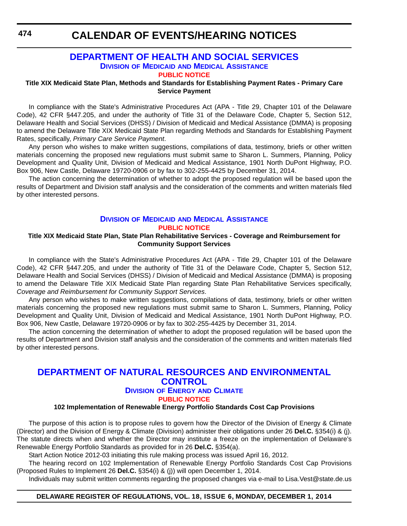**474**

## **CALENDAR OF EVENTS/HEARING NOTICES**

#### **[DEPARTMENT OF HEALTH AND SOCIAL SERVICES](http://www.dhss.delaware.gov/dhss/dmma/) DIVISION OF MEDICAID AND MEDICAL ASSISTANCE [PUBLIC NOTICE](#page-4-0)**

**Title XIX Medicaid State Plan, Methods and Standards for Establishing Payment Rates - Primary Care Service Payment**

In compliance with the State's Administrative Procedures Act (APA - Title 29, Chapter 101 of the Delaware Code), 42 CFR §447.205, and under the authority of Title 31 of the Delaware Code, Chapter 5, Section 512, Delaware Health and Social Services (DHSS) / Division of Medicaid and Medical Assistance (DMMA) is proposing to amend the Delaware Title XIX Medicaid State Plan regarding Methods and Standards for Establishing Payment Rates, specifically, *Primary Care Service Payment*.

Any person who wishes to make written suggestions, compilations of data, testimony, briefs or other written materials concerning the proposed new regulations must submit same to Sharon L. Summers, Planning, Policy Development and Quality Unit, Division of Medicaid and Medical Assistance, 1901 North DuPont Highway, P.O. Box 906, New Castle, Delaware 19720-0906 or by fax to 302-255-4425 by December 31, 2014.

The action concerning the determination of whether to adopt the proposed regulation will be based upon the results of Department and Division staff analysis and the consideration of the comments and written materials filed by other interested persons.

#### **DIVISION OF MEDICAID [AND MEDICAL ASSISTANCE](http://www.dhss.delaware.gov/dhss/dmma/) [PUBLIC NOTICE](#page-4-0)**

#### **Title XIX Medicaid State Plan, State Plan Rehabilitative Services - Coverage and Reimbursement for Community Support Services**

In compliance with the State's Administrative Procedures Act (APA - Title 29, Chapter 101 of the Delaware Code), 42 CFR §447.205, and under the authority of Title 31 of the Delaware Code, Chapter 5, Section 512, Delaware Health and Social Services (DHSS) / Division of Medicaid and Medical Assistance (DMMA) is proposing to amend the Delaware Title XIX Medicaid State Plan regarding State Plan Rehabilitative Services specifically, *Coverage and Reimbursement for Community Support Services*.

Any person who wishes to make written suggestions, compilations of data, testimony, briefs or other written materials concerning the proposed new regulations must submit same to Sharon L. Summers, Planning, Policy Development and Quality Unit, Division of Medicaid and Medical Assistance, 1901 North DuPont Highway, P.O. Box 906, New Castle, Delaware 19720-0906 or by fax to 302-255-4425 by December 31, 2014.

The action concerning the determination of whether to adopt the proposed regulation will be based upon the results of Department and Division staff analysis and the consideration of the comments and written materials filed by other interested persons.

### **[DEPARTMENT OF NATURAL RESOURCES AND ENVIRONMENTAL](http://www.dnrec.delaware.gov/energy/Pages/default.aspx)  CONTROL DIVISION OF ENERGY AND CLIMATE [PUBLIC NOTICE](#page-4-0)**

#### **102 Implementation of Renewable Energy Portfolio Standards Cost Cap Provisions**

The purpose of this action is to propose rules to govern how the Director of the Division of Energy & Climate (Director) and the Division of Energy & Climate (Division) administer their obligations under 26 **Del.C.** §354(i) & (j). The statute directs when and whether the Director may institute a freeze on the implementation of Delaware's Renewable Energy Portfolio Standards as provided for in 26 **Del.C.** §354(a).

Start Action Notice 2012-03 initiating this rule making process was issued April 16, 2012.

The hearing record on 102 Implementation of Renewable Energy Portfolio Standards Cost Cap Provisions (Proposed Rules to Implement 26 **Del.C.** §354(i) & (j)) will open December 1, 2014.

Individuals may submit written comments regarding the proposed changes via e-mail to Lisa.Vest@state.de.us

#### **DELAWARE REGISTER OF REGULATIONS, VOL. 18, ISSUE 6, MONDAY, DECEMBER 1, 2014**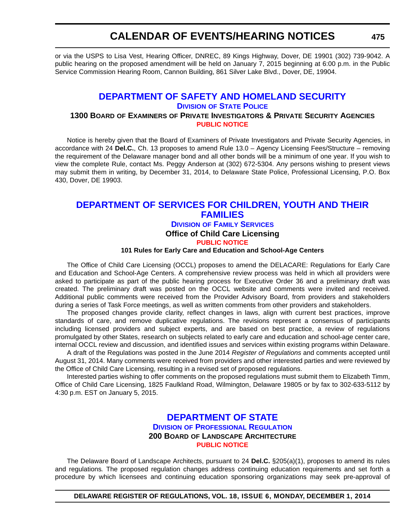or via the USPS to Lisa Vest, Hearing Officer, DNREC, 89 Kings Highway, Dover, DE 19901 (302) 739-9042. A public hearing on the proposed amendment will be held on January 7, 2015 beginning at 6:00 p.m. in the Public Service Commission Hearing Room, Cannon Building, 861 Silver Lake Blvd., Dover, DE, 19904.

## **[DEPARTMENT OF SAFETY AND HOMELAND SECURITY](http://dsp.delaware.gov/)**

**DIVISION OF STATE POLICE**

#### **1300 BOARD OF EXAMINERS OF PRIVATE INVESTIGATORS & PRIVATE SECURITY AGENCIES [PUBLIC NOTICE](#page-4-0)**

Notice is hereby given that the Board of Examiners of Private Investigators and Private Security Agencies, in accordance with 24 **Del.C.**, Ch. 13 proposes to amend Rule 13.0 – Agency Licensing Fees/Structure – removing the requirement of the Delaware manager bond and all other bonds will be a minimum of one year. If you wish to view the complete Rule, contact Ms. Peggy Anderson at (302) 672-5304. Any persons wishing to present views may submit them in writing, by December 31, 2014, to Delaware State Police, Professional Licensing, P.O. Box 430, Dover, DE 19903.

### **[DEPARTMENT OF SERVICES FOR CHILDREN, YOUTH AND THEIR](http://kids.delaware.gov/fs/fs.shtml)  FAMILIES DIVISION OF FAMILY SERVICES Office of Child Care Licensing [PUBLIC NOTICE](#page-4-0)**

#### **101 Rules for Early Care and Education and School-Age Centers**

The Office of Child Care Licensing (OCCL) proposes to amend the DELACARE: Regulations for Early Care and Education and School-Age Centers. A comprehensive review process was held in which all providers were asked to participate as part of the public hearing process for Executive Order 36 and a preliminary draft was created. The preliminary draft was posted on the OCCL website and comments were invited and received. Additional public comments were received from the Provider Advisory Board, from providers and stakeholders during a series of Task Force meetings, as well as written comments from other providers and stakeholders.

The proposed changes provide clarity, reflect changes in laws, align with current best practices, improve standards of care, and remove duplicative regulations. The revisions represent a consensus of participants including licensed providers and subject experts, and are based on best practice, a review of regulations promulgated by other States, research on subjects related to early care and education and school-age center care, internal OCCL review and discussion, and identified issues and services within existing programs within Delaware.

A draft of the Regulations was posted in the June 2014 *Register of Regulations* and comments accepted until August 31, 2014. Many comments were received from providers and other interested parties and were reviewed by the Office of Child Care Licensing, resulting in a revised set of proposed regulations.

Interested parties wishing to offer comments on the proposed regulations must submit them to Elizabeth Timm, Office of Child Care Licensing, 1825 Faulkland Road, Wilmington, Delaware 19805 or by fax to 302-633-5112 by 4:30 p.m. EST on January 5, 2015.

### **[DEPARTMENT OF STATE](http://dpr.delaware.gov/) DIVISION OF PROFESSIONAL REGULATION 200 BOARD OF LANDSCAPE ARCHITECTURE [PUBLIC NOTICE](#page-4-0)**

The Delaware Board of Landscape Architects, pursuant to 24 **Del.C.** §205(a)(1), proposes to amend its rules and regulations*.* The proposed regulation changes address continuing education requirements and set forth a procedure by which licensees and continuing education sponsoring organizations may seek pre-approval of

**DELAWARE REGISTER OF REGULATIONS, VOL. 18, ISSUE 6, MONDAY, DECEMBER 1, 2014**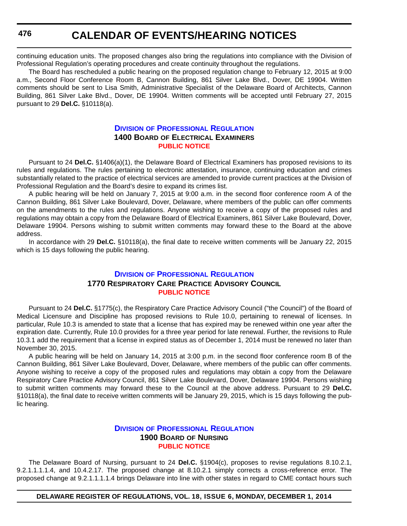continuing education units. The proposed changes also bring the regulations into compliance with the Division of Professional Regulation's operating procedures and create continuity throughout the regulations.

The Board has rescheduled a public hearing on the proposed regulation change to February 12, 2015 at 9:00 a.m., Second Floor Conference Room B, Cannon Building, 861 Silver Lake Blvd., Dover, DE 19904. Written comments should be sent to Lisa Smith, Administrative Specialist of the Delaware Board of Architects, Cannon Building, 861 Silver Lake Blvd., Dover, DE 19904. Written comments will be accepted until February 27, 2015 pursuant to 29 **Del.C.** §10118(a).

#### **DIVISION [OF PROFESSIONAL REGULATION](http://dpr.delaware.gov/) 1400 BOARD OF ELECTRICAL EXAMINERS [PUBLIC NOTICE](#page-4-0)**

Pursuant to 24 **Del.C.** §1406(a)(1), the Delaware Board of Electrical Examiners has proposed revisions to its rules and regulations. The rules pertaining to electronic attestation, insurance, continuing education and crimes substantially related to the practice of electrical services are amended to provide current practices at the Division of Professional Regulation and the Board's desire to expand its crimes list.

A public hearing will be held on January 7, 2015 at 9:00 a.m. in the second floor conference room A of the Cannon Building, 861 Silver Lake Boulevard, Dover, Delaware, where members of the public can offer comments on the amendments to the rules and regulations. Anyone wishing to receive a copy of the proposed rules and regulations may obtain a copy from the Delaware Board of Electrical Examiners, 861 Silver Lake Boulevard, Dover, Delaware 19904. Persons wishing to submit written comments may forward these to the Board at the above address.

In accordance with 29 **Del.C.** §10118(a), the final date to receive written comments will be January 22, 2015 which is 15 days following the public hearing.

### **DIVISION [OF PROFESSIONAL REGULATION](http://dpr.delaware.gov/) 1770 RESPIRATORY CARE PRACTICE ADVISORY COUNCIL [PUBLIC NOTICE](#page-4-0)**

Pursuant to 24 **Del.C.** §1775(c), the Respiratory Care Practice Advisory Council ("the Council") of the Board of Medical Licensure and Discipline has proposed revisions to Rule 10.0, pertaining to renewal of licenses. In particular, Rule 10.3 is amended to state that a license that has expired may be renewed within one year after the expiration date. Currently, Rule 10.0 provides for a three year period for late renewal. Further, the revisions to Rule 10.3.1 add the requirement that a license in expired status as of December 1, 2014 must be renewed no later than November 30, 2015.

A public hearing will be held on January 14, 2015 at 3:00 p.m. in the second floor conference room B of the Cannon Building, 861 Silver Lake Boulevard, Dover, Delaware, where members of the public can offer comments. Anyone wishing to receive a copy of the proposed rules and regulations may obtain a copy from the Delaware Respiratory Care Practice Advisory Council, 861 Silver Lake Boulevard, Dover, Delaware 19904. Persons wishing to submit written comments may forward these to the Council at the above address. Pursuant to 29 **Del.C.** §10118(a), the final date to receive written comments will be January 29, 2015, which is 15 days following the public hearing.

#### **DIVISION [OF PROFESSIONAL REGULATION](http://dpr.delaware.gov/) 1900 BOARD OF NURSING [PUBLIC NOTICE](#page-4-0)**

The Delaware Board of Nursing, pursuant to 24 **Del.C.** §1904(c), proposes to revise regulations 8.10.2.1, 9.2.1.1.1.1.4, and 10.4.2.17. The proposed change at 8.10.2.1 simply corrects a cross-reference error. The proposed change at 9.2.1.1.1.1.4 brings Delaware into line with other states in regard to CME contact hours such

#### **DELAWARE REGISTER OF REGULATIONS, VOL. 18, ISSUE 6, MONDAY, DECEMBER 1, 2014**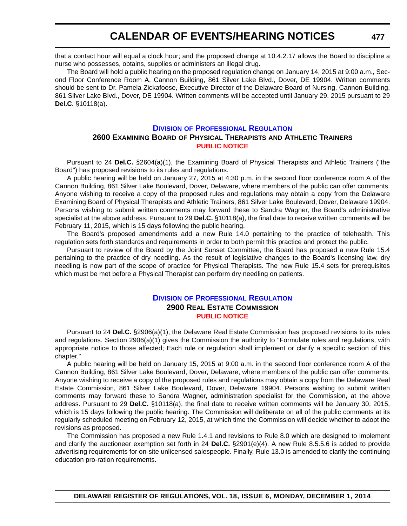that a contact hour will equal a clock hour; and the proposed change at 10.4.2.17 allows the Board to discipline a nurse who possesses, obtains, supplies or administers an illegal drug.

The Board will hold a public hearing on the proposed regulation change on January 14, 2015 at 9:00 a.m., Second Floor Conference Room A, Cannon Building, 861 Silver Lake Blvd., Dover, DE 19904. Written comments should be sent to Dr. Pamela Zickafoose, Executive Director of the Delaware Board of Nursing, Cannon Building, 861 Silver Lake Blvd., Dover, DE 19904. Written comments will be accepted until January 29, 2015 pursuant to 29 **Del.C.** §10118(a).

#### **DIVISION [OF PROFESSIONAL REGULATION](http://dpr.delaware.gov/)**

#### **2600 EXAMINING BOARD OF PHYSICAL THERAPISTS AND ATHLETIC TRAINERS [PUBLIC NOTICE](#page-4-0)**

Pursuant to 24 **Del.C.** §2604(a)(1), the Examining Board of Physical Therapists and Athletic Trainers ("the Board") has proposed revisions to its rules and regulations.

A public hearing will be held on January 27, 2015 at 4:30 p.m. in the second floor conference room A of the Cannon Building, 861 Silver Lake Boulevard, Dover, Delaware, where members of the public can offer comments. Anyone wishing to receive a copy of the proposed rules and regulations may obtain a copy from the Delaware Examining Board of Physical Therapists and Athletic Trainers, 861 Silver Lake Boulevard, Dover, Delaware 19904. Persons wishing to submit written comments may forward these to Sandra Wagner, the Board's administrative specialist at the above address. Pursuant to 29 **Del.C.** §10118(a), the final date to receive written comments will be February 11, 2015, which is 15 days following the public hearing.

The Board's proposed amendments add a new Rule 14.0 pertaining to the practice of telehealth. This regulation sets forth standards and requirements in order to both permit this practice and protect the public.

Pursuant to review of the Board by the Joint Sunset Committee, the Board has proposed a new Rule 15.4 pertaining to the practice of dry needling. As the result of legislative changes to the Board's licensing law, dry needling is now part of the scope of practice for Physical Therapists. The new Rule 15.4 sets for prerequisites which must be met before a Physical Therapist can perform dry needling on patients.

#### **DIVISION [OF PROFESSIONAL REGULATION](http://dpr.delaware.gov/) 2900 REAL ESTATE COMMISSION [PUBLIC NOTICE](#page-4-0)**

Pursuant to 24 **Del.C.** §2906(a)(1), the Delaware Real Estate Commission has proposed revisions to its rules and regulations. Section 2906(a)(1) gives the Commission the authority to "Formulate rules and regulations, with appropriate notice to those affected; Each rule or regulation shall implement or clarify a specific section of this chapter."

A public hearing will be held on January 15, 2015 at 9:00 a.m. in the second floor conference room A of the Cannon Building, 861 Silver Lake Boulevard, Dover, Delaware, where members of the public can offer comments. Anyone wishing to receive a copy of the proposed rules and regulations may obtain a copy from the Delaware Real Estate Commission, 861 Silver Lake Boulevard, Dover, Delaware 19904. Persons wishing to submit written comments may forward these to Sandra Wagner, administration specialist for the Commission, at the above address. Pursuant to 29 **Del.C.** §10118(a), the final date to receive written comments will be January 30, 2015, which is 15 days following the public hearing. The Commission will deliberate on all of the public comments at its regularly scheduled meeting on February 12, 2015, at which time the Commission will decide whether to adopt the revisions as proposed.

The Commission has proposed a new Rule 1.4.1 and revisions to Rule 8.0 which are designed to implement and clarify the auctioneer exemption set forth in 24 **Del.C.** §2901(e)(4). A new Rule 8.5.5.6 is added to provide advertising requirements for on-site unlicensed salespeople. Finally, Rule 13.0 is amended to clarify the continuing education pro-ration requirements.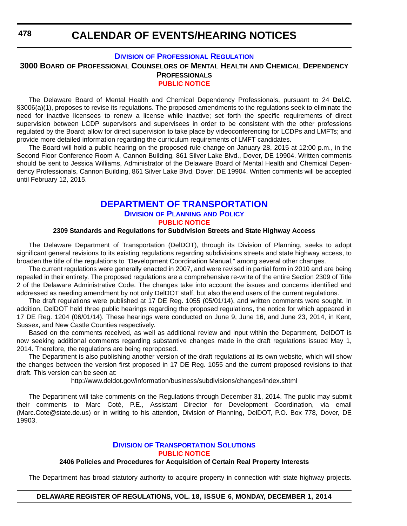**478**

# **CALENDAR OF EVENTS/HEARING NOTICES**

## **DIVISION [OF PROFESSIONAL REGULATION](http://dpr.delaware.gov/)**

**3000 BOARD OF PROFESSIONAL COUNSELORS OF MENTAL HEALTH AND CHEMICAL DEPENDENCY**

#### **PROFESSIONALS [PUBLIC NOTICE](#page-4-0)**

The Delaware Board of Mental Health and Chemical Dependency Professionals, pursuant to 24 **Del.C.** §3006(a)(1), proposes to revise its regulations. The proposed amendments to the regulations seek to eliminate the need for inactive licensees to renew a license while inactive; set forth the specific requirements of direct supervision between LCDP supervisors and supervisees in order to be consistent with the other professions regulated by the Board; allow for direct supervision to take place by videoconferencing for LCDPs and LMFTs; and provide more detailed information regarding the curriculum requirements of LMFT candidates.

The Board will hold a public hearing on the proposed rule change on January 28, 2015 at 12:00 p.m., in the Second Floor Conference Room A, Cannon Building, 861 Silver Lake Blvd., Dover, DE 19904. Written comments should be sent to Jessica Williams, Administrator of the Delaware Board of Mental Health and Chemical Dependency Professionals, Cannon Building, 861 Silver Lake Blvd, Dover, DE 19904. Written comments will be accepted until February 12, 2015.

# **[DEPARTMENT OF TRANSPORTATION](http://www.deldot.gov/index.shtml) DIVISION OF PLANNING AND POLICY [PUBLIC NOTICE](#page-4-0)**

#### **2309 Standards and Regulations for Subdivision Streets and State Highway Access**

The Delaware Department of Transportation (DelDOT), through its Division of Planning, seeks to adopt significant general revisions to its existing regulations regarding subdivisions streets and state highway access, to broaden the title of the regulations to "Development Coordination Manual," among several other changes.

The current regulations were generally enacted in 2007, and were revised in partial form in 2010 and are being repealed in their entirety. The proposed regulations are a comprehensive re-write of the entire Section 2309 of Title 2 of the Delaware Administrative Code. The changes take into account the issues and concerns identified and addressed as needing amendment by not only DelDOT staff, but also the end users of the current regulations.

The draft regulations were published at 17 DE Reg. 1055 (05/01/14), and written comments were sought. In addition, DelDOT held three public hearings regarding the proposed regulations, the notice for which appeared in 17 DE Reg. 1204 (06/01/14). These hearings were conducted on June 9, June 16, and June 23, 2014, in Kent, Sussex, and New Castle Counties respectively.

Based on the comments received, as well as additional review and input within the Department, DelDOT is now seeking additional comments regarding substantive changes made in the draft regulations issued May 1, 2014. Therefore, the regulations are being reproposed.

The Department is also publishing another version of the draft regulations at its own website, which will show the changes between the version first proposed in 17 DE Reg. 1055 and the current proposed revisions to that draft. This version can be seen at:

http://www.deldot.gov/information/business/subdivisions/changes/index.shtml

The Department will take comments on the Regulations through December 31, 2014. The public may submit their comments to Marc Coté, P.E., Assistant Director for Development Coordination, via email (Marc.Cote@state.de.us) or in writing to his attention, Division of Planning, DelDOT, P.O. Box 778, Dover, DE 19903.

### **DIVISION [OF TRANSPORTATION SOLUTIONS](http://www.deldot.gov/index.shtml) [PUBLIC NOTICE](#page-4-0)**

#### **2406 Policies and Procedures for Acquisition of Certain Real Property Interests**

The Department has broad statutory authority to acquire property in connection with state highway projects.

## **DELAWARE REGISTER OF REGULATIONS, VOL. 18, ISSUE 6, MONDAY, DECEMBER 1, 2014**